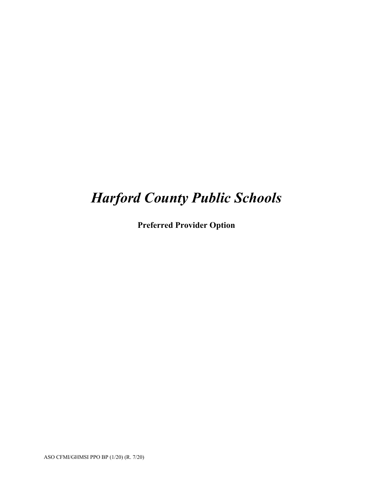# *Harford County Public Schools*

**Preferred Provider Option**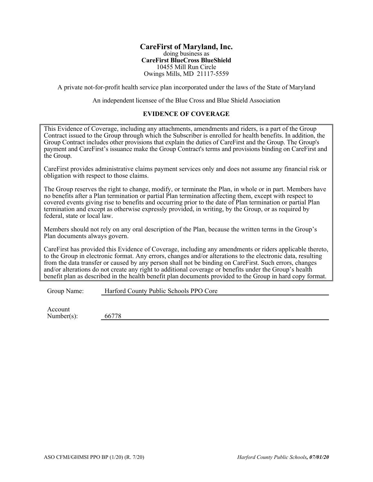#### **CareFirst of Maryland, Inc.** doing business as **CareFirst BlueCross BlueShield**  10455 Mill Run Circle Owings Mills, MD 21117-5559

A private not-for-profit health service plan incorporated under the laws of the State of Maryland

An independent licensee of the Blue Cross and Blue Shield Association

## **EVIDENCE OF COVERAGE**

This Evidence of Coverage, including any attachments, amendments and riders, is a part of the Group Contract issued to the Group through which the Subscriber is enrolled for health benefits. In addition, the Group Contract includes other provisions that explain the duties of CareFirst and the Group. The Group's payment and CareFirst's issuance make the Group Contract's terms and provisions binding on CareFirst and the Group.

CareFirst provides administrative claims payment services only and does not assume any financial risk or obligation with respect to those claims.

The Group reserves the right to change, modify, or terminate the Plan, in whole or in part. Members have no benefits after a Plan termination or partial Plan termination affecting them, except with respect to covered events giving rise to benefits and occurring prior to the date of Plan termination or partial Plan termination and except as otherwise expressly provided, in writing, by the Group, or as required by federal, state or local law.

Members should not rely on any oral description of the Plan, because the written terms in the Group's Plan documents always govern.

CareFirst has provided this Evidence of Coverage, including any amendments or riders applicable thereto, to the Group in electronic format. Any errors, changes and/or alterations to the electronic data, resulting from the data transfer or caused by any person shall not be binding on CareFirst. Such errors, changes and/or alterations do not create any right to additional coverage or benefits under the Group's health benefit plan as described in the health benefit plan documents provided to the Group in hard copy format.

Group Name: Harford County Public Schools PPO Core

Account Number(s): 66778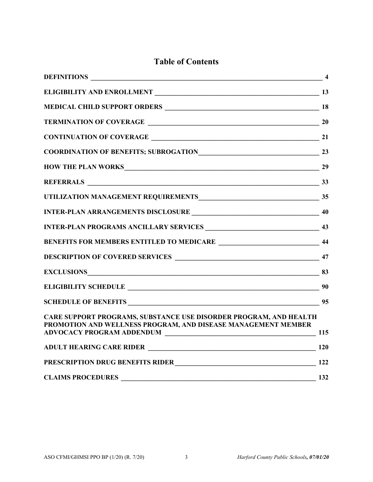## **Table of Contents**

| DEFINITIONS<br>$\overline{\phantom{a}}$ 4                                                                                          |    |
|------------------------------------------------------------------------------------------------------------------------------------|----|
|                                                                                                                                    |    |
|                                                                                                                                    |    |
|                                                                                                                                    |    |
|                                                                                                                                    |    |
|                                                                                                                                    |    |
|                                                                                                                                    |    |
|                                                                                                                                    |    |
|                                                                                                                                    |    |
|                                                                                                                                    |    |
|                                                                                                                                    |    |
|                                                                                                                                    |    |
|                                                                                                                                    |    |
| EXCLUSIONS 83                                                                                                                      |    |
|                                                                                                                                    | 90 |
|                                                                                                                                    |    |
| CARE SUPPORT PROGRAMS, SUBSTANCE USE DISORDER PROGRAM, AND HEALTH<br>PROMOTION AND WELLNESS PROGRAM, AND DISEASE MANAGEMENT MEMBER |    |
|                                                                                                                                    |    |
| PRESCRIPTION DRUG BENEFITS RIDER<br>122                                                                                            |    |
|                                                                                                                                    |    |
|                                                                                                                                    |    |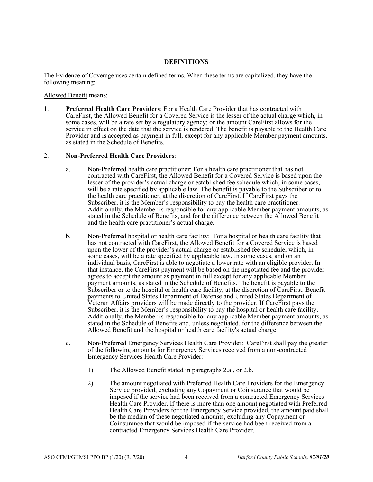## **DEFINITIONS**

The Evidence of Coverage uses certain defined terms. When these terms are capitalized, they have the following meaning:

Allowed Benefit means:

1. **Preferred Health Care Providers**: For a Health Care Provider that has contracted with CareFirst, the Allowed Benefit for a Covered Service is the lesser of the actual charge which, in some cases, will be a rate set by a regulatory agency; or the amount CareFirst allows for the service in effect on the date that the service is rendered. The benefit is payable to the Health Care Provider and is accepted as payment in full, except for any applicable Member payment amounts, as stated in the Schedule of Benefits.

## 2. **Non-Preferred Health Care Providers**:

- a. Non-Preferred health care practitioner: For a health care practitioner that has not contracted with CareFirst, the Allowed Benefit for a Covered Service is based upon the lesser of the provider's actual charge or established fee schedule which, in some cases, will be a rate specified by applicable law. The benefit is payable to the Subscriber or to the health care practitioner, at the discretion of CareFirst. If CareFirst pays the Subscriber, it is the Member's responsibility to pay the health care practitioner. Additionally, the Member is responsible for any applicable Member payment amounts, as stated in the Schedule of Benefits, and for the difference between the Allowed Benefit and the health care practitioner's actual charge.
- b. Non-Preferred hospital or health care facility: For a hospital or health care facility that has not contracted with CareFirst, the Allowed Benefit for a Covered Service is based upon the lower of the provider's actual charge or established fee schedule, which, in some cases, will be a rate specified by applicable law. In some cases, and on an individual basis, CareFirst is able to negotiate a lower rate with an eligible provider. In that instance, the CareFirst payment will be based on the negotiated fee and the provider agrees to accept the amount as payment in full except for any applicable Member payment amounts, as stated in the Schedule of Benefits. The benefit is payable to the Subscriber or to the hospital or health care facility, at the discretion of CareFirst. Benefit payments to United States Department of Defense and United States Department of Veteran Affairs providers will be made directly to the provider. If CareFirst pays the Subscriber, it is the Member's responsibility to pay the hospital or health care facility. Additionally, the Member is responsible for any applicable Member payment amounts, as stated in the Schedule of Benefits and, unless negotiated, for the difference between the Allowed Benefit and the hospital or health care facility's actual charge.
- c. Non-Preferred Emergency Services Health Care Provider: CareFirst shall pay the greater of the following amounts for Emergency Services received from a non-contracted Emergency Services Health Care Provider:
	- 1) The Allowed Benefit stated in paragraphs 2.a., or 2.b.
	- 2) The amount negotiated with Preferred Health Care Providers for the Emergency Service provided, excluding any Copayment or Coinsurance that would be imposed if the service had been received from a contracted Emergency Services Health Care Provider. If there is more than one amount negotiated with Preferred Health Care Providers for the Emergency Service provided, the amount paid shall be the median of these negotiated amounts, excluding any Copayment or Coinsurance that would be imposed if the service had been received from a contracted Emergency Services Health Care Provider.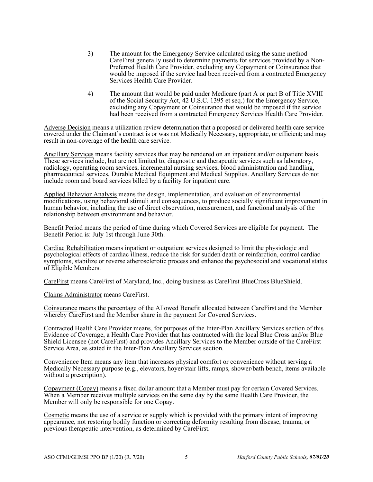- 3) The amount for the Emergency Service calculated using the same method CareFirst generally used to determine payments for services provided by a Non-Preferred Health Care Provider, excluding any Copayment or Coinsurance that would be imposed if the service had been received from a contracted Emergency Services Health Care Provider.
- 4) The amount that would be paid under Medicare (part A or part B of Title XVIII of the Social Security Act, 42 U.S.C. 1395 et seq.) for the Emergency Service, excluding any Copayment or Coinsurance that would be imposed if the service had been received from a contracted Emergency Services Health Care Provider.

Adverse Decision means a utilization review determination that a proposed or delivered health care service covered under the Claimant's contract is or was not Medically Necessary, appropriate, or efficient; and may result in non-coverage of the health care service.

Ancillary Services means facility services that may be rendered on an inpatient and/or outpatient basis. These services include, but are not limited to, diagnostic and therapeutic services such as laboratory, radiology, operating room services, incremental nursing services, blood administration and handling, pharmaceutical services, Durable Medical Equipment and Medical Supplies. Ancillary Services do not include room and board services billed by a facility for inpatient care.

Applied Behavior Analysis means the design, implementation, and evaluation of environmental modifications, using behavioral stimuli and consequences, to produce socially significant improvement in human behavior, including the use of direct observation, measurement, and functional analysis of the relationship between environment and behavior.

Benefit Period means the period of time during which Covered Services are eligible for payment. The Benefit Period is: July 1st through June 30th.

Cardiac Rehabilitation means inpatient or outpatient services designed to limit the physiologic and psychological effects of cardiac illness, reduce the risk for sudden death or reinfarction, control cardiac symptoms, stabilize or reverse atherosclerotic process and enhance the psychosocial and vocational status of Eligible Members.

CareFirst means CareFirst of Maryland, Inc., doing business as CareFirst BlueCross BlueShield.

Claims Administrator means CareFirst.

Coinsurance means the percentage of the Allowed Benefit allocated between CareFirst and the Member whereby CareFirst and the Member share in the payment for Covered Services.

Contracted Health Care Provider means, for purposes of the Inter-Plan Ancillary Services section of this Evidence of Coverage, a Health Care Provider that has contracted with the local Blue Cross and/or Blue Shield Licensee (not CareFirst) and provides Ancillary Services to the Member outside of the CareFirst Service Area, as stated in the Inter-Plan Ancillary Services section.

Convenience Item means any item that increases physical comfort or convenience without serving a Medically Necessary purpose (e.g., elevators, hoyer/stair lifts, ramps, shower/bath bench, items available without a prescription).

Copayment (Copay) means a fixed dollar amount that a Member must pay for certain Covered Services. When a Member receives multiple services on the same day by the same Health Care Provider, the Member will only be responsible for one Copay.

Cosmetic means the use of a service or supply which is provided with the primary intent of improving appearance, not restoring bodily function or correcting deformity resulting from disease, trauma, or previous therapeutic intervention, as determined by CareFirst.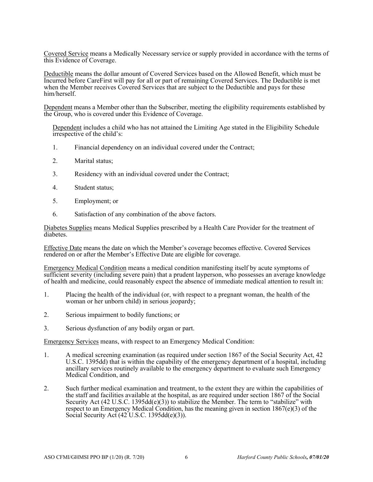Covered Service means a Medically Necessary service or supply provided in accordance with the terms of this Evidence of Coverage.

Deductible means the dollar amount of Covered Services based on the Allowed Benefit, which must be Incurred before CareFirst will pay for all or part of remaining Covered Services. The Deductible is met when the Member receives Covered Services that are subject to the Deductible and pays for these him/herself.

Dependent means a Member other than the Subscriber, meeting the eligibility requirements established by the Group, who is covered under this Evidence of Coverage.

Dependent includes a child who has not attained the Limiting Age stated in the Eligibility Schedule irrespective of the child's:

- 1. Financial dependency on an individual covered under the Contract;
- 2. Marital status;
- 3. Residency with an individual covered under the Contract;
- 4. Student status;
- 5. Employment; or
- 6. Satisfaction of any combination of the above factors.

Diabetes Supplies means Medical Supplies prescribed by a Health Care Provider for the treatment of diabetes.

Effective Date means the date on which the Member's coverage becomes effective. Covered Services rendered on or after the Member's Effective Date are eligible for coverage.

Emergency Medical Condition means a medical condition manifesting itself by acute symptoms of sufficient severity (including severe pain) that a prudent layperson, who possesses an average knowledge of health and medicine, could reasonably expect the absence of immediate medical attention to result in:

- 1. Placing the health of the individual (or, with respect to a pregnant woman, the health of the woman or her unborn child) in serious jeopardy;
- 2. Serious impairment to bodily functions; or
- 3. Serious dysfunction of any bodily organ or part.

Emergency Services means, with respect to an Emergency Medical Condition:

- 1. A medical screening examination (as required under section 1867 of the Social Security Act, 42 U.S.C. 1395dd) that is within the capability of the emergency department of a hospital, including ancillary services routinely available to the emergency department to evaluate such Emergency Medical Condition, and
- 2. Such further medical examination and treatment, to the extent they are within the capabilities of the staff and facilities available at the hospital, as are required under section 1867 of the Social Security Act (42 U.S.C. 1395dd(e)(3)) to stabilize the Member. The term to "stabilize" with respect to an Emergency Medical Condition, has the meaning given in section 1867(e)(3) of the Social Security Act  $(42 \text{ U.S.C. } 1395 \text{dd}(e)(3))$ .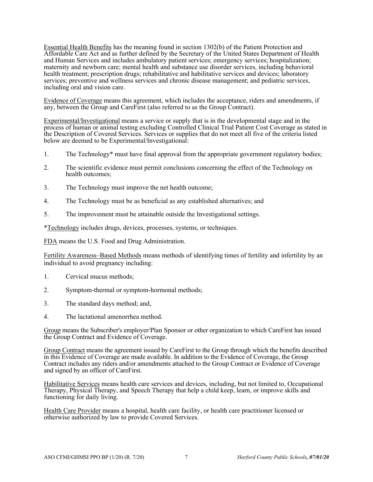Essential Health Benefits has the meaning found in section 1302(b) of the Patient Protection and Affordable Care Act and as further defined by the Secretary of the United States Department of Health and Human Services and includes ambulatory patient services; emergency services; hospitalization; maternity and newborn care; mental health and substance use disorder services, including behavioral health treatment; prescription drugs; rehabilitative and habilitative services and devices; laboratory services; preventive and wellness services and chronic disease management; and pediatric services, including oral and vision care.

Evidence of Coverage means this agreement, which includes the acceptance, riders and amendments, if any, between the Group and CareFirst (also referred to as the Group Contract).

Experimental/Investigational means a service or supply that is in the developmental stage and in the process of human or animal testing excluding Controlled Clinical Trial Patient Cost Coverage as stated in the Description of Covered Services. Services or supplies that do not meet all five of the criteria listed below are deemed to be Experimental/Investigational:

- 1. The Technology\* must have final approval from the appropriate government regulatory bodies;
- 2. The scientific evidence must permit conclusions concerning the effect of the Technology on health outcomes;
- 3. The Technology must improve the net health outcome;
- 4. The Technology must be as beneficial as any established alternatives; and
- 5. The improvement must be attainable outside the Investigational settings.

\*Technology includes drugs, devices, processes, systems, or techniques.

FDA means the U.S. Food and Drug Administration.

Fertility Awareness–Based Methods means methods of identifying times of fertility and infertility by an individual to avoid pregnancy including:

- 1. Cervical mucus methods;
- 2. Symptom-thermal or symptom-hormonal methods;
- 3. The standard days method; and,
- 4. The lactational amenorrhea method.

Group means the Subscriber's employer/Plan Sponsor or other organization to which CareFirst has issued the Group Contract and Evidence of Coverage.

Group Contract means the agreement issued by CareFirst to the Group through which the benefits described in this Evidence of Coverage are made available. In addition to the Evidence of Coverage, the Group Contract includes any riders and/or amendments attached to the Group Contract or Evidence of Coverage and signed by an officer of CareFirst.

Habilitative Services means health care services and devices, including, but not limited to, Occupational Therapy, Physical Therapy, and Speech Therapy that help a child keep, learn, or improve skills and functioning for daily living.

Health Care Provider means a hospital, health care facility, or health care practitioner licensed or otherwise authorized by law to provide Covered Services.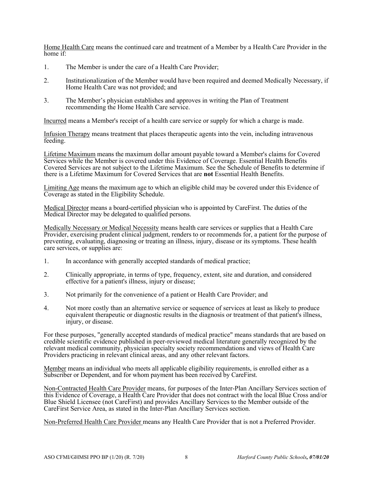Home Health Care means the continued care and treatment of a Member by a Health Care Provider in the home if:

- 1. The Member is under the care of a Health Care Provider;
- 2. Institutionalization of the Member would have been required and deemed Medically Necessary, if Home Health Care was not provided; and
- 3. The Member's physician establishes and approves in writing the Plan of Treatment recommending the Home Health Care service.

Incurred means a Member's receipt of a health care service or supply for which a charge is made.

Infusion Therapy means treatment that places therapeutic agents into the vein, including intravenous feeding.

Lifetime Maximum means the maximum dollar amount payable toward a Member's claims for Covered Services while the Member is covered under this Evidence of Coverage. Essential Health Benefits Covered Services are not subject to the Lifetime Maximum. See the Schedule of Benefits to determine if there is a Lifetime Maximum for Covered Services that are **not** Essential Health Benefits.

Limiting Age means the maximum age to which an eligible child may be covered under this Evidence of Coverage as stated in the Eligibility Schedule.

Medical Director means a board-certified physician who is appointed by CareFirst. The duties of the Medical Director may be delegated to qualified persons.

Medically Necessary or Medical Necessity means health care services or supplies that a Health Care Provider, exercising prudent clinical judgment, renders to or recommends for, a patient for the purpose of preventing, evaluating, diagnosing or treating an illness, injury, disease or its symptoms. These health care services, or supplies are:

- 1. In accordance with generally accepted standards of medical practice;
- 2. Clinically appropriate, in terms of type, frequency, extent, site and duration, and considered effective for a patient's illness, injury or disease;
- 3. Not primarily for the convenience of a patient or Health Care Provider; and
- 4. Not more costly than an alternative service or sequence of services at least as likely to produce equivalent therapeutic or diagnostic results in the diagnosis or treatment of that patient's illness, injury, or disease.

For these purposes, "generally accepted standards of medical practice" means standards that are based on credible scientific evidence published in peer-reviewed medical literature generally recognized by the relevant medical community, physician specialty society recommendations and views of Health Care Providers practicing in relevant clinical areas, and any other relevant factors.

Member means an individual who meets all applicable eligibility requirements, is enrolled either as a Subscriber or Dependent, and for whom payment has been received by CareFirst.

Non-Contracted Health Care Provider means, for purposes of the Inter-Plan Ancillary Services section of this Evidence of Coverage, a Health Care Provider that does not contract with the local Blue Cross and/or Blue Shield Licensee (not CareFirst) and provides Ancillary Services to the Member outside of the CareFirst Service Area, as stated in the Inter-Plan Ancillary Services section.

Non-Preferred Health Care Provider means any Health Care Provider that is not a Preferred Provider.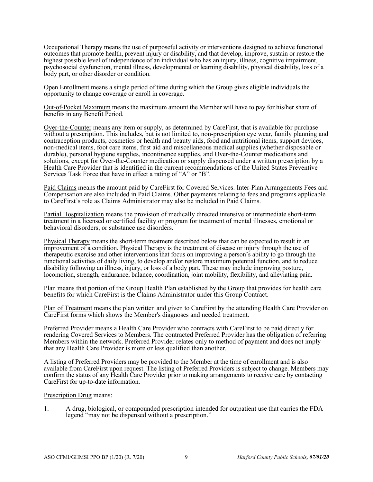Occupational Therapy means the use of purposeful activity or interventions designed to achieve functional outcomes that promote health, prevent injury or disability, and that develop, improve, sustain or restore the highest possible level of independence of an individual who has an injury, illness, cognitive impairment, psychosocial dysfunction, mental illness, developmental or learning disability, physical disability, loss of a body part, or other disorder or condition.

Open Enrollment means a single period of time during which the Group gives eligible individuals the opportunity to change coverage or enroll in coverage.

Out-of-Pocket Maximum means the maximum amount the Member will have to pay for his/her share of benefits in any Benefit Period.

Over-the-Counter means any item or supply, as determined by CareFirst, that is available for purchase without a prescription. This includes, but is not limited to, non-prescription eye wear, family planning and contraception products, cosmetics or health and beauty aids, food and nutritional items, support devices, non-medical items, foot care items, first aid and miscellaneous medical supplies (whether disposable or durable), personal hygiene supplies, incontinence supplies, and Over-the-Counter medications and solutions, except for Over-the-Counter medication or supply dispensed under a written prescription by a Health Care Provider that is identified in the current recommendations of the United States Preventive Services Task Force that have in effect a rating of "A" or "B".

Paid Claims means the amount paid by CareFirst for Covered Services. Inter-Plan Arrangements Fees and Compensation are also included in Paid Claims. Other payments relating to fees and programs applicable to CareFirst's role as Claims Administrator may also be included in Paid Claims.

Partial Hospitalization means the provision of medically directed intensive or intermediate short-term treatment in a licensed or certified facility or program for treatment of mental illnesses, emotional or behavioral disorders, or substance use disorders.

Physical Therapy means the short-term treatment described below that can be expected to result in an improvement of a condition. Physical Therapy is the treatment of disease or injury through the use of therapeutic exercise and other interventions that focus on improving a person's ability to go through the functional activities of daily living, to develop and/or restore maximum potential function, and to reduce disability following an illness, injury, or loss of a body part. These may include improving posture, locomotion, strength, endurance, balance, coordination, joint mobility, flexibility, and alleviating pain.

Plan means that portion of the Group Health Plan established by the Group that provides for health care benefits for which CareFirst is the Claims Administrator under this Group Contract.

Plan of Treatment means the plan written and given to CareFirst by the attending Health Care Provider on CareFirst forms which shows the Member's diagnoses and needed treatment.

Preferred Provider means a Health Care Provider who contracts with CareFirst to be paid directly for rendering Covered Services to Members. The contracted Preferred Provider has the obligation of referring Members within the network. Preferred Provider relates only to method of payment and does not imply that any Health Care Provider is more or less qualified than another.

A listing of Preferred Providers may be provided to the Member at the time of enrollment and is also available from CareFirst upon request. The listing of Preferred Providers is subject to change. Members may confirm the status of any Health Care Provider prior to making arrangements to receive care by contacting CareFirst for up-to-date information.

#### Prescription Drug means:

1. A drug, biological, or compounded prescription intended for outpatient use that carries the FDA legend "may not be dispensed without a prescription."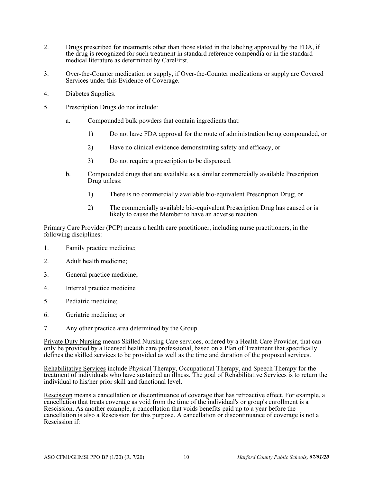- 2. Drugs prescribed for treatments other than those stated in the labeling approved by the FDA, if the drug is recognized for such treatment in standard reference compendia or in the standard medical literature as determined by CareFirst.
- 3. Over-the-Counter medication or supply, if Over-the-Counter medications or supply are Covered Services under this Evidence of Coverage.
- 4. Diabetes Supplies.
- 5. Prescription Drugs do not include:
	- a. Compounded bulk powders that contain ingredients that:
		- 1) Do not have FDA approval for the route of administration being compounded, or
		- 2) Have no clinical evidence demonstrating safety and efficacy, or
		- 3) Do not require a prescription to be dispensed.
	- b. Compounded drugs that are available as a similar commercially available Prescription Drug unless:
		- 1) There is no commercially available bio-equivalent Prescription Drug; or
		- 2) The commercially available bio-equivalent Prescription Drug has caused or is likely to cause the Member to have an adverse reaction.

Primary Care Provider (PCP) means a health care practitioner, including nurse practitioners, in the following disciplines:

- 1. Family practice medicine;
- 2. Adult health medicine;
- 3. General practice medicine;
- 4. Internal practice medicine
- 5. Pediatric medicine;
- 6. Geriatric medicine; or
- 7. Any other practice area determined by the Group.

Private Duty Nursing means Skilled Nursing Care services, ordered by a Health Care Provider, that can only be provided by a licensed health care professional, based on a Plan of Treatment that specifically defines the skilled services to be provided as well as the time and duration of the proposed services.

Rehabilitative Services include Physical Therapy, Occupational Therapy, and Speech Therapy for the treatment of individuals who have sustained an illness. The goal of Rehabilitative Services is to return the individual to his/her prior skill and functional level.

Rescission means a cancellation or discontinuance of coverage that has retroactive effect. For example, a cancellation that treats coverage as void from the time of the individual's or group's enrollment is a Rescission. As another example, a cancellation that voids benefits paid up to a year before the cancellation is also a Rescission for this purpose. A cancellation or discontinuance of coverage is not a Rescission if: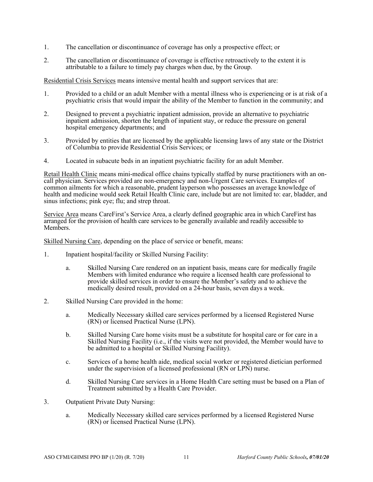- 1. The cancellation or discontinuance of coverage has only a prospective effect; or
- 2. The cancellation or discontinuance of coverage is effective retroactively to the extent it is attributable to a failure to timely pay charges when due, by the Group.

Residential Crisis Services means intensive mental health and support services that are:

- 1. Provided to a child or an adult Member with a mental illness who is experiencing or is at risk of a psychiatric crisis that would impair the ability of the Member to function in the community; and
- 2. Designed to prevent a psychiatric inpatient admission, provide an alternative to psychiatric inpatient admission, shorten the length of inpatient stay, or reduce the pressure on general hospital emergency departments; and
- 3. Provided by entities that are licensed by the applicable licensing laws of any state or the District of Columbia to provide Residential Crisis Services; or
- 4. Located in subacute beds in an inpatient psychiatric facility for an adult Member.

Retail Health Clinic means mini-medical office chains typically staffed by nurse practitioners with an oncall physician. Services provided are non-emergency and non-Urgent Care services. Examples of common ailments for which a reasonable, prudent layperson who possesses an average knowledge of health and medicine would seek Retail Health Clinic care, include but are not limited to: ear, bladder, and sinus infections; pink eye; flu; and strep throat.

Service Area means CareFirst's Service Area, a clearly defined geographic area in which CareFirst has arranged for the provision of health care services to be generally available and readily accessible to Members.

Skilled Nursing Care, depending on the place of service or benefit, means:

- 1. Inpatient hospital/facility or Skilled Nursing Facility:
	- a. Skilled Nursing Care rendered on an inpatient basis, means care for medically fragile Members with limited endurance who require a licensed health care professional to provide skilled services in order to ensure the Member's safety and to achieve the medically desired result, provided on a 24-hour basis, seven days a week.
- 2. Skilled Nursing Care provided in the home:
	- a. Medically Necessary skilled care services performed by a licensed Registered Nurse (RN) or licensed Practical Nurse (LPN).
	- b. Skilled Nursing Care home visits must be a substitute for hospital care or for care in a Skilled Nursing Facility (i.e., if the visits were not provided, the Member would have to be admitted to a hospital or Skilled Nursing Facility).
	- c. Services of a home health aide, medical social worker or registered dietician performed under the supervision of a licensed professional (RN or LPN) nurse.
	- d. Skilled Nursing Care services in a Home Health Care setting must be based on a Plan of Treatment submitted by a Health Care Provider.
- 3. Outpatient Private Duty Nursing:
	- a. Medically Necessary skilled care services performed by a licensed Registered Nurse (RN) or licensed Practical Nurse (LPN).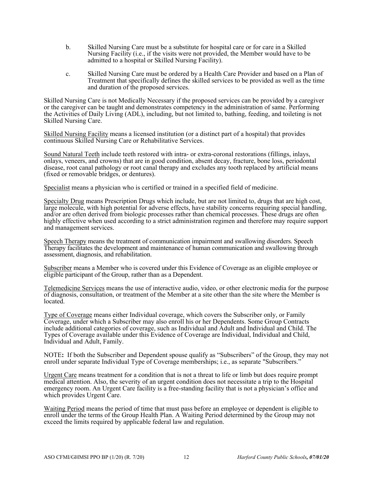- b. Skilled Nursing Care must be a substitute for hospital care or for care in a Skilled Nursing Facility (i.e., if the visits were not provided, the Member would have to be admitted to a hospital or Skilled Nursing Facility).
- c. Skilled Nursing Care must be ordered by a Health Care Provider and based on a Plan of Treatment that specifically defines the skilled services to be provided as well as the time and duration of the proposed services.

Skilled Nursing Care is not Medically Necessary if the proposed services can be provided by a caregiver or the caregiver can be taught and demonstrates competency in the administration of same. Performing the Activities of Daily Living (ADL), including, but not limited to, bathing, feeding, and toileting is not Skilled Nursing Care.

Skilled Nursing Facility means a licensed institution (or a distinct part of a hospital) that provides continuous Skilled Nursing Care or Rehabilitative Services.

Sound Natural Teeth include teeth restored with intra- or extra-coronal restorations (fillings, inlays, onlays, veneers, and crowns) that are in good condition, absent decay, fracture, bone loss, periodontal disease, root canal pathology or root canal therapy and excludes any tooth replaced by artificial means (fixed or removable bridges, or dentures).

Specialist means a physician who is certified or trained in a specified field of medicine.

Specialty Drug means Prescription Drugs which include, but are not limited to, drugs that are high cost, large molecule, with high potential for adverse effects, have stability concerns requiring special handling, and/or are often derived from biologic processes rather than chemical processes. These drugs are often highly effective when used according to a strict administration regimen and therefore may require support and management services.

Speech Therapy means the treatment of communication impairment and swallowing disorders. Speech Therapy facilitates the development and maintenance of human communication and swallowing through assessment, diagnosis, and rehabilitation.

Subscriber means a Member who is covered under this Evidence of Coverage as an eligible employee or eligible participant of the Group, rather than as a Dependent.

Telemedicine Services means the use of interactive audio, video, or other electronic media for the purpose of diagnosis, consultation, or treatment of the Member at a site other than the site where the Member is located.

Type of Coverage means either Individual coverage, which covers the Subscriber only, or Family Coverage, under which a Subscriber may also enroll his or her Dependents. Some Group Contracts include additional categories of coverage, such as Individual and Adult and Individual and Child. The Types of Coverage available under this Evidence of Coverage are Individual, Individual and Child, Individual and Adult, Family.

NOTE**:** If both the Subscriber and Dependent spouse qualify as "Subscribers" of the Group, they may not enroll under separate Individual Type of Coverage memberships; i.e., as separate "Subscribers."

Urgent Care means treatment for a condition that is not a threat to life or limb but does require prompt medical attention. Also, the severity of an urgent condition does not necessitate a trip to the Hospital emergency room. An Urgent Care facility is a free-standing facility that is not a physician's office and which provides Urgent Care.

Waiting Period means the period of time that must pass before an employee or dependent is eligible to enroll under the terms of the Group Health Plan. A Waiting Period determined by the Group may not exceed the limits required by applicable federal law and regulation.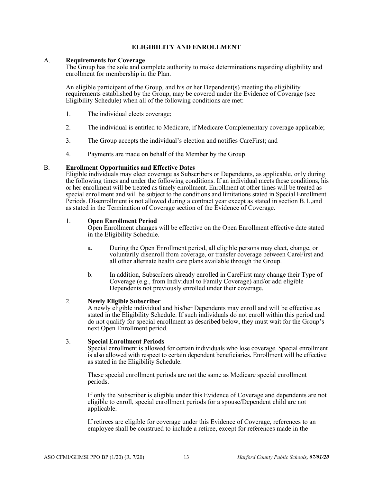## **ELIGIBILITY AND ENROLLMENT**

#### A. **Requirements for Coverage**

The Group has the sole and complete authority to make determinations regarding eligibility and enrollment for membership in the Plan.

An eligible participant of the Group, and his or her Dependent(s) meeting the eligibility requirements established by the Group, may be covered under the Evidence of Coverage (see Eligibility Schedule) when all of the following conditions are met:

- 1. The individual elects coverage;
- 2. The individual is entitled to Medicare, if Medicare Complementary coverage applicable;
- 3. The Group accepts the individual's election and notifies CareFirst; and
- 4. Payments are made on behalf of the Member by the Group.

#### B. **Enrollment Opportunities and Effective Dates**

Eligible individuals may elect coverage as Subscribers or Dependents, as applicable, only during the following times and under the following conditions. If an individual meets these conditions, his or her enrollment will be treated as timely enrollment. Enrollment at other times will be treated as special enrollment and will be subject to the conditions and limitations stated in Special Enrollment Periods. Disenrollment is not allowed during a contract year except as stated in section B.1.,and as stated in the Termination of Coverage section of the Evidence of Coverage.

## 1. **Open Enrollment Period**

Open Enrollment changes will be effective on the Open Enrollment effective date stated in the Eligibility Schedule.

- a. During the Open Enrollment period, all eligible persons may elect, change, or voluntarily disenroll from coverage, or transfer coverage between CareFirst and all other alternate health care plans available through the Group.
- b. In addition, Subscribers already enrolled in CareFirst may change their Type of Coverage (e.g., from Individual to Family Coverage) and/or add eligible Dependents not previously enrolled under their coverage.

## 2. **Newly Eligible Subscriber**

A newly eligible individual and his/her Dependents may enroll and will be effective as stated in the Eligibility Schedule. If such individuals do not enroll within this period and do not qualify for special enrollment as described below, they must wait for the Group's next Open Enrollment period.

#### 3. **Special Enrollment Periods**

Special enrollment is allowed for certain individuals who lose coverage. Special enrollment is also allowed with respect to certain dependent beneficiaries. Enrollment will be effective as stated in the Eligibility Schedule.

These special enrollment periods are not the same as Medicare special enrollment periods.

If only the Subscriber is eligible under this Evidence of Coverage and dependents are not eligible to enroll, special enrollment periods for a spouse/Dependent child are not applicable.

If retirees are eligible for coverage under this Evidence of Coverage, references to an employee shall be construed to include a retiree, except for references made in the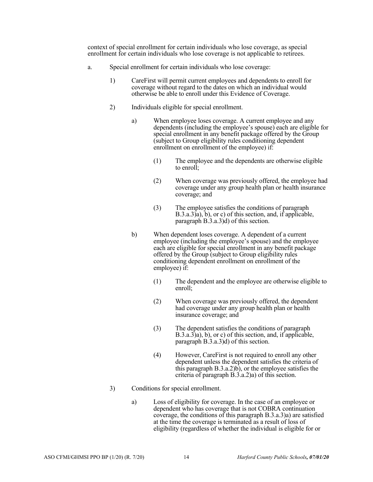context of special enrollment for certain individuals who lose coverage, as special enrollment for certain individuals who lose coverage is not applicable to retirees.

- a. Special enrollment for certain individuals who lose coverage:
	- 1) CareFirst will permit current employees and dependents to enroll for coverage without regard to the dates on which an individual would otherwise be able to enroll under this Evidence of Coverage.
	- 2) Individuals eligible for special enrollment.
		- a) When employee loses coverage. A current employee and any dependents (including the employee's spouse) each are eligible for special enrollment in any benefit package offered by the Group (subject to Group eligibility rules conditioning dependent enrollment on enrollment of the employee) if:
			- (1) The employee and the dependents are otherwise eligible to enroll;
			- (2) When coverage was previously offered, the employee had coverage under any group health plan or health insurance coverage; and
			- (3) The employee satisfies the conditions of paragraph  $B.3.a.3\hat{a}$ ,  $\hat{b}$ , or c) of this section, and, if applicable, paragraph B.3.a.3)d) of this section.
		- b) When dependent loses coverage. A dependent of a current employee (including the employee's spouse) and the employee each are eligible for special enrollment in any benefit package offered by the Group (subject to Group eligibility rules conditioning dependent enrollment on enrollment of the employee) if:
			- (1) The dependent and the employee are otherwise eligible to enroll;
			- (2) When coverage was previously offered, the dependent had coverage under any group health plan or health insurance coverage; and
			- (3) The dependent satisfies the conditions of paragraph  $B.3.a.3$ )a), b), or c) of this section, and, if applicable, paragraph B.3.a.3)d) of this section.
			- (4) However, CareFirst is not required to enroll any other dependent unless the dependent satisfies the criteria of this paragraph  $B(3.a.2)b$ , or the employee satisfies the criteria of paragraph  $\vec{B}$ .  $\vec{3}$ .  $\vec{a}$ .  $\vec{2}$ )a) of this section.
	- 3) Conditions for special enrollment.
		- a) Loss of eligibility for coverage. In the case of an employee or dependent who has coverage that is not COBRA continuation coverage, the conditions of this paragraph B.3.a.3)a) are satisfied at the time the coverage is terminated as a result of loss of eligibility (regardless of whether the individual is eligible for or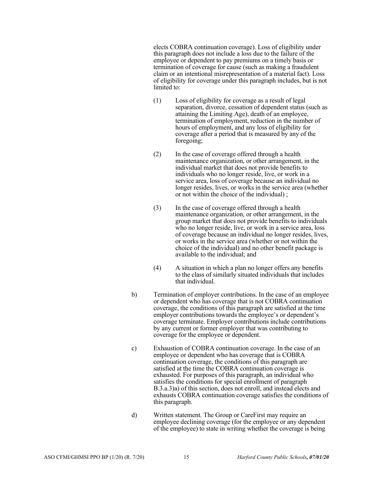elects COBRA continuation coverage). Loss of eligibility under this paragraph does not include a loss due to the failure of the employee or dependent to pay premiums on a timely basis or termination of coverage for cause (such as making a fraudulent claim or an intentional misrepresentation of a material fact). Loss of eligibility for coverage under this paragraph includes, but is not limited to:

- (1) Loss of eligibility for coverage as a result of legal separation, divorce, cessation of dependent status (such as attaining the Limiting Age), death of an employee, termination of employment, reduction in the number of hours of employment, and any loss of eligibility for coverage after a period that is measured by any of the foregoing;
- (2) In the case of coverage offered through a health maintenance organization, or other arrangement, in the individual market that does not provide benefits to individuals who no longer reside, live, or work in a service area, loss of coverage because an individual no longer resides, lives, or works in the service area (whether or not within the choice of the individual) ;
- (3) In the case of coverage offered through a health maintenance organization, or other arrangement, in the group market that does not provide benefits to individuals who no longer reside, live, or work in a service area, loss of coverage because an individual no longer resides, lives, or works in the service area (whether or not within the choice of the individual) and no other benefit package is available to the individual; and
- (4) A situation in which a plan no longer offers any benefits to the class of similarly situated individuals that includes that individual.
- b) Termination of employer contributions. In the case of an employee or dependent who has coverage that is not COBRA continuation coverage, the conditions of this paragraph are satisfied at the time employer contributions towards the employee's or dependent's coverage terminate. Employer contributions include contributions by any current or former employer that was contributing to coverage for the employee or dependent.
- c) Exhaustion of COBRA continuation coverage. In the case of an employee or dependent who has coverage that is COBRA continuation coverage, the conditions of this paragraph are satisfied at the time the COBRA continuation coverage is exhausted. For purposes of this paragraph, an individual who satisfies the conditions for special enrollment of paragraph B.3.a.3)a) of this section, does not enroll, and instead elects and exhausts COBRA continuation coverage satisfies the conditions of this paragraph.
- d) Written statement. The Group or CareFirst may require an employee declining coverage (for the employee or any dependent of the employee) to state in writing whether the coverage is being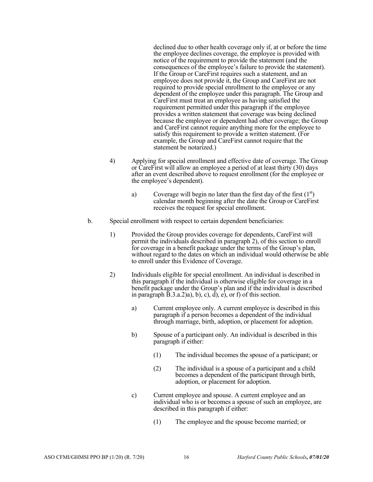declined due to other health coverage only if, at or before the time the employee declines coverage, the employee is provided with notice of the requirement to provide the statement (and the consequences of the employee's failure to provide the statement). If the Group or CareFirst requires such a statement, and an employee does not provide it, the Group and CareFirst are not required to provide special enrollment to the employee or any dependent of the employee under this paragraph. The Group and CareFirst must treat an employee as having satisfied the requirement permitted under this paragraph if the employee provides a written statement that coverage was being declined because the employee or dependent had other coverage; the Group and CareFirst cannot require anything more for the employee to satisfy this requirement to provide a written statement. (For example, the Group and CareFirst cannot require that the statement be notarized.)

- 4) Applying for special enrollment and effective date of coverage. The Group or CareFirst will allow an employee a period of at least thirty (30) days after an event described above to request enrollment (for the employee or the employee's dependent).
	- a) Coverage will begin no later than the first day of the first  $(1<sup>st</sup>)$ calendar month beginning after the date the Group or CareFirst receives the request for special enrollment.
- b. Special enrollment with respect to certain dependent beneficiaries:
	- 1) Provided the Group provides coverage for dependents, CareFirst will permit the individuals described in paragraph 2), of this section to enroll for coverage in a benefit package under the terms of the Group's plan, without regard to the dates on which an individual would otherwise be able to enroll under this Evidence of Coverage.
	- 2) Individuals eligible for special enrollment. An individual is described in this paragraph if the individual is otherwise eligible for coverage in a benefit package under the Group's plan and if the individual is described in paragraph  $\tilde{B}.3.a.2$ )a), b), c),  $\tilde{d}$ ), e), or f) of this section.
		- a) Current employee only. A current employee is described in this paragraph if a person becomes a dependent of the individual through marriage, birth, adoption, or placement for adoption.
		- b) Spouse of a participant only. An individual is described in this paragraph if either:
			- (1) The individual becomes the spouse of a participant; or
			- (2) The individual is a spouse of a participant and a child becomes a dependent of the participant through birth, adoption, or placement for adoption.
		- c) Current employee and spouse. A current employee and an individual who is or becomes a spouse of such an employee, are described in this paragraph if either:
			- (1) The employee and the spouse become married; or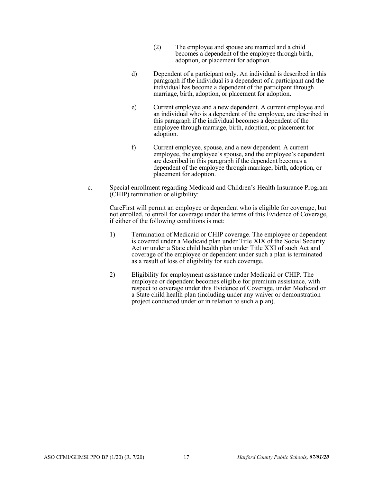- (2) The employee and spouse are married and a child becomes a dependent of the employee through birth, adoption, or placement for adoption.
- d) Dependent of a participant only. An individual is described in this paragraph if the individual is a dependent of a participant and the individual has become a dependent of the participant through marriage, birth, adoption, or placement for adoption.
- e) Current employee and a new dependent. A current employee and an individual who is a dependent of the employee, are described in this paragraph if the individual becomes a dependent of the employee through marriage, birth, adoption, or placement for adoption.
- f) Current employee, spouse, and a new dependent. A current employee, the employee's spouse, and the employee's dependent are described in this paragraph if the dependent becomes a dependent of the employee through marriage, birth, adoption, or placement for adoption.
- c. Special enrollment regarding Medicaid and Children's Health Insurance Program (CHIP) termination or eligibility:

CareFirst will permit an employee or dependent who is eligible for coverage, but not enrolled, to enroll for coverage under the terms of this Evidence of Coverage, if either of the following conditions is met:

- 1) Termination of Medicaid or CHIP coverage. The employee or dependent is covered under a Medicaid plan under Title XIX of the Social Security Act or under a State child health plan under Title XXI of such Act and coverage of the employee or dependent under such a plan is terminated as a result of loss of eligibility for such coverage.
- 2) Eligibility for employment assistance under Medicaid or CHIP. The employee or dependent becomes eligible for premium assistance, with respect to coverage under this Evidence of Coverage, under Medicaid or a State child health plan (including under any waiver or demonstration project conducted under or in relation to such a plan).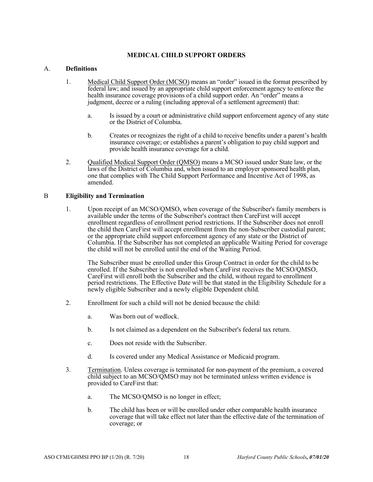## **MEDICAL CHILD SUPPORT ORDERS**

## A. **Definitions**

- 1. Medical Child Support Order (MCSO) means an "order" issued in the format prescribed by federal law; and issued by an appropriate child support enforcement agency to enforce the health insurance coverage provisions of a child support order. An "order" means a judgment, decree or a ruling (including approval of a settlement agreement) that:
	- a. Is issued by a court or administrative child support enforcement agency of any state or the District of Columbia.
	- b. Creates or recognizes the right of a child to receive benefits under a parent's health insurance coverage; or establishes a parent's obligation to pay child support and provide health insurance coverage for a child.
- 2. Qualified Medical Support Order (QMSO) means a MCSO issued under State law, or the laws of the District of Columbia and, when issued to an employer sponsored health plan, one that complies with The Child Support Performance and Incentive Act of 1998, as amended.

## B **Eligibility and Termination**

1. Upon receipt of an MCSO/QMSO, when coverage of the Subscriber's family members is available under the terms of the Subscriber's contract then CareFirst will accept enrollment regardless of enrollment period restrictions. If the Subscriber does not enroll the child then CareFirst will accept enrollment from the non-Subscriber custodial parent; or the appropriate child support enforcement agency of any state or the District of Columbia. If the Subscriber has not completed an applicable Waiting Period for coverage the child will not be enrolled until the end of the Waiting Period.

The Subscriber must be enrolled under this Group Contract in order for the child to be enrolled. If the Subscriber is not enrolled when CareFirst receives the MCSO/QMSO, CareFirst will enroll both the Subscriber and the child, without regard to enrollment period restrictions. The Effective Date will be that stated in the Eligibility Schedule for a newly eligible Subscriber and a newly eligible Dependent child.

- 2. Enrollment for such a child will not be denied because the child:
	- a. Was born out of wedlock.
	- b. Is not claimed as a dependent on the Subscriber's federal tax return.
	- c. Does not reside with the Subscriber.
	- d. Is covered under any Medical Assistance or Medicaid program.
- 3. Termination. Unless coverage is terminated for non-payment of the premium, a covered child subject to an MCSO/QMSO may not be terminated unless written evidence is provided to CareFirst that:
	- a. The MCSO/QMSO is no longer in effect;
	- b. The child has been or will be enrolled under other comparable health insurance coverage that will take effect not later than the effective date of the termination of coverage; or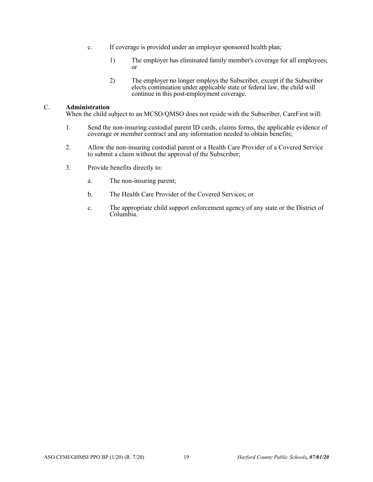- c. If coverage is provided under an employer sponsored health plan;
	- 1) The employer has eliminated family member's coverage for all employees; or
	- 2) The employer no longer employs the Subscriber, except if the Subscriber elects continuation under applicable state or federal law, the child will continue in this post-employment coverage.

#### C. **Administration**

When the child subject to an MCSO/QMSO does not reside with the Subscriber, CareFirst will:

- 1. Send the non-insuring custodial parent ID cards, claims forms, the applicable evidence of coverage or member contract and any information needed to obtain benefits;
- 2. Allow the non-insuring custodial parent or a Health Care Provider of a Covered Service to submit a claim without the approval of the Subscriber;
- 3. Provide benefits directly to:
	- a. The non-insuring parent;
	- b. The Health Care Provider of the Covered Services; or
	- c. The appropriate child support enforcement agency of any state or the District of Columbia.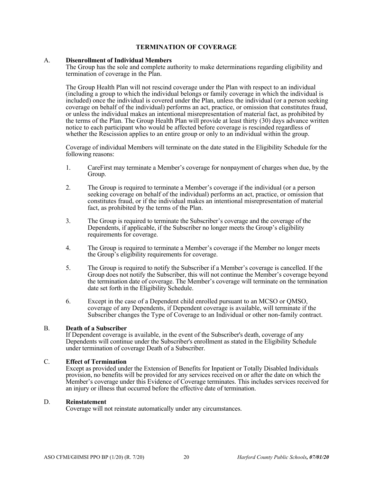## **TERMINATION OF COVERAGE**

#### A. **Disenrollment of Individual Members**

The Group has the sole and complete authority to make determinations regarding eligibility and termination of coverage in the Plan.

The Group Health Plan will not rescind coverage under the Plan with respect to an individual (including a group to which the individual belongs or family coverage in which the individual is included) once the individual is covered under the Plan, unless the individual (or a person seeking coverage on behalf of the individual) performs an act, practice, or omission that constitutes fraud, or unless the individual makes an intentional misrepresentation of material fact, as prohibited by the terms of the Plan. The Group Health Plan will provide at least thirty (30) days advance written notice to each participant who would be affected before coverage is rescinded regardless of whether the Rescission applies to an entire group or only to an individual within the group.

Coverage of individual Members will terminate on the date stated in the Eligibility Schedule for the following reasons:

- 1. CareFirst may terminate a Member's coverage for nonpayment of charges when due, by the Group.
- 2. The Group is required to terminate a Member's coverage if the individual (or a person seeking coverage on behalf of the individual) performs an act, practice, or omission that constitutes fraud, or if the individual makes an intentional misrepresentation of material fact, as prohibited by the terms of the Plan.
- 3. The Group is required to terminate the Subscriber's coverage and the coverage of the Dependents, if applicable, if the Subscriber no longer meets the Group's eligibility requirements for coverage.
- 4. The Group is required to terminate a Member's coverage if the Member no longer meets the Group's eligibility requirements for coverage.
- 5. The Group is required to notify the Subscriber if a Member's coverage is cancelled. If the Group does not notify the Subscriber, this will not continue the Member's coverage beyond the termination date of coverage. The Member's coverage will terminate on the termination date set forth in the Eligibility Schedule.
- 6. Except in the case of a Dependent child enrolled pursuant to an MCSO or QMSO, coverage of any Dependents, if Dependent coverage is available, will terminate if the Subscriber changes the Type of Coverage to an Individual or other non-family contract.

#### B. **Death of a Subscriber**

If Dependent coverage is available, in the event of the Subscriber's death, coverage of any Dependents will continue under the Subscriber's enrollment as stated in the Eligibility Schedule under termination of coverage Death of a Subscriber.

#### C. **Effect of Termination**

Except as provided under the Extension of Benefits for Inpatient or Totally Disabled Individuals provision, no benefits will be provided for any services received on or after the date on which the Member's coverage under this Evidence of Coverage terminates. This includes services received for an injury or illness that occurred before the effective date of termination.

#### D. **Reinstatement**

Coverage will not reinstate automatically under any circumstances.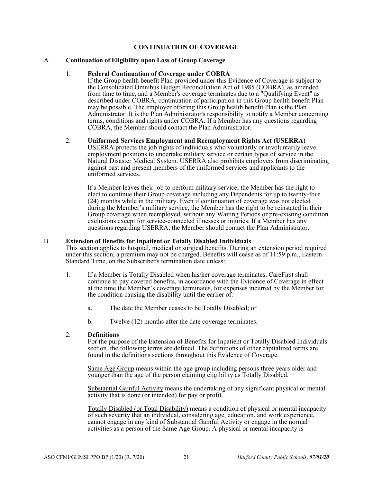## **CONTINUATION OF COVERAGE**

#### A. **Continuation of Eligibility upon Loss of Group Coverage**

#### 1. **Federal Continuation of Coverage under COBRA**

If the Group health benefit Plan provided under this Evidence of Coverage is subject to the Consolidated Omnibus Budget Reconciliation Act of 1985 (COBRA), as amended from time to time, and a Member's coverage terminates due to a "Qualifying Event" as described under COBRA, continuation of participation in this Group health benefit Plan may be possible. The employer offering this Group health benefit Plan is the Plan Administrator. It is the Plan Administrator's responsibility to notify a Member concerning terms, conditions and rights under COBRA. If a Member has any questions regarding COBRA, the Member should contact the Plan Administrator.

#### 2. **Uniformed Services Employment and Reemployment Rights Act (USERRA)**

USERRA protects the job rights of individuals who voluntarily or involuntarily leave employment positions to undertake military service or certain types of service in the Natural Disaster Medical System. USERRA also prohibits employers from discriminating against past and present members of the uniformed services and applicants to the uniformed services.

If a Member leaves their job to perform military service, the Member has the right to elect to continue their Group coverage including any Dependents for up to twenty-four (24) months while in the military. Even if continuation of coverage was not elected during the Member's military service, the Member has the right to be reinstated in their Group coverage when reemployed, without any Waiting Periods or pre-existing condition exclusions except for service-connected illnesses or injuries. If a Member has any questions regarding USERRA, the Member should contact the Plan Administrator.

#### B. **Extension of Benefits for Inpatient or Totally Disabled Individuals**

This section applies to hospital, medical or surgical benefits. During an extension period required under this section, a premium may not be charged. Benefits will cease as of  $11:59$  p.m., Eastern Standard Time, on the Subscriber's termination date unless:

- 1. If a Member is Totally Disabled when his/her coverage terminates, CareFirst shall continue to pay covered benefits, in accordance with the Evidence of Coverage in effect at the time the Member's coverage terminates, for expenses incurred by the Member for the condition causing the disability until the earlier of:
	- a. The date the Member ceases to be Totally Disabled; or
	- b. Twelve (12) months after the date coverage terminates.

## 2. **Definitions**

For the purpose of the Extension of Benefits for Inpatient or Totally Disabled Individuals section, the following terms are defined. The definitions of other capitalized terms are found in the definitions sections throughout this Evidence of Coverage.

Same Age Group means within the age group including persons three years older and younger than the age of the person claiming eligibility as Totally Disabled.

Substantial Gainful Activity means the undertaking of any significant physical or mental activity that is done (or intended) for pay or profit.

Totally Disabled (or Total Disability) means a condition of physical or mental incapacity of such severity that an individual, considering age, education, and work experience, cannot engage in any kind of Substantial Gainful Activity or engage in the normal activities as a person of the Same Age Group. A physical or mental incapacity is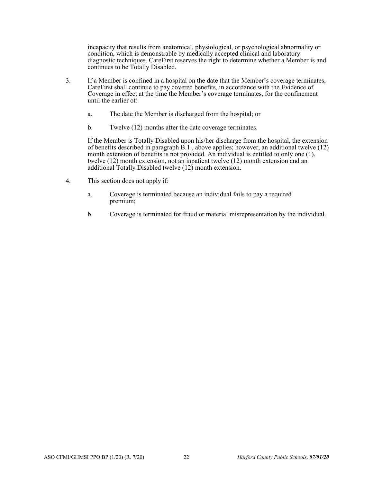incapacity that results from anatomical, physiological, or psychological abnormality or condition, which is demonstrable by medically accepted clinical and laboratory diagnostic techniques. CareFirst reserves the right to determine whether a Member is and continues to be Totally Disabled.

- 3. If a Member is confined in a hospital on the date that the Member's coverage terminates, CareFirst shall continue to pay covered benefits, in accordance with the Evidence of Coverage in effect at the time the Member's coverage terminates, for the confinement until the earlier of:
	- a. The date the Member is discharged from the hospital; or
	- b. Twelve (12) months after the date coverage terminates.

If the Member is Totally Disabled upon his/her discharge from the hospital, the extension of benefits described in paragraph B.1., above applies; however, an additional twelve (12) month extension of benefits is not provided. An individual is entitled to only one (1), twelve (12) month extension, not an inpatient twelve (12) month extension and an additional Totally Disabled twelve (12) month extension.

- 4. This section does not apply if:
	- a. Coverage is terminated because an individual fails to pay a required premium;
	- b. Coverage is terminated for fraud or material misrepresentation by the individual.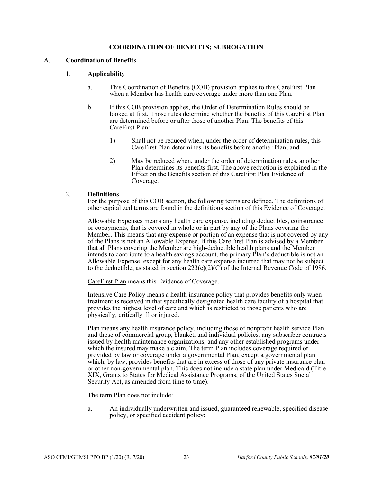## **COORDINATION OF BENEFITS; SUBROGATION**

#### A. **Coordination of Benefits**

## 1. **Applicability**

- a. This Coordination of Benefits (COB) provision applies to this CareFirst Plan when a Member has health care coverage under more than one Plan.
- b. If this COB provision applies, the Order of Determination Rules should be looked at first. Those rules determine whether the benefits of this CareFirst Plan are determined before or after those of another Plan. The benefits of this CareFirst Plan:
	- 1) Shall not be reduced when, under the order of determination rules, this CareFirst Plan determines its benefits before another Plan; and
	- 2) May be reduced when, under the order of determination rules, another Plan determines its benefits first. The above reduction is explained in the Effect on the Benefits section of this CareFirst Plan Evidence of Coverage.

#### 2. **Definitions**

For the purpose of this COB section, the following terms are defined. The definitions of other capitalized terms are found in the definitions section of this Evidence of Coverage.

Allowable Expenses means any health care expense, including deductibles, coinsurance or copayments, that is covered in whole or in part by any of the Plans covering the Member. This means that any expense or portion of an expense that is not covered by any of the Plans is not an Allowable Expense. If this CareFirst Plan is advised by a Member that all Plans covering the Member are high-deductible health plans and the Member intends to contribute to a health savings account, the primary Plan's deductible is not an Allowable Expense, except for any health care expense incurred that may not be subject to the deductible, as stated in section  $223(c)(2)(C)$  of the Internal Revenue Code of 1986.

CareFirst Plan means this Evidence of Coverage.

Intensive Care Policy means a health insurance policy that provides benefits only when treatment is received in that specifically designated health care facility of a hospital that provides the highest level of care and which is restricted to those patients who are physically, critically ill or injured.

Plan means any health insurance policy, including those of nonprofit health service Plan and those of commercial group, blanket, and individual policies, any subscriber contracts issued by health maintenance organizations, and any other established programs under which the insured may make a claim. The term Plan includes coverage required or provided by law or coverage under a governmental Plan, except a governmental plan which, by law, provides benefits that are in excess of those of any private insurance plan or other non-governmental plan. This does not include a state plan under Medicaid (Title XIX, Grants to States for Medical Assistance Programs, of the United States Social Security Act, as amended from time to time).

The term Plan does not include:

a. An individually underwritten and issued, guaranteed renewable, specified disease policy, or specified accident policy;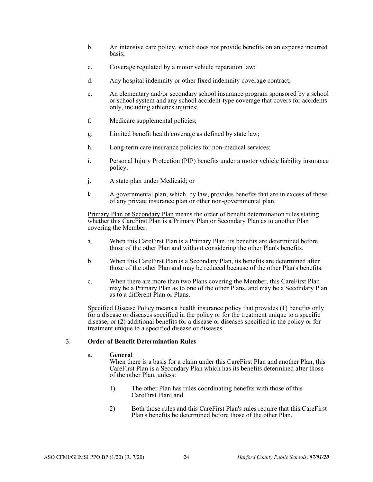- b. An intensive care policy, which does not provide benefits on an expense incurred basis;
- c. Coverage regulated by a motor vehicle reparation law;
- d. Any hospital indemnity or other fixed indemnity coverage contract;
- e. An elementary and/or secondary school insurance program sponsored by a school or school system and any school accident-type coverage that covers for accidents only, including athletics injuries;
- f. Medicare supplemental policies;
- g. Limited benefit health coverage as defined by state law;
- h. Long-term care insurance policies for non-medical services;
- i. Personal Injury Protection (PIP) benefits under a motor vehicle liability insurance policy.
- j. A state plan under Medicaid; or
- k. A governmental plan, which, by law, provides benefits that are in excess of those of any private insurance plan or other non-governmental plan.

Primary Plan or Secondary Plan means the order of benefit determination rules stating whether this CareFirst Plan is a Primary Plan or Secondary Plan as to another Plan covering the Member.

- a. When this CareFirst Plan is a Primary Plan, its benefits are determined before those of the other Plan and without considering the other Plan's benefits.
- b. When this CareFirst Plan is a Secondary Plan, its benefits are determined after those of the other Plan and may be reduced because of the other Plan's benefits.
- c. When there are more than two Plans covering the Member, this CareFirst Plan may be a Primary Plan as to one of the other Plans, and may be a Secondary Plan as to a different Plan or Plans.

Specified Disease Policy means a health insurance policy that provides (1) benefits only for a disease or diseases specified in the policy or for the treatment unique to a specific disease; or (2) additional benefits for a disease or diseases specified in the policy or for treatment unique to a specified disease or diseases.

## 3. **Order of Benefit Determination Rules**

#### a. **General**

When there is a basis for a claim under this CareFirst Plan and another Plan, this CareFirst Plan is a Secondary Plan which has its benefits determined after those of the other Plan, unless:

- 1) The other Plan has rules coordinating benefits with those of this CareFirst Plan; and
- 2) Both those rules and this CareFirst Plan's rules require that this CareFirst Plan's benefits be determined before those of the other Plan.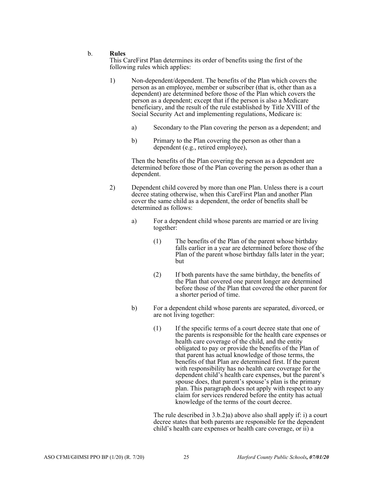#### b. **Rules**

This CareFirst Plan determines its order of benefits using the first of the following rules which applies:

- 1) Non-dependent/dependent. The benefits of the Plan which covers the person as an employee, member or subscriber (that is, other than as a dependent) are determined before those of the Plan which covers the person as a dependent; except that if the person is also a Medicare beneficiary, and the result of the rule established by Title XVIII of the Social Security Act and implementing regulations, Medicare is:
	- a) Secondary to the Plan covering the person as a dependent; and
	- b) Primary to the Plan covering the person as other than a dependent (e.g., retired employee),

Then the benefits of the Plan covering the person as a dependent are determined before those of the Plan covering the person as other than a dependent.

- 2) Dependent child covered by more than one Plan. Unless there is a court decree stating otherwise, when this CareFirst Plan and another Plan cover the same child as a dependent, the order of benefits shall be determined as follows:
	- a) For a dependent child whose parents are married or are living together:
		- (1) The benefits of the Plan of the parent whose birthday falls earlier in a year are determined before those of the Plan of the parent whose birthday falls later in the year; but
		- (2) If both parents have the same birthday, the benefits of the Plan that covered one parent longer are determined before those of the Plan that covered the other parent for a shorter period of time.
	- b) For a dependent child whose parents are separated, divorced, or are not living together:
		- (1) If the specific terms of a court decree state that one of the parents is responsible for the health care expenses or health care coverage of the child, and the entity obligated to pay or provide the benefits of the Plan of that parent has actual knowledge of those terms, the benefits of that Plan are determined first. If the parent with responsibility has no health care coverage for the dependent child's health care expenses, but the parent's spouse does, that parent's spouse's plan is the primary plan. This paragraph does not apply with respect to any claim for services rendered before the entity has actual knowledge of the terms of the court decree.

The rule described in 3.b.2)a) above also shall apply if: i) a court decree states that both parents are responsible for the dependent child's health care expenses or health care coverage, or ii) a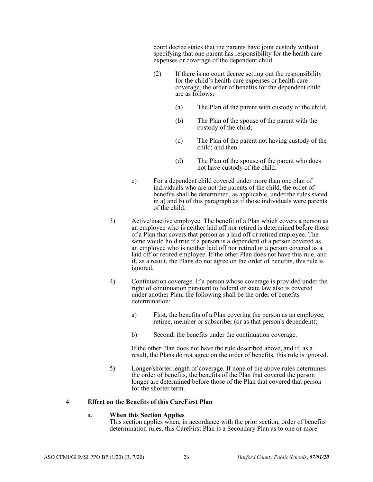court decree states that the parents have joint custody without specifying that one parent has responsibility for the health care expenses or coverage of the dependent child.

- (2) If there is no court decree setting out the responsibility for the child's health care expenses or health care coverage, the order of benefits for the dependent child are as follows:
	- (a) The Plan of the parent with custody of the child;
	- (b) The Plan of the spouse of the parent with the custody of the child;
	- (c) The Plan of the parent not having custody of the child; and then
	- (d) The Plan of the spouse of the parent who does not have custody of the child.
- c) For a dependent child covered under more than one plan of individuals who are not the parents of the child, the order of benefits shall be determined, as applicable, under the rules stated in a) and b) of this paragraph as if those individuals were parents of the child.
- 3) Active/inactive employee. The benefit of a Plan which covers a person as an employee who is neither laid off nor retired is determined before those of a Plan that covers that person as a laid off or retired employee. The same would hold true if a person is a dependent of a person covered as an employee who is neither laid off nor retired or a person covered as a laid off or retired employee. If the other Plan does not have this rule, and if, as a result, the Plans do not agree on the order of benefits, this rule is ignored.
- 4) Continuation coverage. If a person whose coverage is provided under the right of continuation pursuant to federal or state law also is covered under another Plan, the following shall be the order of benefits determination:
	- a) First, the benefits of a Plan covering the person as an employee, retiree, member or subscriber (or as that person's dependent);
	- b) Second, the benefits under the continuation coverage.

If the other Plan does not have the rule described above, and if, as a result, the Plans do not agree on the order of benefits, this rule is ignored.

5) Longer/shorter length of coverage. If none of the above rules determines the order of benefits, the benefits of the Plan that covered the person longer are determined before those of the Plan that covered that person for the shorter term.

## 4. **Effect on the Benefits of this CareFirst Plan**

#### a. **When this Section Applies**

This section applies when, in accordance with the prior section, order of benefits determination rules, this CareFirst Plan is a Secondary Plan as to one or more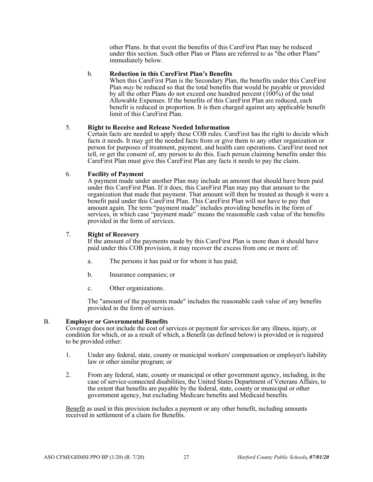other Plans. In that event the benefits of this CareFirst Plan may be reduced under this section. Such other Plan or Plans are referred to as "the other Plans" immediately below.

## b. **Reduction in this CareFirst Plan's Benefits**

When this CareFirst Plan is the Secondary Plan, the benefits under this CareFirst Plan *may* be reduced so that the total benefits that would be payable or provided by all the other Plans do not exceed one hundred percent  $(100\%)$  of the total Allowable Expenses. If the benefits of this CareFirst Plan are reduced, each benefit is reduced in proportion. It is then charged against any applicable benefit limit of this CareFirst Plan.

## 5. **Right to Receive and Release Needed Information**

Certain facts are needed to apply these COB rules. CareFirst has the right to decide which facts it needs. It may get the needed facts from or give them to any other organization or person for purposes of treatment, payment, and health care operations. CareFirst need not tell, or get the consent of, any person to do this. Each person claiming benefits under this CareFirst Plan must give this CareFirst Plan any facts it needs to pay the claim.

## 6. **Facility of Payment**

A payment made under another Plan may include an amount that should have been paid under this CareFirst Plan. If it does, this CareFirst Plan may pay that amount to the organization that made that payment. That amount will then be treated as though it were a benefit paid under this CareFirst Plan. This CareFirst Plan will not have to pay that amount again. The term "payment made" includes providing benefits in the form of services, in which case "payment made" means the reasonable cash value of the benefits provided in the form of services.

## 7. **Right of Recovery**

If the amount of the payments made by this CareFirst Plan is more than it should have paid under this COB provision, it may recover the excess from one or more of:

- a. The persons it has paid or for whom it has paid;
- b. Insurance companies; or
- c. Other organizations.

The "amount of the payments made" includes the reasonable cash value of any benefits provided in the form of services.

#### B. **Employer or Governmental Benefits**

Coverage does not include the cost of services or payment for services for any illness, injury, or condition for which, or as a result of which, a Benefit (as defined below) is provided or is required to be provided either:

- 1. Under any federal, state, county or municipal workers' compensation or employer's liability law or other similar program; or
- 2. From any federal, state, county or municipal or other government agency, including, in the case of service-connected disabilities, the United States Department of Veterans Affairs, to the extent that benefits are payable by the federal, state, county or municipal or other government agency, but excluding Medicare benefits and Medicaid benefits.

Benefit as used in this provision includes a payment or any other benefit, including amounts received in settlement of a claim for Benefits.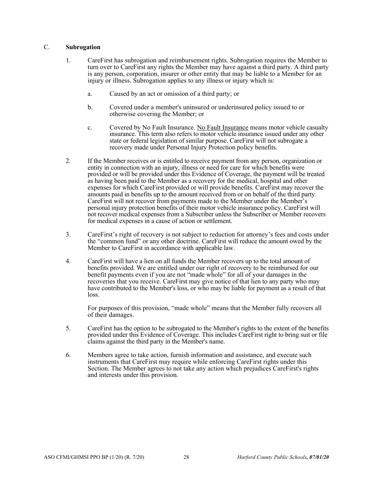## C. **Subrogation**

- 1. CareFirst has subrogation and reimbursement rights. Subrogation requires the Member to turn over to CareFirst any rights the Member may have against a third party. A third party is any person, corporation, insurer or other entity that may be liable to a Member for an injury or illness. Subrogation applies to any illness or injury which is:
	- a. Caused by an act or omission of a third party; or
	- b. Covered under a member's uninsured or underinsured policy issued to or otherwise covering the Member; or
	- c. Covered by No Fault Insurance. No Fault Insurance means motor vehicle casualty insurance. This term also refers to motor vehicle insurance issued under any other state or federal legislation of similar purpose. CareFirst will not subrogate a recovery made under Personal Injury Protection policy benefits.
- 2. If the Member receives or is entitled to receive payment from any person, organization or entity in connection with an injury, illness or need for care for which benefits were provided or will be provided under this Evidence of Coverage, the payment will be treated as having been paid to the Member as a recovery for the medical, hospital and other expenses for which CareFirst provided or will provide benefits. CareFirst may recover the amounts paid in benefits up to the amount received from or on behalf of the third party. CareFirst will not recover from payments made to the Member under the Member's personal injury protection benefits of their motor vehicle insurance policy. CareFirst will not recover medical expenses from a Subscriber unless the Subscriber or Member recovers for medical expenses in a cause of action or settlement.
- 3. CareFirst's right of recovery is not subject to reduction for attorney's fees and costs under the "common fund" or any other doctrine. CareFirst will reduce the amount owed by the Member to CareFirst in accordance with applicable law.
- 4. CareFirst will have a lien on all funds the Member recovers up to the total amount of benefits provided. We are entitled under our right of recovery to be reimbursed for our benefit payments even if you are not "made whole" for all of your damages in the recoveries that you receive. CareFirst may give notice of that lien to any party who may have contributed to the Member's loss, or who may be liable for payment as a result of that loss.

For purposes of this provision, "made whole" means that the Member fully recovers all of their damages.

- 5. CareFirst has the option to be subrogated to the Member's rights to the extent of the benefits provided under this Evidence of Coverage. This includes CareFirst right to bring suit or file claims against the third party in the Member's name.
- 6. Members agree to take action, furnish information and assistance, and execute such instruments that CareFirst may require while enforcing CareFirst rights under this Section. The Member agrees to not take any action which prejudices CareFirst's rights and interests under this provision.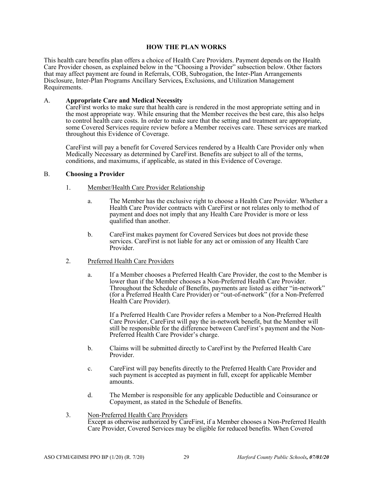## **HOW THE PLAN WORKS**

This health care benefits plan offers a choice of Health Care Providers. Payment depends on the Health Care Provider chosen, as explained below in the "Choosing a Provider" subsection below. Other factors that may affect payment are found in Referrals, COB, Subrogation, the Inter-Plan Arrangements Disclosure, Inter-Plan Programs Ancillary Services**,** Exclusions, and Utilization Management Requirements.

#### A. **Appropriate Care and Medical Necessity**

CareFirst works to make sure that health care is rendered in the most appropriate setting and in the most appropriate way. While ensuring that the Member receives the best care, this also helps to control health care costs. In order to make sure that the setting and treatment are appropriate, some Covered Services require review before a Member receives care. These services are marked throughout this Evidence of Coverage.

CareFirst will pay a benefit for Covered Services rendered by a Health Care Provider only when Medically Necessary as determined by CareFirst. Benefits are subject to all of the terms, conditions, and maximums, if applicable, as stated in this Evidence of Coverage.

## B. **Choosing a Provider**

- 1. Member/Health Care Provider Relationship
	- a. The Member has the exclusive right to choose a Health Care Provider. Whether a Health Care Provider contracts with CareFirst or not relates only to method of payment and does not imply that any Health Care Provider is more or less qualified than another.
	- b. CareFirst makes payment for Covered Services but does not provide these services. CareFirst is not liable for any act or omission of any Health Care Provider.
- 2. Preferred Health Care Providers
	- a. If a Member chooses a Preferred Health Care Provider, the cost to the Member is lower than if the Member chooses a Non-Preferred Health Care Provider. Throughout the Schedule of Benefits, payments are listed as either "in-network" (for a Preferred Health Care Provider) or "out-of-network" (for a Non-Preferred Health Care Provider).

If a Preferred Health Care Provider refers a Member to a Non-Preferred Health Care Provider, CareFirst will pay the in-network benefit, but the Member will still be responsible for the difference between CareFirst's payment and the Non-Preferred Health Care Provider's charge.

- b. Claims will be submitted directly to CareFirst by the Preferred Health Care Provider.
- c. CareFirst will pay benefits directly to the Preferred Health Care Provider and such payment is accepted as payment in full, except for applicable Member amounts.
- d. The Member is responsible for any applicable Deductible and Coinsurance or Copayment, as stated in the Schedule of Benefits.
- 3. Non-Preferred Health Care Providers Except as otherwise authorized by CareFirst, if a Member chooses a Non-Preferred Health Care Provider, Covered Services may be eligible for reduced benefits. When Covered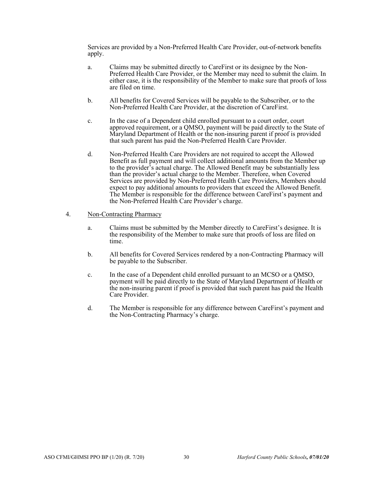Services are provided by a Non-Preferred Health Care Provider, out-of-network benefits apply.

- a. Claims may be submitted directly to CareFirst or its designee by the Non-Preferred Health Care Provider, or the Member may need to submit the claim. In either case, it is the responsibility of the Member to make sure that proofs of loss are filed on time.
- b. All benefits for Covered Services will be payable to the Subscriber, or to the Non-Preferred Health Care Provider, at the discretion of CareFirst.
- c. In the case of a Dependent child enrolled pursuant to a court order, court approved requirement, or a QMSO, payment will be paid directly to the State of Maryland Department of Health or the non-insuring parent if proof is provided that such parent has paid the Non-Preferred Health Care Provider.
- d. Non-Preferred Health Care Providers are not required to accept the Allowed Benefit as full payment and will collect additional amounts from the Member up to the provider's actual charge. The Allowed Benefit may be substantially less than the provider's actual charge to the Member. Therefore, when Covered Services are provided by Non-Preferred Health Care Providers, Members should expect to pay additional amounts to providers that exceed the Allowed Benefit. The Member is responsible for the difference between CareFirst's payment and the Non-Preferred Health Care Provider's charge.

## 4. Non-Contracting Pharmacy

- a. Claims must be submitted by the Member directly to CareFirst's designee. It is the responsibility of the Member to make sure that proofs of loss are filed on time.
- b. All benefits for Covered Services rendered by a non-Contracting Pharmacy will be payable to the Subscriber.
- c. In the case of a Dependent child enrolled pursuant to an MCSO or a QMSO, payment will be paid directly to the State of Maryland Department of Health or the non-insuring parent if proof is provided that such parent has paid the Health Care Provider.
- d. The Member is responsible for any difference between CareFirst's payment and the Non-Contracting Pharmacy's charge.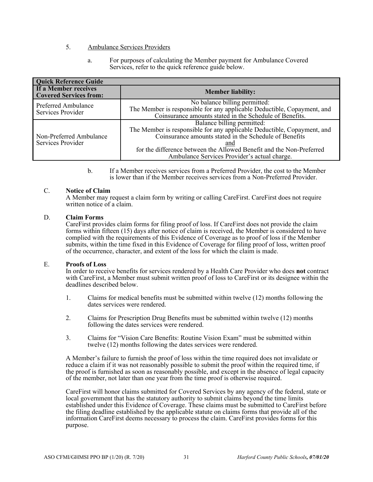## 5. Ambulance Services Providers

a. For purposes of calculating the Member payment for Ambulance Covered Services, refer to the quick reference guide below.

| <b>Quick Reference Guide</b>                          |                                                                                                                                    |  |  |  |  |
|-------------------------------------------------------|------------------------------------------------------------------------------------------------------------------------------------|--|--|--|--|
| If a Member receives<br><b>Covered Services from:</b> | <b>Member liability:</b>                                                                                                           |  |  |  |  |
| Preferred Ambulance<br>Services Provider              | No balance billing permitted:                                                                                                      |  |  |  |  |
|                                                       | The Member is responsible for any applicable Deductible, Copayment, and<br>Coinsurance amounts stated in the Schedule of Benefits. |  |  |  |  |
|                                                       |                                                                                                                                    |  |  |  |  |
| Non-Preferred Ambulance<br>Services Provider          | Balance billing permitted:                                                                                                         |  |  |  |  |
|                                                       | The Member is responsible for any applicable Deductible, Copayment, and<br>Coinsurance amounts stated in the Schedule of Benefits  |  |  |  |  |
|                                                       |                                                                                                                                    |  |  |  |  |
|                                                       | and                                                                                                                                |  |  |  |  |
|                                                       | for the difference between the Allowed Benefit and the Non-Preferred                                                               |  |  |  |  |
|                                                       | Ambulance Services Provider's actual charge.                                                                                       |  |  |  |  |

b. If a Member receives services from a Preferred Provider, the cost to the Member is lower than if the Member receives services from a Non-Preferred Provider.

## C. **Notice of Claim**

A Member may request a claim form by writing or calling CareFirst. CareFirst does not require written notice of a claim.

## D. **Claim Forms**

CareFirst provides claim forms for filing proof of loss. If CareFirst does not provide the claim forms within fifteen (15) days after notice of claim is received, the Member is considered to have complied with the requirements of this Evidence of Coverage as to proof of loss if the Member submits, within the time fixed in this Evidence of Coverage for filing proof of loss, written proof of the occurrence, character, and extent of the loss for which the claim is made.

## E. **Proofs of Loss**

In order to receive benefits for services rendered by a Health Care Provider who does **not** contract with CareFirst, a Member must submit written proof of loss to CareFirst or its designee within the deadlines described below.

- 1. Claims for medical benefits must be submitted within twelve (12) months following the dates services were rendered.
- 2. Claims for Prescription Drug Benefits must be submitted within twelve (12) months following the dates services were rendered.
- 3. Claims for "Vision Care Benefits: Routine Vision Exam" must be submitted within twelve (12) months following the dates services were rendered.

A Member's failure to furnish the proof of loss within the time required does not invalidate or reduce a claim if it was not reasonably possible to submit the proof within the required time, if the proof is furnished as soon as reasonably possible, and except in the absence of legal capacity of the member, not later than one year from the time proof is otherwise required.

CareFirst will honor claims submitted for Covered Services by any agency of the federal, state or local government that has the statutory authority to submit claims beyond the time limits established under this Evidence of Coverage. These claims must be submitted to CareFirst before the filing deadline established by the applicable statute on claims forms that provide all of the information CareFirst deems necessary to process the claim. CareFirst provides forms for this purpose.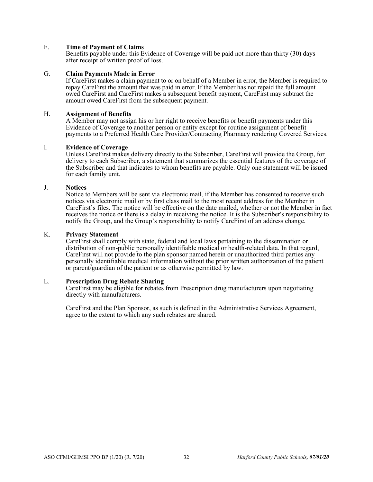#### F. **Time of Payment of Claims**

Benefits payable under this Evidence of Coverage will be paid not more than thirty (30) days after receipt of written proof of loss.

## G. **Claim Payments Made in Error**

If CareFirst makes a claim payment to or on behalf of a Member in error, the Member is required to repay CareFirst the amount that was paid in error. If the Member has not repaid the full amount owed CareFirst and CareFirst makes a subsequent benefit payment, CareFirst may subtract the amount owed CareFirst from the subsequent payment.

#### H. **Assignment of Benefits**

A Member may not assign his or her right to receive benefits or benefit payments under this Evidence of Coverage to another person or entity except for routine assignment of benefit payments to a Preferred Health Care Provider/Contracting Pharmacy rendering Covered Services.

#### I. **Evidence of Coverage**

Unless CareFirst makes delivery directly to the Subscriber, CareFirst will provide the Group, for delivery to each Subscriber, a statement that summarizes the essential features of the coverage of the Subscriber and that indicates to whom benefits are payable. Only one statement will be issued for each family unit.

#### J. **Notices**

Notice to Members will be sent via electronic mail, if the Member has consented to receive such notices via electronic mail or by first class mail to the most recent address for the Member in CareFirst's files. The notice will be effective on the date mailed, whether or not the Member in fact receives the notice or there is a delay in receiving the notice. It is the Subscriber's responsibility to notify the Group, and the Group's responsibility to notify CareFirst of an address change.

## K. **Privacy Statement**

CareFirst shall comply with state, federal and local laws pertaining to the dissemination or distribution of non-public personally identifiable medical or health-related data. In that regard, CareFirst will not provide to the plan sponsor named herein or unauthorized third parties any personally identifiable medical information without the prior written authorization of the patient or parent/guardian of the patient or as otherwise permitted by law.

## L. **Prescription Drug Rebate Sharing**

CareFirst may be eligible for rebates from Prescription drug manufacturers upon negotiating directly with manufacturers.

CareFirst and the Plan Sponsor, as such is defined in the Administrative Services Agreement, agree to the extent to which any such rebates are shared.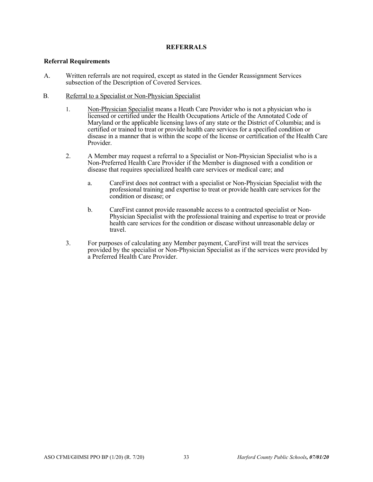## **REFERRALS**

## **Referral Requirements**

- A. Written referrals are not required, except as stated in the Gender Reassignment Services subsection of the Description of Covered Services.
- B. Referral to a Specialist or Non-Physician Specialist
	- 1. Non-Physician Specialist means a Heath Care Provider who is not a physician who is licensed or certified under the Health Occupations Article of the Annotated Code of Maryland or the applicable licensing laws of any state or the District of Columbia; and is certified or trained to treat or provide health care services for a specified condition or disease in a manner that is within the scope of the license or certification of the Health Care Provider.
	- 2. A Member may request a referral to a Specialist or Non-Physician Specialist who is a Non-Preferred Health Care Provider if the Member is diagnosed with a condition or disease that requires specialized health care services or medical care; and
		- a. CareFirst does not contract with a specialist or Non-Physician Specialist with the professional training and expertise to treat or provide health care services for the condition or disease; or
		- b. CareFirst cannot provide reasonable access to a contracted specialist or Non-Physician Specialist with the professional training and expertise to treat or provide health care services for the condition or disease without unreasonable delay or travel.
	- 3. For purposes of calculating any Member payment, CareFirst will treat the services provided by the specialist or Non-Physician Specialist as if the services were provided by a Preferred Health Care Provider.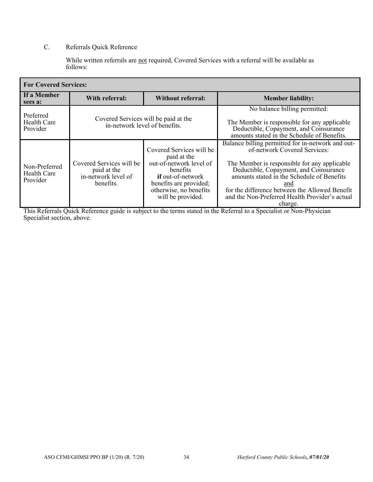## C. Referrals Quick Reference

While written referrals are not required, Covered Services with a referral will be available as follows:

| <b>For Covered Services:</b>             |                                                                             |                                                                                                                                                                                     |                                                                                                                                                                                                                                                                                                                                                 |  |  |
|------------------------------------------|-----------------------------------------------------------------------------|-------------------------------------------------------------------------------------------------------------------------------------------------------------------------------------|-------------------------------------------------------------------------------------------------------------------------------------------------------------------------------------------------------------------------------------------------------------------------------------------------------------------------------------------------|--|--|
| If a Member<br>sees a:                   | With referral:                                                              | <b>Without referral:</b>                                                                                                                                                            | <b>Member liability:</b>                                                                                                                                                                                                                                                                                                                        |  |  |
| Preferred<br>Health Care<br>Provider     | Covered Services will be paid at the<br>in-network level of benefits.       |                                                                                                                                                                                     | No balance billing permitted:<br>The Member is responsible for any applicable<br>Deductible, Copayment, and Coinsurance<br>amounts stated in the Schedule of Benefits.                                                                                                                                                                          |  |  |
| Non-Preferred<br>Health Care<br>Provider | Covered Services will be<br>paid at the<br>in-network level of<br>benefits. | Covered Services will be<br>paid at the<br>out-of-network level of<br>benefits<br><b>if</b> out-of-network<br>benefits are provided;<br>otherwise, no benefits<br>will be provided. | Balance billing permitted for in-network and out-<br>of-network Covered Services:<br>The Member is responsible for any applicable<br>Deductible, Copayment, and Coinsurance<br>amounts stated in the Schedule of Benefits<br>and<br>for the difference between the Allowed Benefit<br>and the Non-Preferred Health Provider's actual<br>charge. |  |  |

This Referrals Quick Reference guide is subject to the terms stated in the Referral to a Specialist or Non-Physician Specialist section, above.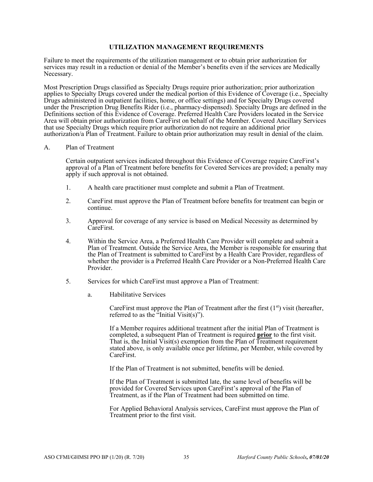## **UTILIZATION MANAGEMENT REQUIREMENTS**

Failure to meet the requirements of the utilization management or to obtain prior authorization for services may result in a reduction or denial of the Member's benefits even if the services are Medically Necessary.

Most Prescription Drugs classified as Specialty Drugs require prior authorization; prior authorization applies to Specialty Drugs covered under the medical portion of this Evidence of Coverage (i.e., Specialty Drugs administered in outpatient facilities, home, or office settings) and for Specialty Drugs covered under the Prescription Drug Benefits Rider (i.e., pharmacy-dispensed). Specialty Drugs are defined in the Definitions section of this Evidence of Coverage. Preferred Health Care Providers located in the Service Area will obtain prior authorization from CareFirst on behalf of the Member. Covered Ancillary Services that use Specialty Drugs which require prior authorization do not require an additional prior authorization/a Plan of Treatment. Failure to obtain prior authorization may result in denial of the claim.

#### A. Plan of Treatment

Certain outpatient services indicated throughout this Evidence of Coverage require CareFirst's approval of a Plan of Treatment before benefits for Covered Services are provided; a penalty may apply if such approval is not obtained.

- 1. A health care practitioner must complete and submit a Plan of Treatment.
- 2. CareFirst must approve the Plan of Treatment before benefits for treatment can begin or continue.
- 3. Approval for coverage of any service is based on Medical Necessity as determined by CareFirst.
- 4. Within the Service Area, a Preferred Health Care Provider will complete and submit a Plan of Treatment. Outside the Service Area, the Member is responsible for ensuring that the Plan of Treatment is submitted to CareFirst by a Health Care Provider, regardless of whether the provider is a Preferred Health Care Provider or a Non-Preferred Health Care Provider.
- 5. Services for which CareFirst must approve a Plan of Treatment:
	- a. Habilitative Services

CareFirst must approve the Plan of Treatment after the first  $(1<sup>st</sup>)$  visit (hereafter, referred to as the "Initial Visit(s)").

If a Member requires additional treatment after the initial Plan of Treatment is completed, a subsequent Plan of Treatment is required **prior** to the first visit. That is, the Initial  $\overline{V}$ isit(s) exemption from the Plan of Treatment requirement stated above, is only available once per lifetime, per Member, while covered by CareFirst.

If the Plan of Treatment is not submitted, benefits will be denied.

If the Plan of Treatment is submitted late, the same level of benefits will be provided for Covered Services upon CareFirst's approval of the Plan of Treatment, as if the Plan of Treatment had been submitted on time.

For Applied Behavioral Analysis services, CareFirst must approve the Plan of Treatment prior to the first visit.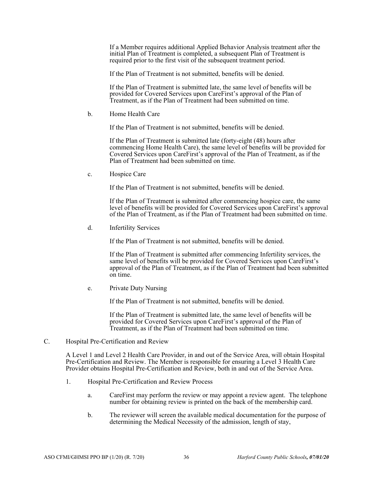If a Member requires additional Applied Behavior Analysis treatment after the initial Plan of Treatment is completed, a subsequent Plan of Treatment is required prior to the first visit of the subsequent treatment period.

If the Plan of Treatment is not submitted, benefits will be denied.

If the Plan of Treatment is submitted late, the same level of benefits will be provided for Covered Services upon CareFirst's approval of the Plan of Treatment, as if the Plan of Treatment had been submitted on time.

b. Home Health Care

If the Plan of Treatment is not submitted, benefits will be denied.

If the Plan of Treatment is submitted late (forty-eight (48) hours after commencing Home Health Care), the same level of benefits will be provided for Covered Services upon CareFirst's approval of the Plan of Treatment, as if the Plan of Treatment had been submitted on time.

c. Hospice Care

If the Plan of Treatment is not submitted, benefits will be denied.

If the Plan of Treatment is submitted after commencing hospice care, the same level of benefits will be provided for Covered Services upon CareFirst's approval of the Plan of Treatment, as if the Plan of Treatment had been submitted on time.

d. Infertility Services

If the Plan of Treatment is not submitted, benefits will be denied.

If the Plan of Treatment is submitted after commencing Infertility services, the same level of benefits will be provided for Covered Services upon CareFirst's approval of the Plan of Treatment, as if the Plan of Treatment had been submitted on time.

e. Private Duty Nursing

If the Plan of Treatment is not submitted, benefits will be denied.

If the Plan of Treatment is submitted late, the same level of benefits will be provided for Covered Services upon CareFirst's approval of the Plan of Treatment, as if the Plan of Treatment had been submitted on time.

C. Hospital Pre-Certification and Review

A Level 1 and Level 2 Health Care Provider, in and out of the Service Area, will obtain Hospital Pre-Certification and Review. The Member is responsible for ensuring a Level 3 Health Care Provider obtains Hospital Pre-Certification and Review, both in and out of the Service Area.

- 1. Hospital Pre-Certification and Review Process
	- a. CareFirst may perform the review or may appoint a review agent. The telephone number for obtaining review is printed on the back of the membership card.
	- b. The reviewer will screen the available medical documentation for the purpose of determining the Medical Necessity of the admission, length of stay,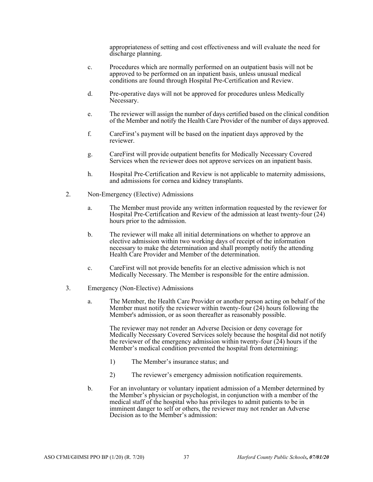appropriateness of setting and cost effectiveness and will evaluate the need for discharge planning.

- c. Procedures which are normally performed on an outpatient basis will not be approved to be performed on an inpatient basis, unless unusual medical conditions are found through Hospital Pre-Certification and Review.
- d. Pre-operative days will not be approved for procedures unless Medically Necessary.
- e. The reviewer will assign the number of days certified based on the clinical condition of the Member and notify the Health Care Provider of the number of days approved.
- f. CareFirst's payment will be based on the inpatient days approved by the reviewer.
- g. CareFirst will provide outpatient benefits for Medically Necessary Covered Services when the reviewer does not approve services on an inpatient basis.
- h. Hospital Pre-Certification and Review is not applicable to maternity admissions, and admissions for cornea and kidney transplants.
- 2. Non-Emergency (Elective) Admissions
	- a. The Member must provide any written information requested by the reviewer for Hospital Pre-Certification and Review of the admission at least twenty-four (24) hours prior to the admission.
	- b. The reviewer will make all initial determinations on whether to approve an elective admission within two working days of receipt of the information necessary to make the determination and shall promptly notify the attending Health Care Provider and Member of the determination.
	- c. CareFirst will not provide benefits for an elective admission which is not Medically Necessary. The Member is responsible for the entire admission.
- 3. Emergency (Non-Elective) Admissions
	- a. The Member, the Health Care Provider or another person acting on behalf of the Member must notify the reviewer within twenty-four (24) hours following the Member's admission, or as soon thereafter as reasonably possible.

The reviewer may not render an Adverse Decision or deny coverage for Medically Necessary Covered Services solely because the hospital did not notify the reviewer of the emergency admission within twenty-four  $(24)$  hours if the Member's medical condition prevented the hospital from determining:

- 1) The Member's insurance status; and
- 2) The reviewer's emergency admission notification requirements.
- b. For an involuntary or voluntary inpatient admission of a Member determined by the Member's physician or psychologist, in conjunction with a member of the medical staff of the hospital who has privileges to admit patients to be in imminent danger to self or others, the reviewer may not render an Adverse Decision as to the Member's admission: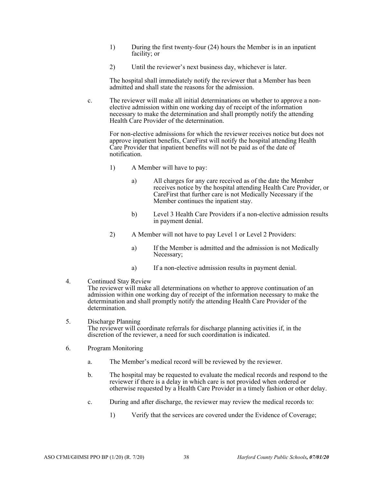- 1) During the first twenty-four (24) hours the Member is in an inpatient facility; or
- 2) Until the reviewer's next business day, whichever is later.

The hospital shall immediately notify the reviewer that a Member has been admitted and shall state the reasons for the admission.

c. The reviewer will make all initial determinations on whether to approve a nonelective admission within one working day of receipt of the information necessary to make the determination and shall promptly notify the attending Health Care Provider of the determination.

For non-elective admissions for which the reviewer receives notice but does not approve inpatient benefits, CareFirst will notify the hospital attending Health Care Provider that inpatient benefits will not be paid as of the date of notification.

- 1) A Member will have to pay:
	- a) All charges for any care received as of the date the Member receives notice by the hospital attending Health Care Provider, or CareFirst that further care is not Medically Necessary if the Member continues the inpatient stay.
	- b) Level 3 Health Care Providers if a non-elective admission results in payment denial.
- 2) A Member will not have to pay Level 1 or Level 2 Providers:
	- a) If the Member is admitted and the admission is not Medically Necessary;
	- a) If a non-elective admission results in payment denial.
- 4. Continued Stay Review The reviewer will make all determinations on whether to approve continuation of an admission within one working day of receipt of the information necessary to make the determination and shall promptly notify the attending Health Care Provider of the determination.
- 5. Discharge Planning The reviewer will coordinate referrals for discharge planning activities if, in the discretion of the reviewer, a need for such coordination is indicated.
- 6. Program Monitoring
	- a. The Member's medical record will be reviewed by the reviewer.
	- b. The hospital may be requested to evaluate the medical records and respond to the reviewer if there is a delay in which care is not provided when ordered or otherwise requested by a Health Care Provider in a timely fashion or other delay.
	- c. During and after discharge, the reviewer may review the medical records to:
		- 1) Verify that the services are covered under the Evidence of Coverage;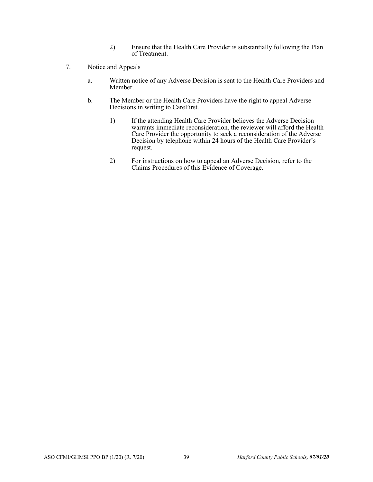- 2) Ensure that the Health Care Provider is substantially following the Plan of Treatment.
- 7. Notice and Appeals
	- a. Written notice of any Adverse Decision is sent to the Health Care Providers and Member.
	- b. The Member or the Health Care Providers have the right to appeal Adverse Decisions in writing to CareFirst.
		- 1) If the attending Health Care Provider believes the Adverse Decision warrants immediate reconsideration, the reviewer will afford the Health Care Provider the opportunity to seek a reconsideration of the Adverse Decision by telephone within 24 hours of the Health Care Provider's request.
		- 2) For instructions on how to appeal an Adverse Decision, refer to the Claims Procedures of this Evidence of Coverage.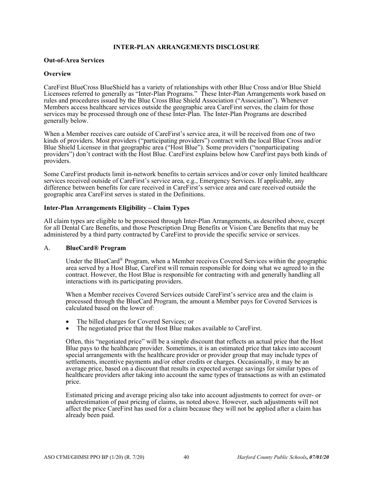# **INTER-PLAN ARRANGEMENTS DISCLOSURE**

#### **Out-of-Area Services**

#### **Overview**

CareFirst BlueCross BlueShield has a variety of relationships with other Blue Cross and/or Blue Shield Licensees referred to generally as "Inter-Plan Programs." These Inter-Plan Arrangements work based on rules and procedures issued by the Blue Cross Blue Shield Association ("Association"). Whenever Members access healthcare services outside the geographic area CareFirst serves, the claim for those services may be processed through one of these Inter-Plan. The Inter-Plan Programs are described generally below.

When a Member receives care outside of CareFirst's service area, it will be received from one of two kinds of providers. Most providers ("participating providers") contract with the local Blue Cross and/or Blue Shield Licensee in that geographic area ("Host Blue"). Some providers ("nonparticipating providers") don't contract with the Host Blue. CareFirst explains below how CareFirst pays both kinds of providers.

Some CareFirst products limit in-network benefits to certain services and/or cover only limited healthcare services received outside of CareFirst's service area, e.g., Emergency Services. If applicable, any difference between benefits for care received in CareFirst's service area and care received outside the geographic area CareFirst serves is stated in the Definitions.

#### **Inter-Plan Arrangements Eligibility – Claim Types**

All claim types are eligible to be processed through Inter-Plan Arrangements, as described above, except for all Dental Care Benefits, and those Prescription Drug Benefits or Vision Care Benefits that may be administered by a third party contracted by CareFirst to provide the specific service or services.

#### A. **BlueCard® Program**

Under the BlueCard<sup>®</sup> Program, when a Member receives Covered Services within the geographic area served by a Host Blue, CareFirst will remain responsible for doing what we agreed to in the contract. However, the Host Blue is responsible for contracting with and generally handling all interactions with its participating providers.

When a Member receives Covered Services outside CareFirst's service area and the claim is processed through the BlueCard Program, the amount a Member pays for Covered Services is calculated based on the lower of:

- The billed charges for Covered Services; or
- The negotiated price that the Host Blue makes available to CareFirst.

Often, this "negotiated price" will be a simple discount that reflects an actual price that the Host Blue pays to the healthcare provider. Sometimes, it is an estimated price that takes into account special arrangements with the healthcare provider or provider group that may include types of settlements, incentive payments and/or other credits or charges. Occasionally, it may be an average price, based on a discount that results in expected average savings for similar types of healthcare providers after taking into account the same types of transactions as with an estimated price.

Estimated pricing and average pricing also take into account adjustments to correct for over- or underestimation of past pricing of claims, as noted above. However, such adjustments will not affect the price CareFirst has used for a claim because they will not be applied after a claim has already been paid.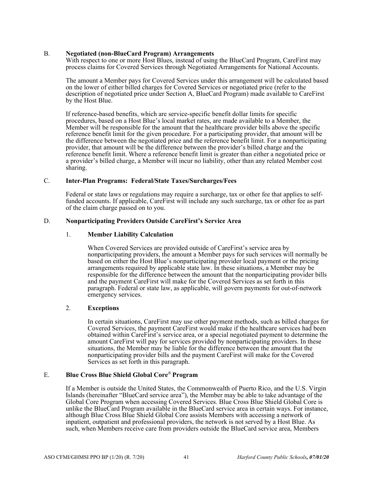## B. **Negotiated (non-BlueCard Program) Arrangements**

With respect to one or more Host Blues, instead of using the BlueCard Program, CareFirst may process claims for Covered Services through Negotiated Arrangements for National Accounts.

The amount a Member pays for Covered Services under this arrangement will be calculated based on the lower of either billed charges for Covered Services or negotiated price (refer to the description of negotiated price under Section A, BlueCard Program) made available to CareFirst by the Host Blue.

If reference-based benefits, which are service-specific benefit dollar limits for specific procedures, based on a Host Blue's local market rates, are made available to a Member, the Member will be responsible for the amount that the healthcare provider bills above the specific reference benefit limit for the given procedure. For a participating provider, that amount will be the difference between the negotiated price and the reference benefit limit. For a nonparticipating provider, that amount will be the difference between the provider's billed charge and the reference benefit limit. Where a reference benefit limit is greater than either a negotiated price or a provider's billed charge, a Member will incur no liability, other than any related Member cost sharing.

## C. **Inter-Plan Programs: Federal/State Taxes/Surcharges/Fees**

Federal or state laws or regulations may require a surcharge, tax or other fee that applies to selffunded accounts. If applicable, CareFirst will include any such surcharge, tax or other fee as part of the claim charge passed on to you.

# D. **Nonparticipating Providers Outside CareFirst's Service Area**

## 1. **Member Liability Calculation**

When Covered Services are provided outside of CareFirst's service area by nonparticipating providers, the amount a Member pays for such services will normally be based on either the Host Blue's nonparticipating provider local payment or the pricing arrangements required by applicable state law. In these situations, a Member may be responsible for the difference between the amount that the nonparticipating provider bills and the payment CareFirst will make for the Covered Services as set forth in this paragraph. Federal or state law, as applicable, will govern payments for out-of-network emergency services.

#### 2. **Exceptions**

In certain situations, CareFirst may use other payment methods, such as billed charges for Covered Services, the payment CareFirst would make if the healthcare services had been obtained within CareFirst's service area, or a special negotiated payment to determine the amount CareFirst will pay for services provided by nonparticipating providers. In these situations, the Member may be liable for the difference between the amount that the nonparticipating provider bills and the payment CareFirst will make for the Covered Services as set forth in this paragraph.

# E. **Blue Cross Blue Shield Global Core**® **Program**

If a Member is outside the United States, the Commonwealth of Puerto Rico, and the U.S. Virgin Islands (hereinafter "BlueCard service area"), the Member may be able to take advantage of the Global Core Program when accessing Covered Services. Blue Cross Blue Shield Global Core is unlike the BlueCard Program available in the BlueCard service area in certain ways. For instance, although Blue Cross Blue Shield Global Core assists Members with accessing a network of inpatient, outpatient and professional providers, the network is not served by a Host Blue. As such, when Members receive care from providers outside the BlueCard service area, Members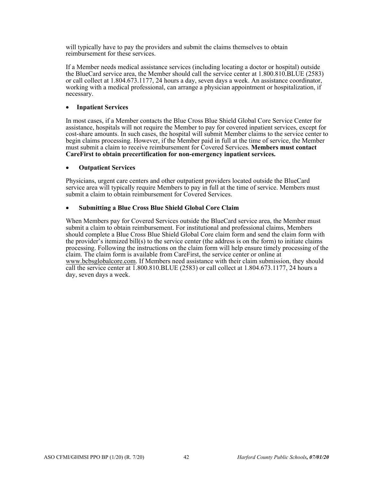will typically have to pay the providers and submit the claims themselves to obtain reimbursement for these services.

If a Member needs medical assistance services (including locating a doctor or hospital) outside the BlueCard service area, the Member should call the service center at 1.800.810.BLUE (2583) or call collect at 1.804.673.1177, 24 hours a day, seven days a week. An assistance coordinator, working with a medical professional, can arrange a physician appointment or hospitalization, if necessary.

## **Inpatient Services**

In most cases, if a Member contacts the Blue Cross Blue Shield Global Core Service Center for assistance, hospitals will not require the Member to pay for covered inpatient services, except for cost-share amounts. In such cases, the hospital will submit Member claims to the service center to begin claims processing. However, if the Member paid in full at the time of service, the Member must submit a claim to receive reimbursement for Covered Services. **Members must contact CareFirst to obtain precertification for non-emergency inpatient services.** 

## **Outpatient Services**

Physicians, urgent care centers and other outpatient providers located outside the BlueCard service area will typically require Members to pay in full at the time of service. Members must submit a claim to obtain reimbursement for Covered Services.

## **Submitting a Blue Cross Blue Shield Global Core Claim**

When Members pay for Covered Services outside the BlueCard service area, the Member must submit a claim to obtain reimbursement. For institutional and professional claims, Members should complete a Blue Cross Blue Shield Global Core claim form and send the claim form with the provider's itemized bill(s) to the service center (the address is on the form) to initiate claims processing. Following the instructions on the claim form will help ensure timely processing of the claim. The claim form is available from CareFirst, the service center or online at www.bcbsglobalcore.com. If Members need assistance with their claim submission, they should call the service center at 1.800.810.BLUE (2583) or call collect at 1.804.673.1177, 24 hours a day, seven days a week.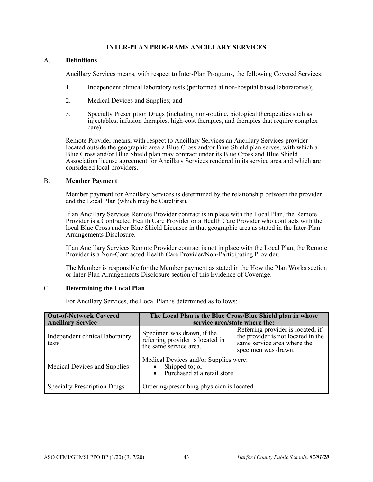# **INTER-PLAN PROGRAMS ANCILLARY SERVICES**

## A. **Definitions**

Ancillary Services means, with respect to Inter-Plan Programs, the following Covered Services:

- 1. Independent clinical laboratory tests (performed at non-hospital based laboratories);
- 2. Medical Devices and Supplies; and
- 3. Specialty Prescription Drugs (including non-routine, biological therapeutics such as injectables, infusion therapies, high-cost therapies, and therapies that require complex care).

Remote Provider means, with respect to Ancillary Services an Ancillary Services provider located outside the geographic area a Blue Cross and/or Blue Shield plan serves, with which a Blue Cross and/or Blue Shield plan may contract under its Blue Cross and Blue Shield Association license agreement for Ancillary Services rendered in its service area and which are considered local providers.

## B. **Member Payment**

Member payment for Ancillary Services is determined by the relationship between the provider and the Local Plan (which may be CareFirst).

If an Ancillary Services Remote Provider contract is in place with the Local Plan, the Remote Provider is a Contracted Health Care Provider or a Health Care Provider who contracts with the local Blue Cross and/or Blue Shield Licensee in that geographic area as stated in the Inter-Plan Arrangements Disclosure.

If an Ancillary Services Remote Provider contract is not in place with the Local Plan, the Remote Provider is a Non-Contracted Health Care Provider/Non-Participating Provider.

The Member is responsible for the Member payment as stated in the How the Plan Works section or Inter-Plan Arrangements Disclosure section of this Evidence of Coverage.

# C. **Determining the Local Plan**

For Ancillary Services, the Local Plan is determined as follows:

| <b>Out-of-Network Covered</b><br><b>Ancillary Service</b> | The Local Plan is the Blue Cross/Blue Shield plan in whose<br>service area/state where the: |                                                                                                                               |  |
|-----------------------------------------------------------|---------------------------------------------------------------------------------------------|-------------------------------------------------------------------------------------------------------------------------------|--|
| Independent clinical laboratory<br>tests                  | Specimen was drawn, if the<br>referring provider is located in<br>the same service area.    | Referring provider is located, if<br>the provider is not located in the<br>same service area where the<br>specimen was drawn. |  |
| Medical Devices and Supplies                              | Medical Devices and/or Supplies were:<br>Shipped to; or<br>• Purchased at a retail store.   |                                                                                                                               |  |
| <b>Specialty Prescription Drugs</b>                       | Ordering/prescribing physician is located.                                                  |                                                                                                                               |  |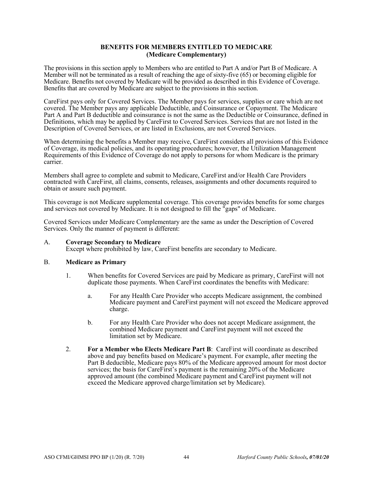## **BENEFITS FOR MEMBERS ENTITLED TO MEDICARE (Medicare Complementary)**

The provisions in this section apply to Members who are entitled to Part A and/or Part B of Medicare. A Member will not be terminated as a result of reaching the age of sixty-five (65) or becoming eligible for Medicare. Benefits not covered by Medicare will be provided as described in this Evidence of Coverage. Benefits that are covered by Medicare are subject to the provisions in this section.

CareFirst pays only for Covered Services. The Member pays for services, supplies or care which are not covered. The Member pays any applicable Deductible, and Coinsurance or Copayment. The Medicare Part A and Part B deductible and coinsurance is not the same as the Deductible or Coinsurance, defined in Definitions, which may be applied by CareFirst to Covered Services. Services that are not listed in the Description of Covered Services, or are listed in Exclusions, are not Covered Services.

When determining the benefits a Member may receive, CareFirst considers all provisions of this Evidence of Coverage, its medical policies, and its operating procedures; however, the Utilization Management Requirements of this Evidence of Coverage do not apply to persons for whom Medicare is the primary carrier.

Members shall agree to complete and submit to Medicare, CareFirst and/or Health Care Providers contracted with CareFirst, all claims, consents, releases, assignments and other documents required to obtain or assure such payment.

This coverage is not Medicare supplemental coverage. This coverage provides benefits for some charges and services not covered by Medicare. It is not designed to fill the "gaps" of Medicare.

Covered Services under Medicare Complementary are the same as under the Description of Covered Services. Only the manner of payment is different:

#### A. **Coverage Secondary to Medicare**

Except where prohibited by law, CareFirst benefits are secondary to Medicare.

#### B. **Medicare as Primary**

- 1. When benefits for Covered Services are paid by Medicare as primary, CareFirst will not duplicate those payments. When CareFirst coordinates the benefits with Medicare:
	- a. For any Health Care Provider who accepts Medicare assignment, the combined Medicare payment and CareFirst payment will not exceed the Medicare approved charge.
	- b. For any Health Care Provider who does not accept Medicare assignment, the combined Medicare payment and CareFirst payment will not exceed the limitation set by Medicare.
- 2. **For a Member who Elects Medicare Part B**: CareFirst will coordinate as described above and pay benefits based on Medicare's payment. For example, after meeting the Part B deductible, Medicare pays 80% of the Medicare approved amount for most doctor services; the basis for CareFirst's payment is the remaining 20% of the Medicare approved amount (the combined Medicare payment and CareFirst payment will not exceed the Medicare approved charge/limitation set by Medicare).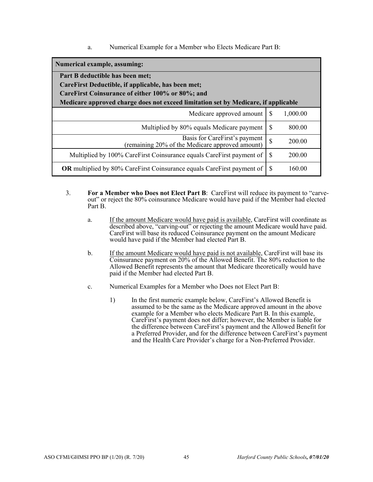a. Numerical Example for a Member who Elects Medicare Part B:

| Numerical example, assuming:                                                       |               |          |  |  |
|------------------------------------------------------------------------------------|---------------|----------|--|--|
| Part B deductible has been met;                                                    |               |          |  |  |
| CareFirst Deductible, if applicable, has been met;                                 |               |          |  |  |
| CareFirst Coinsurance of either 100% or 80%; and                                   |               |          |  |  |
| Medicare approved charge does not exceed limitation set by Medicare, if applicable |               |          |  |  |
| Medicare approved amount                                                           | <b>S</b>      | 1,000.00 |  |  |
| Multiplied by 80% equals Medicare payment                                          | \$.           | 800.00   |  |  |
| Basis for CareFirst's payment<br>(remaining 20% of the Medicare approved amount)   | $\mathcal{S}$ | 200.00   |  |  |
| Multiplied by 100% CareFirst Coinsurance equals CareFirst payment of               | -S            | 200.00   |  |  |
| <b>OR</b> multiplied by 80% CareFirst Coinsurance equals CareFirst payment of      | -S            | 160.00   |  |  |

- 3. **For a Member who Does not Elect Part B**: CareFirst will reduce its payment to "carveout" or reject the 80% coinsurance Medicare would have paid if the Member had elected Part B.
	- a. If the amount Medicare would have paid is available, CareFirst will coordinate as described above, "carving-out" or rejecting the amount Medicare would have paid. CareFirst will base its reduced Coinsurance payment on the amount Medicare would have paid if the Member had elected Part B.
	- b. If the amount Medicare would have paid is not available, CareFirst will base its Coinsurance payment on 20% of the Allowed Benefit. The 80% reduction to the Allowed Benefit represents the amount that Medicare theoretically would have paid if the Member had elected Part B.
	- c. Numerical Examples for a Member who Does not Elect Part B:
		- 1) In the first numeric example below, CareFirst's Allowed Benefit is assumed to be the same as the Medicare approved amount in the above example for a Member who elects Medicare Part B. In this example, CareFirst's payment does not differ; however, the Member is liable for the difference between CareFirst's payment and the Allowed Benefit for a Preferred Provider, and for the difference between CareFirst's payment and the Health Care Provider's charge for a Non-Preferred Provider.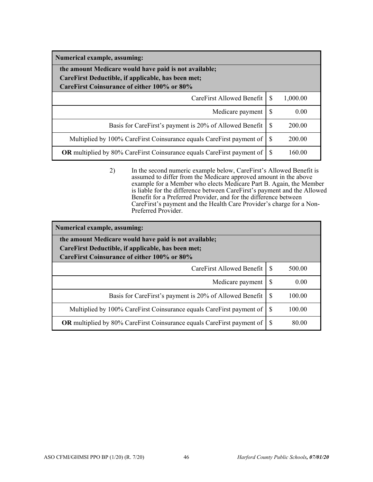| Numerical example, assuming:                                                                                                                               |          |          |
|------------------------------------------------------------------------------------------------------------------------------------------------------------|----------|----------|
| the amount Medicare would have paid is not available;<br>CareFirst Deductible, if applicable, has been met;<br>CareFirst Coinsurance of either 100% or 80% |          |          |
| CareFirst Allowed Benefit L                                                                                                                                | <b>S</b> | 1,000.00 |
| Medicare payment                                                                                                                                           | S        | 0.00     |
| Basis for CareFirst's payment is 20% of Allowed Benefit                                                                                                    | -S       | 200.00   |
| Multiplied by 100% CareFirst Coinsurance equals CareFirst payment of                                                                                       | -S       | 200.00   |
| <b>OR</b> multiplied by 80% CareFirst Coinsurance equals CareFirst payment of                                                                              | -S       | 160.00   |

2) In the second numeric example below, CareFirst's Allowed Benefit is assumed to differ from the Medicare approved amount in the above example for a Member who elects Medicare Part B. Again, the Member is liable for the difference between CareFirst's payment and the Allowed Benefit for a Preferred Provider, and for the difference between CareFirst's payment and the Health Care Provider's charge for a Non-Preferred Provider.

| Numerical example, assuming:                                           |     |        |  |  |
|------------------------------------------------------------------------|-----|--------|--|--|
| the amount Medicare would have paid is not available;                  |     |        |  |  |
| CareFirst Deductible, if applicable, has been met;                     |     |        |  |  |
| CareFirst Coinsurance of either 100% or 80%                            |     |        |  |  |
| CareFirst Allowed Benefit                                              | -8  | 500.00 |  |  |
| Medicare payment                                                       | -S  | 0.00   |  |  |
| Basis for CareFirst's payment is 20% of Allowed Benefit                | - S | 100.00 |  |  |
| Multiplied by 100% CareFirst Coinsurance equals CareFirst payment of   | - S | 100.00 |  |  |
| OR multiplied by 80% CareFirst Coinsurance equals CareFirst payment of | -S  | 80.00  |  |  |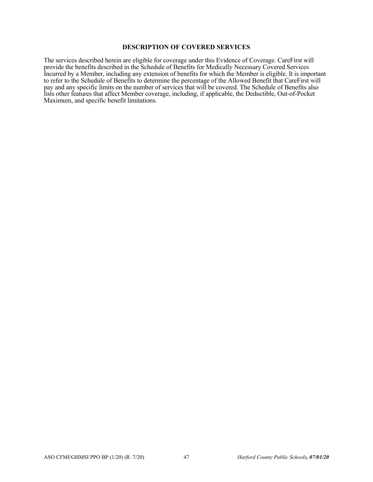#### **DESCRIPTION OF COVERED SERVICES**

The services described herein are eligible for coverage under this Evidence of Coverage. CareFirst will provide the benefits described in the Schedule of Benefits for Medically Necessary Covered Services Incurred by a Member, including any extension of benefits for which the Member is eligible. It is important to refer to the Schedule of Benefits to determine the percentage of the Allowed Benefit that CareFirst will pay and any specific limits on the number of services that will be covered. The Schedule of Benefits also lists other features that affect Member coverage, including, if applicable, the Deductible, Out-of-Pocket Maximum, and specific benefit limitations.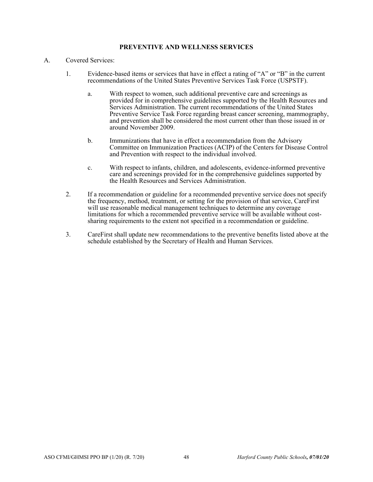# **PREVENTIVE AND WELLNESS SERVICES**

# A. Covered Services:

- 1. Evidence-based items or services that have in effect a rating of "A" or "B" in the current recommendations of the United States Preventive Services Task Force (USPSTF).
	- a. With respect to women, such additional preventive care and screenings as provided for in comprehensive guidelines supported by the Health Resources and Services Administration. The current recommendations of the United States Preventive Service Task Force regarding breast cancer screening, mammography, and prevention shall be considered the most current other than those issued in or around November 2009.
	- b. Immunizations that have in effect a recommendation from the Advisory Committee on Immunization Practices (ACIP) of the Centers for Disease Control and Prevention with respect to the individual involved.
	- c. With respect to infants, children, and adolescents, evidence-informed preventive care and screenings provided for in the comprehensive guidelines supported by the Health Resources and Services Administration.
- 2. If a recommendation or guideline for a recommended preventive service does not specify the frequency, method, treatment, or setting for the provision of that service, CareFirst will use reasonable medical management techniques to determine any coverage limitations for which a recommended preventive service will be available without costsharing requirements to the extent not specified in a recommendation or guideline.
- 3. CareFirst shall update new recommendations to the preventive benefits listed above at the schedule established by the Secretary of Health and Human Services.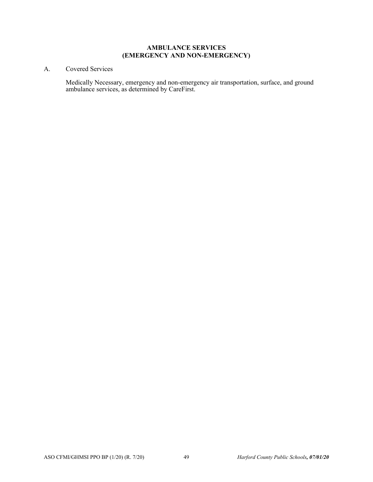# **AMBULANCE SERVICES (EMERGENCY AND NON-EMERGENCY)**

# A. Covered Services

Medically Necessary, emergency and non-emergency air transportation, surface, and ground ambulance services, as determined by CareFirst.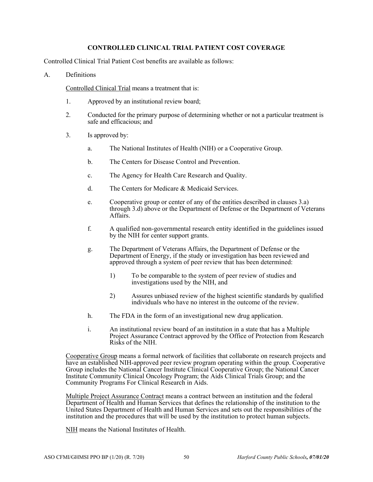## **CONTROLLED CLINICAL TRIAL PATIENT COST COVERAGE**

Controlled Clinical Trial Patient Cost benefits are available as follows:

#### A. Definitions

Controlled Clinical Trial means a treatment that is:

- 1. Approved by an institutional review board;
- 2. Conducted for the primary purpose of determining whether or not a particular treatment is safe and efficacious; and
- 3. Is approved by:
	- a. The National Institutes of Health (NIH) or a Cooperative Group.
	- b. The Centers for Disease Control and Prevention.
	- c. The Agency for Health Care Research and Quality.
	- d. The Centers for Medicare & Medicaid Services.
	- e. Cooperative group or center of any of the entities described in clauses 3.a) through 3.d) above or the Department of Defense or the Department of Veterans Affairs.
	- f. A qualified non-governmental research entity identified in the guidelines issued by the NIH for center support grants.
	- g. The Department of Veterans Affairs, the Department of Defense or the Department of Energy, if the study or investigation has been reviewed and approved through a system of peer review that has been determined:
		- 1) To be comparable to the system of peer review of studies and investigations used by the NIH, and
		- 2) Assures unbiased review of the highest scientific standards by qualified individuals who have no interest in the outcome of the review.
	- h. The FDA in the form of an investigational new drug application.
	- i. An institutional review board of an institution in a state that has a Multiple Project Assurance Contract approved by the Office of Protection from Research Risks of the NIH.

Cooperative Group means a formal network of facilities that collaborate on research projects and have an established NIH-approved peer review program operating within the group. Cooperative Group includes the National Cancer Institute Clinical Cooperative Group; the National Cancer Institute Community Clinical Oncology Program; the Aids Clinical Trials Group; and the Community Programs For Clinical Research in Aids.

Multiple Project Assurance Contract means a contract between an institution and the federal Department of Health and Human Services that defines the relationship of the institution to the United States Department of Health and Human Services and sets out the responsibilities of the institution and the procedures that will be used by the institution to protect human subjects.

NIH means the National Institutes of Health.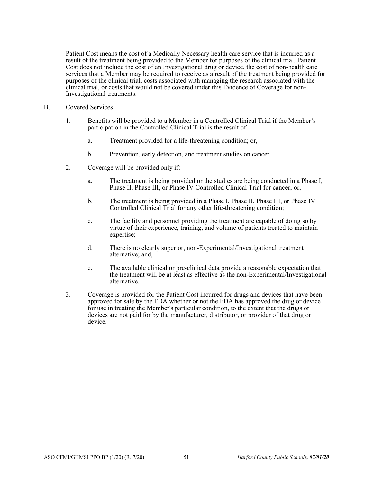Patient Cost means the cost of a Medically Necessary health care service that is incurred as a result of the treatment being provided to the Member for purposes of the clinical trial. Patient Cost does not include the cost of an Investigational drug or device, the cost of non-health care services that a Member may be required to receive as a result of the treatment being provided for purposes of the clinical trial, costs associated with managing the research associated with the clinical trial, or costs that would not be covered under this Evidence of Coverage for non-Investigational treatments.

- B. Covered Services
	- 1. Benefits will be provided to a Member in a Controlled Clinical Trial if the Member's participation in the Controlled Clinical Trial is the result of:
		- a. Treatment provided for a life-threatening condition; or,
		- b. Prevention, early detection, and treatment studies on cancer.
	- 2. Coverage will be provided only if:
		- a. The treatment is being provided or the studies are being conducted in a Phase I, Phase II, Phase III, or Phase IV Controlled Clinical Trial for cancer; or,
		- b. The treatment is being provided in a Phase I, Phase II, Phase III, or Phase IV Controlled Clinical Trial for any other life-threatening condition;
		- c. The facility and personnel providing the treatment are capable of doing so by virtue of their experience, training, and volume of patients treated to maintain expertise;
		- d. There is no clearly superior, non-Experimental/Investigational treatment alternative; and,
		- e. The available clinical or pre-clinical data provide a reasonable expectation that the treatment will be at least as effective as the non-Experimental/Investigational alternative.
	- 3. Coverage is provided for the Patient Cost incurred for drugs and devices that have been approved for sale by the FDA whether or not the FDA has approved the drug or device for use in treating the Member's particular condition, to the extent that the drugs or devices are not paid for by the manufacturer, distributor, or provider of that drug or device.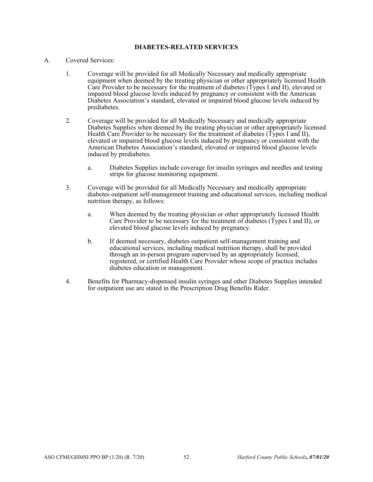# **DIABETES-RELATED SERVICES**

## A. Covered Services:

- 1. Coverage will be provided for all Medically Necessary and medically appropriate equipment when deemed by the treating physician or other appropriately licensed Health Care Provider to be necessary for the treatment of diabetes (Types I and II), elevated or impaired blood glucose levels induced by pregnancy or consistent with the American Diabetes Association's standard, elevated or impaired blood glucose levels induced by prediabetes.
- 2. Coverage will be provided for all Medically Necessary and medically appropriate Diabetes Supplies when deemed by the treating physician or other appropriately licensed Health Care Provider to be necessary for the treatment of diabetes ( $\dot{T}$ ypes I and II), elevated or impaired blood glucose levels induced by pregnancy or consistent with the American Diabetes Association's standard, elevated or impaired blood glucose levels induced by prediabetes.
	- a. Diabetes Supplies include coverage for insulin syringes and needles and testing strips for glucose monitoring equipment.
- 3. Coverage will be provided for all Medically Necessary and medically appropriate diabetes outpatient self-management training and educational services, including medical nutrition therapy, as follows:
	- a. When deemed by the treating physician or other appropriately licensed Health Care Provider to be necessary for the treatment of diabetes (Types I and II), or elevated blood glucose levels induced by pregnancy.
	- b. If deemed necessary, diabetes outpatient self-management training and educational services, including medical nutrition therapy, shall be provided through an in-person program supervised by an appropriately licensed, registered, or certified Health Care Provider whose scope of practice includes diabetes education or management.
- 4. Benefits for Pharmacy-dispensed insulin syringes and other Diabetes Supplies intended for outpatient use are stated in the Prescription Drug Benefits Rider.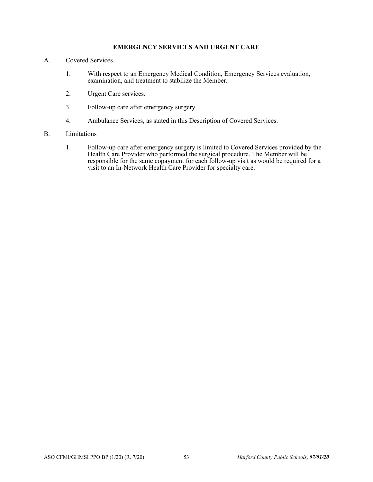# **EMERGENCY SERVICES AND URGENT CARE**

- A. Covered Services
	- 1. With respect to an Emergency Medical Condition, Emergency Services evaluation, examination, and treatment to stabilize the Member.
	- 2. Urgent Care services.
	- 3. Follow-up care after emergency surgery.
	- 4. Ambulance Services, as stated in this Description of Covered Services.

#### B. Limitations

1. Follow-up care after emergency surgery is limited to Covered Services provided by the Health Care Provider who performed the surgical procedure. The Member will be responsible for the same copayment for each follow-up visit as would be required for a visit to an In-Network Health Care Provider for specialty care.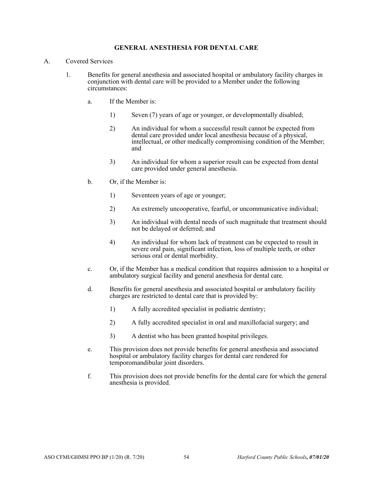## **GENERAL ANESTHESIA FOR DENTAL CARE**

- A. Covered Services
	- 1. Benefits for general anesthesia and associated hospital or ambulatory facility charges in conjunction with dental care will be provided to a Member under the following circumstances:
		- a. If the Member is:
			- 1) Seven (7) years of age or younger, or developmentally disabled;
			- 2) An individual for whom a successful result cannot be expected from dental care provided under local anesthesia because of a physical, intellectual, or other medically compromising condition of the Member; and
			- 3) An individual for whom a superior result can be expected from dental care provided under general anesthesia.
		- b. Or, if the Member is:
			- 1) Seventeen years of age or younger;
			- 2) An extremely uncooperative, fearful, or uncommunicative individual;
			- 3) An individual with dental needs of such magnitude that treatment should not be delayed or deferred; and
			- 4) An individual for whom lack of treatment can be expected to result in severe oral pain, significant infection, loss of multiple teeth, or other serious oral or dental morbidity.
		- c. Or, if the Member has a medical condition that requires admission to a hospital or ambulatory surgical facility and general anesthesia for dental care.
		- d. Benefits for general anesthesia and associated hospital or ambulatory facility charges are restricted to dental care that is provided by:
			- 1) A fully accredited specialist in pediatric dentistry;
			- 2) A fully accredited specialist in oral and maxillofacial surgery; and
			- 3) A dentist who has been granted hospital privileges.
		- e. This provision does not provide benefits for general anesthesia and associated hospital or ambulatory facility charges for dental care rendered for temporomandibular joint disorders.
		- f. This provision does not provide benefits for the dental care for which the general anesthesia is provided.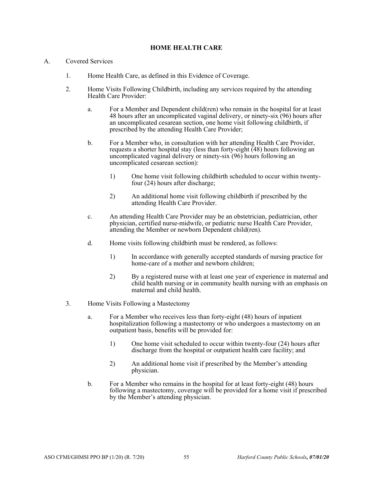## **HOME HEALTH CARE**

#### A. Covered Services

- 1. Home Health Care, as defined in this Evidence of Coverage.
- 2. Home Visits Following Childbirth, including any services required by the attending Health Care Provider:
	- a. For a Member and Dependent child(ren) who remain in the hospital for at least 48 hours after an uncomplicated vaginal delivery, or ninety-six (96) hours after an uncomplicated cesarean section, one home visit following childbirth, if prescribed by the attending Health Care Provider;
	- b. For a Member who, in consultation with her attending Health Care Provider, requests a shorter hospital stay (less than forty-eight (48) hours following an uncomplicated vaginal delivery or ninety-six (96) hours following an uncomplicated cesarean section):
		- 1) One home visit following childbirth scheduled to occur within twentyfour (24) hours after discharge;
		- 2) An additional home visit following childbirth if prescribed by the attending Health Care Provider.
	- c. An attending Health Care Provider may be an obstetrician, pediatrician, other physician, certified nurse-midwife, or pediatric nurse Health Care Provider, attending the Member or newborn Dependent child(ren).
	- d. Home visits following childbirth must be rendered, as follows:
		- 1) In accordance with generally accepted standards of nursing practice for home-care of a mother and newborn children;
		- 2) By a registered nurse with at least one year of experience in maternal and child health nursing or in community health nursing with an emphasis on maternal and child health.
- 3. Home Visits Following a Mastectomy
	- a. For a Member who receives less than forty-eight (48) hours of inpatient hospitalization following a mastectomy or who undergoes a mastectomy on an outpatient basis, benefits will be provided for:
		- 1) One home visit scheduled to occur within twenty-four (24) hours after discharge from the hospital or outpatient health care facility; and
		- 2) An additional home visit if prescribed by the Member's attending physician.
	- b. For a Member who remains in the hospital for at least forty-eight (48) hours following a mastectomy, coverage will be provided for a home visit if prescribed by the Member's attending physician.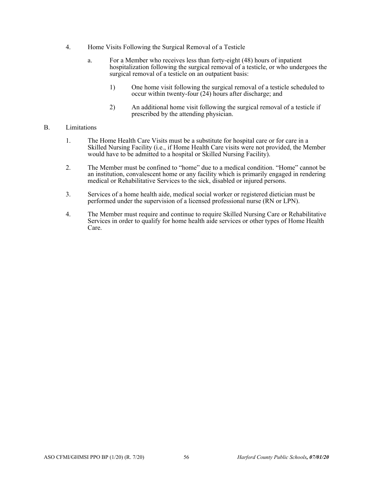- 4. Home Visits Following the Surgical Removal of a Testicle
	- a. For a Member who receives less than forty-eight (48) hours of inpatient hospitalization following the surgical removal of a testicle, or who undergoes the surgical removal of a testicle on an outpatient basis:
		- 1) One home visit following the surgical removal of a testicle scheduled to occur within twenty-four (24) hours after discharge; and
		- 2) An additional home visit following the surgical removal of a testicle if prescribed by the attending physician.

## B. Limitations

- 1. The Home Health Care Visits must be a substitute for hospital care or for care in a Skilled Nursing Facility (i.e., if Home Health Care visits were not provided, the Member would have to be admitted to a hospital or Skilled Nursing Facility).
- 2. The Member must be confined to "home" due to a medical condition. "Home" cannot be an institution, convalescent home or any facility which is primarily engaged in rendering medical or Rehabilitative Services to the sick, disabled or injured persons.
- 3. Services of a home health aide, medical social worker or registered dietician must be performed under the supervision of a licensed professional nurse (RN or LPN).
- 4. The Member must require and continue to require Skilled Nursing Care or Rehabilitative Services in order to qualify for home health aide services or other types of Home Health Care.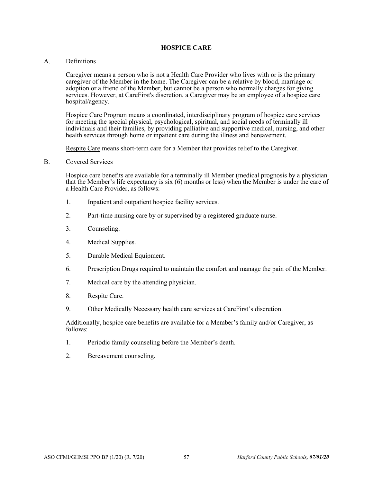#### **HOSPICE CARE**

#### A. Definitions

Caregiver means a person who is not a Health Care Provider who lives with or is the primary caregiver of the Member in the home. The Caregiver can be a relative by blood, marriage or adoption or a friend of the Member, but cannot be a person who normally charges for giving services. However, at CareFirst's discretion, a Caregiver may be an employee of a hospice care hospital/agency.

Hospice Care Program means a coordinated, interdisciplinary program of hospice care services for meeting the special physical, psychological, spiritual, and social needs of terminally ill individuals and their families, by providing palliative and supportive medical, nursing, and other health services through home or inpatient care during the illness and bereavement.

Respite Care means short-term care for a Member that provides relief to the Caregiver.

B. Covered Services

Hospice care benefits are available for a terminally ill Member (medical prognosis by a physician that the Member's life expectancy is six (6) months or less) when the Member is under the care of a Health Care Provider, as follows:

- 1. Inpatient and outpatient hospice facility services.
- 2. Part-time nursing care by or supervised by a registered graduate nurse.
- 3. Counseling.
- 4. Medical Supplies.
- 5. Durable Medical Equipment.
- 6. Prescription Drugs required to maintain the comfort and manage the pain of the Member.
- 7. Medical care by the attending physician.
- 8. Respite Care.
- 9. Other Medically Necessary health care services at CareFirst's discretion.

Additionally, hospice care benefits are available for a Member's family and/or Caregiver, as follows:

- 1. Periodic family counseling before the Member's death.
- 2. Bereavement counseling.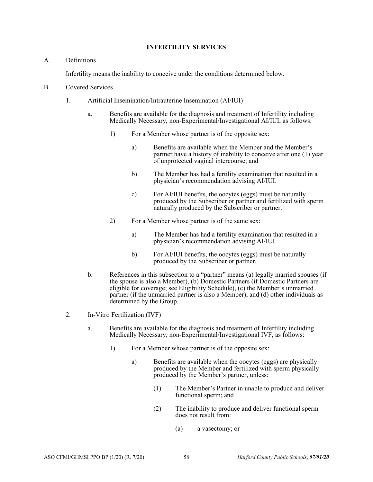# **INFERTILITY SERVICES**

# A. Definitions

Infertility means the inability to conceive under the conditions determined below.

- B. Covered Services
	- 1. Artificial Insemination/Intrauterine Insemination (AI/IUI)
		- a. Benefits are available for the diagnosis and treatment of Infertility including Medically Necessary, non-Experimental/Investigational AI/IUI, as follows:
			- 1) For a Member whose partner is of the opposite sex:
				- a) Benefits are available when the Member and the Member's partner have a history of inability to conceive after one (1) year of unprotected vaginal intercourse; and
				- b) The Member has had a fertility examination that resulted in a physician's recommendation advising AI/IUI.
				- c) For AI/IUI benefits, the oocytes (eggs) must be naturally produced by the Subscriber or partner and fertilized with sperm naturally produced by the Subscriber or partner.
			- 2) For a Member whose partner is of the same sex:
				- a) The Member has had a fertility examination that resulted in a physician's recommendation advising AI/IUI.
				- b) For AI/IUI benefits, the oocytes (eggs) must be naturally produced by the Subscriber or partner.
		- b. References in this subsection to a "partner" means (a) legally married spouses (if the spouse is also a Member), (b) Domestic Partners (if Domestic Partners are eligible for coverage; see Eligibility Schedule), (c) the Member's unmarried partner (if the unmarried partner is also a Member), and (d) other individuals as determined by the Group.
	- 2. In-Vitro Fertilization (IVF)
		- a. Benefits are available for the diagnosis and treatment of Infertility including Medically Necessary, non-Experimental/Investigational IVF, as follows:
			- 1) For a Member whose partner is of the opposite sex:
				- a) Benefits are available when the oocytes (eggs) are physically produced by the Member and fertilized with sperm physically produced by the Member's partner, unless:
					- (1) The Member's Partner in unable to produce and deliver functional sperm; and
					- (2) The inability to produce and deliver functional sperm does not result from:
						- (a) a vasectomy; or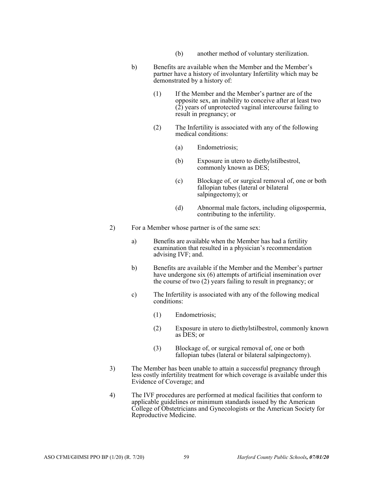- (b) another method of voluntary sterilization.
- b) Benefits are available when the Member and the Member's partner have a history of involuntary Infertility which may be demonstrated by a history of:
	- (1) If the Member and the Member's partner are of the opposite sex, an inability to conceive after at least two  $(2)$  years of unprotected vaginal intercourse failing to result in pregnancy; or
	- (2) The Infertility is associated with any of the following medical conditions:
		- (a) Endometriosis;
		- (b) Exposure in utero to diethylstilbestrol, commonly known as DES;
		- (c) Blockage of, or surgical removal of, one or both fallopian tubes (lateral or bilateral salpingectomy); or
		- (d) Abnormal male factors, including oligospermia, contributing to the infertility.
- 2) For a Member whose partner is of the same sex:
	- a) Benefits are available when the Member has had a fertility examination that resulted in a physician's recommendation advising IVF; and.
	- b) Benefits are available if the Member and the Member's partner have undergone six (6) attempts of artificial insemination over the course of two (2) years failing to result in pregnancy; or
	- c) The Infertility is associated with any of the following medical conditions:
		- (1) Endometriosis;
		- (2) Exposure in utero to diethylstilbestrol, commonly known as DES; or
		- (3) Blockage of, or surgical removal of, one or both fallopian tubes (lateral or bilateral salpingectomy).
- 3) The Member has been unable to attain a successful pregnancy through less costly infertility treatment for which coverage is available under this Evidence of Coverage; and
- 4) The IVF procedures are performed at medical facilities that conform to applicable guidelines or minimum standards issued by the American College of Obstetricians and Gynecologists or the American Society for Reproductive Medicine.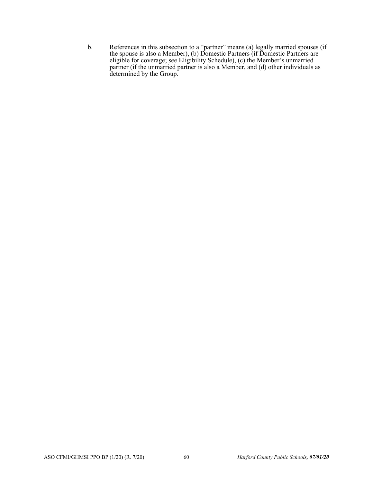b. References in this subsection to a "partner" means (a) legally married spouses (if the spouse is also a Member), (b) Domestic Partners (if Domestic Partners are eligible for coverage; see Eligibility Schedule), (c) the Member's unmarried partner (if the unmarried partner is also a Member, and (d) other individuals as determined by the Group.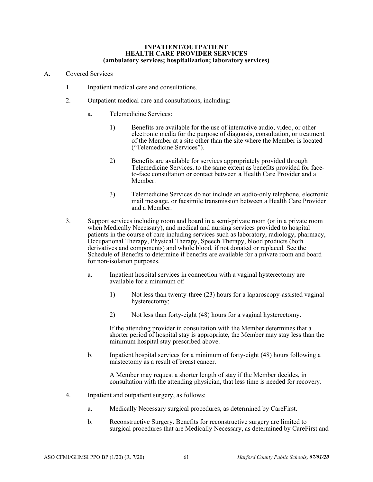#### **INPATIENT/OUTPATIENT HEALTH CARE PROVIDER SERVICES (ambulatory services; hospitalization; laboratory services)**

- A. Covered Services
	- 1. Inpatient medical care and consultations.
	- 2. Outpatient medical care and consultations, including:
		- a. Telemedicine Services:
			- 1) Benefits are available for the use of interactive audio, video, or other electronic media for the purpose of diagnosis, consultation, or treatment of the Member at a site other than the site where the Member is located ("Telemedicine Services").
			- 2) Benefits are available for services appropriately provided through Telemedicine Services, to the same extent as benefits provided for faceto-face consultation or contact between a Health Care Provider and a Member.
			- 3) Telemedicine Services do not include an audio-only telephone, electronic mail message, or facsimile transmission between a Health Care Provider and a Member.
	- 3. Support services including room and board in a semi-private room (or in a private room when Medically Necessary), and medical and nursing services provided to hospital patients in the course of care including services such as laboratory, radiology, pharmacy, Occupational Therapy, Physical Therapy, Speech Therapy, blood products (both derivatives and components) and whole blood, if not donated or replaced. See the Schedule of Benefits to determine if benefits are available for a private room and board for non-isolation purposes.
		- a. Inpatient hospital services in connection with a vaginal hysterectomy are available for a minimum of:
			- 1) Not less than twenty-three (23) hours for a laparoscopy-assisted vaginal hysterectomy;
			- 2) Not less than forty-eight (48) hours for a vaginal hysterectomy.

If the attending provider in consultation with the Member determines that a shorter period of hospital stay is appropriate, the Member may stay less than the minimum hospital stay prescribed above.

b. Inpatient hospital services for a minimum of forty-eight (48) hours following a mastectomy as a result of breast cancer.

A Member may request a shorter length of stay if the Member decides, in consultation with the attending physician, that less time is needed for recovery.

- 4. Inpatient and outpatient surgery, as follows:
	- a. Medically Necessary surgical procedures, as determined by CareFirst.
	- b. Reconstructive Surgery. Benefits for reconstructive surgery are limited to surgical procedures that are Medically Necessary, as determined by CareFirst and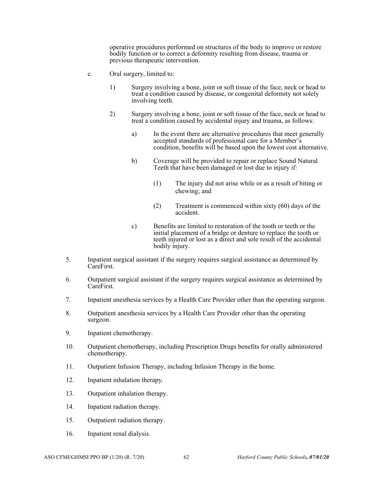operative procedures performed on structures of the body to improve or restore bodily function or to correct a deformity resulting from disease, trauma or previous therapeutic intervention.

- c. Oral surgery, limited to:
	- 1) Surgery involving a bone, joint or soft tissue of the face, neck or head to treat a condition caused by disease, or congenital deformity not solely involving teeth.
	- 2) Surgery involving a bone, joint or soft tissue of the face, neck or head to treat a condition caused by accidental injury and trauma, as follows:
		- a) In the event there are alternative procedures that meet generally accepted standards of professional care for a Member's condition, benefits will be based upon the lowest cost alternative.
		- b) Coverage will be provided to repair or replace Sound Natural Teeth that have been damaged or lost due to injury if:
			- (1) The injury did not arise while or as a result of biting or chewing; and
			- (2) Treatment is commenced within sixty (60) days of the accident.
		- c) Benefits are limited to restoration of the tooth or teeth or the initial placement of a bridge or denture to replace the tooth or teeth injured or lost as a direct and sole result of the accidental bodily injury.
- 5. Inpatient surgical assistant if the surgery requires surgical assistance as determined by CareFirst.
- 6. Outpatient surgical assistant if the surgery requires surgical assistance as determined by CareFirst.
- 7. Inpatient anesthesia services by a Health Care Provider other than the operating surgeon.
- 8. Outpatient anesthesia services by a Health Care Provider other than the operating surgeon.
- 9. Inpatient chemotherapy.
- 10. Outpatient chemotherapy, including Prescription Drugs benefits for orally administered chemotherapy.
- 11. Outpatient Infusion Therapy, including Infusion Therapy in the home.
- 12. Inpatient inhalation therapy.
- 13. Outpatient inhalation therapy.
- 14. Inpatient radiation therapy.
- 15. Outpatient radiation therapy.
- 16. Inpatient renal dialysis.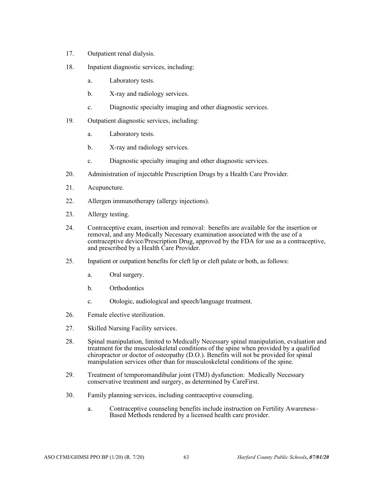- 17. Outpatient renal dialysis.
- 18. Inpatient diagnostic services, including:
	- a. Laboratory tests.
	- b. X-ray and radiology services.
	- c. Diagnostic specialty imaging and other diagnostic services.
- 19. Outpatient diagnostic services, including:
	- a. Laboratory tests.
	- b. X-ray and radiology services.
	- c. Diagnostic specialty imaging and other diagnostic services.
- 20. Administration of injectable Prescription Drugs by a Health Care Provider.
- 21. Acupuncture.
- 22. Allergen immunotherapy (allergy injections).
- 23. Allergy testing.
- 24. Contraceptive exam, insertion and removal: benefits are available for the insertion or removal, and any Medically Necessary examination associated with the use of a contraceptive device/Prescription Drug, approved by the FDA for use as a contraceptive, and prescribed by a Health Care Provider.
- 25. Inpatient or outpatient benefits for cleft lip or cleft palate or both, as follows:
	- a. Oral surgery.
	- b. Orthodontics
	- c. Otologic, audiological and speech/language treatment.
- 26. Female elective sterilization.
- 27. Skilled Nursing Facility services.
- 28. Spinal manipulation, limited to Medically Necessary spinal manipulation, evaluation and treatment for the musculoskeletal conditions of the spine when provided by a qualified chiropractor or doctor of osteopathy (D.O.). Benefits will not be provided for spinal manipulation services other than for musculoskeletal conditions of the spine.
- 29. Treatment of temporomandibular joint (TMJ) dysfunction: Medically Necessary conservative treatment and surgery, as determined by CareFirst.
- 30. Family planning services, including contraceptive counseling.
	- a. Contraceptive counseling benefits include instruction on Fertility Awareness– Based Methods rendered by a licensed health care provider.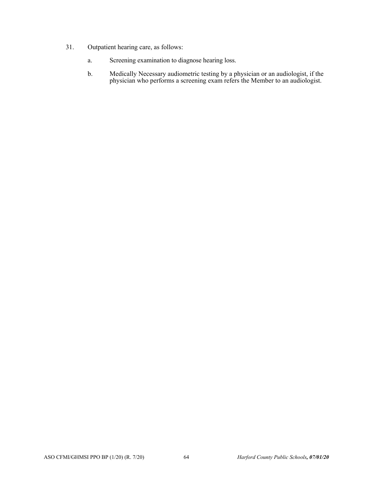- 31. Outpatient hearing care, as follows:
	- a. Screening examination to diagnose hearing loss.
	- b. Medically Necessary audiometric testing by a physician or an audiologist, if the physician who performs a screening exam refers the Member to an audiologist.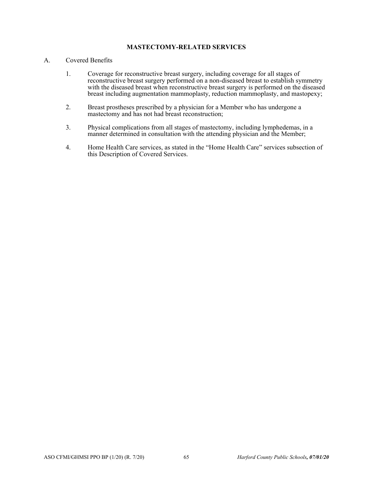# **MASTECTOMY-RELATED SERVICES**

# A. Covered Benefits

- 1. Coverage for reconstructive breast surgery, including coverage for all stages of reconstructive breast surgery performed on a non-diseased breast to establish symmetry with the diseased breast when reconstructive breast surgery is performed on the diseased breast including augmentation mammoplasty, reduction mammoplasty, and mastopexy;
- 2. Breast prostheses prescribed by a physician for a Member who has undergone a mastectomy and has not had breast reconstruction;
- 3. Physical complications from all stages of mastectomy, including lymphedemas, in a manner determined in consultation with the attending physician and the Member;
- 4. Home Health Care services, as stated in the "Home Health Care" services subsection of this Description of Covered Services.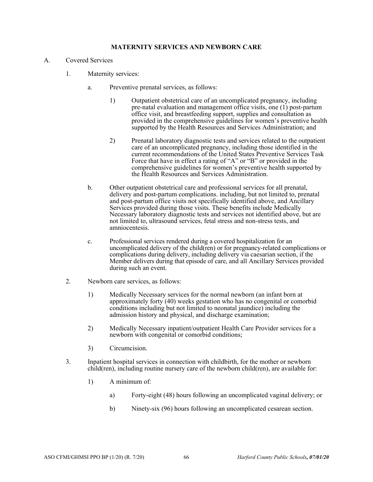# **MATERNITY SERVICES AND NEWBORN CARE**

- A. Covered Services
	- 1. Maternity services:
		- a. Preventive prenatal services, as follows:
			- 1) Outpatient obstetrical care of an uncomplicated pregnancy, including pre-natal evaluation and management office visits, one (1) post-partum office visit, and breastfeeding support, supplies and consultation as provided in the comprehensive guidelines for women's preventive health supported by the Health Resources and Services Administration; and
			- 2) Prenatal laboratory diagnostic tests and services related to the outpatient care of an uncomplicated pregnancy, including those identified in the current recommendations of the United States Preventive Services Task Force that have in effect a rating of "A" or "B" or provided in the comprehensive guidelines for women's preventive health supported by the Health Resources and Services Administration.
		- b. Other outpatient obstetrical care and professional services for all prenatal, delivery and post-partum complications. including, but not limited to, prenatal and post-partum office visits not specifically identified above, and Ancillary Services provided during those visits. These benefits include Medically Necessary laboratory diagnostic tests and services not identified above, but are not limited to, ultrasound services, fetal stress and non-stress tests, and amniocentesis.
		- c. Professional services rendered during a covered hospitalization for an uncomplicated delivery of the child(ren) or for pregnancy-related complications or complications during delivery, including delivery via caesarian section, if the Member delivers during that episode of care, and all Ancillary Services provided during such an event.
	- 2. Newborn care services, as follows:
		- 1) Medically Necessary services for the normal newborn (an infant born at approximately forty (40) weeks gestation who has no congenital or comorbid conditions including but not limited to neonatal jaundice) including the admission history and physical, and discharge examination;
		- 2) Medically Necessary inpatient/outpatient Health Care Provider services for a newborn with congenital or comorbid conditions;
		- 3) Circumcision.
	- 3. Inpatient hospital services in connection with childbirth, for the mother or newborn child(ren), including routine nursery care of the newborn child(ren), are available for:
		- 1) A minimum of:
			- a) Forty-eight (48) hours following an uncomplicated vaginal delivery; or
			- b) Ninety-six (96) hours following an uncomplicated cesarean section.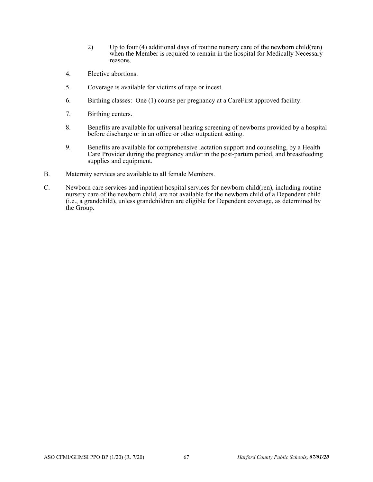- 2) Up to four (4) additional days of routine nursery care of the newborn child(ren) when the Member is required to remain in the hospital for Medically Necessary reasons.
- 4. Elective abortions.
- 5. Coverage is available for victims of rape or incest.
- 6. Birthing classes: One (1) course per pregnancy at a CareFirst approved facility.
- 7. Birthing centers.
- 8. Benefits are available for universal hearing screening of newborns provided by a hospital before discharge or in an office or other outpatient setting.
- 9. Benefits are available for comprehensive lactation support and counseling, by a Health Care Provider during the pregnancy and/or in the post-partum period, and breastfeeding supplies and equipment.
- B. Maternity services are available to all female Members.
- C. Newborn care services and inpatient hospital services for newborn child(ren), including routine nursery care of the newborn child, are not available for the newborn child of a Dependent child (i.e., a grandchild), unless grandchildren are eligible for Dependent coverage, as determined by the Group.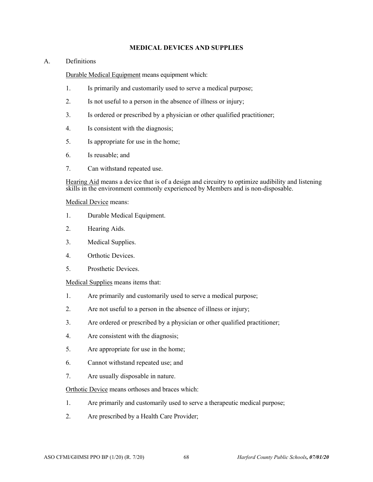#### **MEDICAL DEVICES AND SUPPLIES**

## A. Definitions

Durable Medical Equipment means equipment which:

- 1. Is primarily and customarily used to serve a medical purpose;
- 2. Is not useful to a person in the absence of illness or injury;
- 3. Is ordered or prescribed by a physician or other qualified practitioner;
- 4. Is consistent with the diagnosis;
- 5. Is appropriate for use in the home;
- 6. Is reusable; and
- 7. Can withstand repeated use.

Hearing Aid means a device that is of a design and circuitry to optimize audibility and listening skills in the environment commonly experienced by Members and is non-disposable.

#### Medical Device means:

- 1. Durable Medical Equipment.
- 2. Hearing Aids.
- 3. Medical Supplies.
- 4. Orthotic Devices.
- 5. Prosthetic Devices.

Medical Supplies means items that:

- 1. Are primarily and customarily used to serve a medical purpose;
- 2. Are not useful to a person in the absence of illness or injury;
- 3. Are ordered or prescribed by a physician or other qualified practitioner;
- 4. Are consistent with the diagnosis;
- 5. Are appropriate for use in the home;
- 6. Cannot withstand repeated use; and
- 7. Are usually disposable in nature.

Orthotic Device means orthoses and braces which:

- 1. Are primarily and customarily used to serve a therapeutic medical purpose;
- 2. Are prescribed by a Health Care Provider;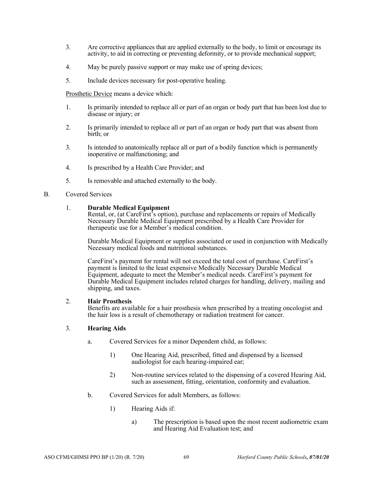- 3. Are corrective appliances that are applied externally to the body, to limit or encourage its activity, to aid in correcting or preventing deformity, or to provide mechanical support;
- 4. May be purely passive support or may make use of spring devices;
- 5. Include devices necessary for post-operative healing.

Prosthetic Device means a device which:

- 1. Is primarily intended to replace all or part of an organ or body part that has been lost due to disease or injury; or
- 2. Is primarily intended to replace all or part of an organ or body part that was absent from birth; or
- 3. Is intended to anatomically replace all or part of a bodily function which is permanently inoperative or malfunctioning; and
- 4. Is prescribed by a Health Care Provider; and
- 5. Is removable and attached externally to the body.
- B. Covered Services

## 1. **Durable Medical Equipment**

Rental, or, (at CareFirst's option), purchase and replacements or repairs of Medically Necessary Durable Medical Equipment prescribed by a Health Care Provider for therapeutic use for a Member's medical condition.

Durable Medical Equipment or supplies associated or used in conjunction with Medically Necessary medical foods and nutritional substances.

CareFirst's payment for rental will not exceed the total cost of purchase. CareFirst's payment is limited to the least expensive Medically Necessary Durable Medical Equipment, adequate to meet the Member's medical needs. CareFirst's payment for Durable Medical Equipment includes related charges for handling, delivery, mailing and shipping, and taxes.

#### 2. **Hair Prosthesis**

Benefits are available for a hair prosthesis when prescribed by a treating oncologist and the hair loss is a result of chemotherapy or radiation treatment for cancer.

# 3. **Hearing Aids**

- a. Covered Services for a minor Dependent child, as follows:
	- 1) One Hearing Aid, prescribed, fitted and dispensed by a licensed audiologist for each hearing-impaired ear;
	- 2) Non-routine services related to the dispensing of a covered Hearing Aid, such as assessment, fitting, orientation, conformity and evaluation.
- b. Covered Services for adult Members, as follows:
	- 1) Hearing Aids if:
		- a) The prescription is based upon the most recent audiometric exam and Hearing Aid Evaluation test; and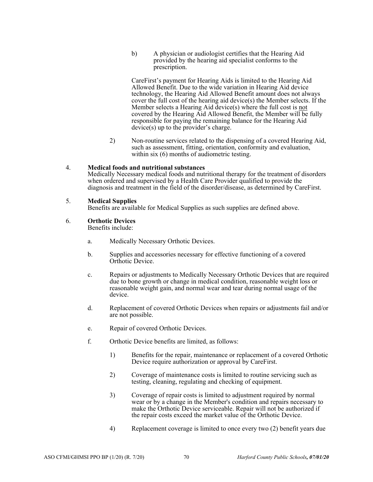b) A physician or audiologist certifies that the Hearing Aid provided by the hearing aid specialist conforms to the prescription.

CareFirst's payment for Hearing Aids is limited to the Hearing Aid Allowed Benefit. Due to the wide variation in Hearing Aid device technology, the Hearing Aid Allowed Benefit amount does not always cover the full cost of the hearing aid device(s) the Member selects. If the Member selects a Hearing Aid device(s) where the full cost is not covered by the Hearing Aid Allowed Benefit, the Member will be fully responsible for paying the remaining balance for the Hearing Aid device(s) up to the provider's charge.

2) Non-routine services related to the dispensing of a covered Hearing Aid, such as assessment, fitting, orientation, conformity and evaluation, within six (6) months of audiometric testing.

## 4. **Medical foods and nutritional substances**

Medically Necessary medical foods and nutritional therapy for the treatment of disorders when ordered and supervised by a Health Care Provider qualified to provide the diagnosis and treatment in the field of the disorder/disease, as determined by CareFirst.

#### 5. **Medical Supplies**

Benefits are available for Medical Supplies as such supplies are defined above.

# 6. **Orthotic Devices**

Benefits include:

- a. Medically Necessary Orthotic Devices.
- b. Supplies and accessories necessary for effective functioning of a covered Orthotic Device.
- c. Repairs or adjustments to Medically Necessary Orthotic Devices that are required due to bone growth or change in medical condition, reasonable weight loss or reasonable weight gain, and normal wear and tear during normal usage of the device.
- d. Replacement of covered Orthotic Devices when repairs or adjustments fail and/or are not possible.
- e. Repair of covered Orthotic Devices.
- f. Orthotic Device benefits are limited, as follows:
	- 1) Benefits for the repair, maintenance or replacement of a covered Orthotic Device require authorization or approval by CareFirst.
	- 2) Coverage of maintenance costs is limited to routine servicing such as testing, cleaning, regulating and checking of equipment.
	- 3) Coverage of repair costs is limited to adjustment required by normal wear or by a change in the Member's condition and repairs necessary to make the Orthotic Device serviceable. Repair will not be authorized if the repair costs exceed the market value of the Orthotic Device.
	- 4) Replacement coverage is limited to once every two (2) benefit years due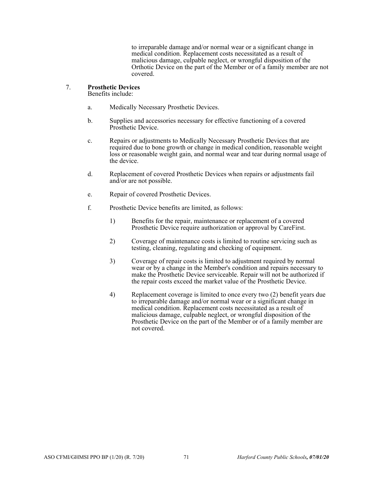to irreparable damage and/or normal wear or a significant change in medical condition. Replacement costs necessitated as a result of malicious damage, culpable neglect, or wrongful disposition of the Orthotic Device on the part of the Member or of a family member are not covered.

# 7. **Prosthetic Devices**

Benefits include:

- a. Medically Necessary Prosthetic Devices.
- b. Supplies and accessories necessary for effective functioning of a covered Prosthetic Device.
- c. Repairs or adjustments to Medically Necessary Prosthetic Devices that are required due to bone growth or change in medical condition, reasonable weight loss or reasonable weight gain, and normal wear and tear during normal usage of the device.
- d. Replacement of covered Prosthetic Devices when repairs or adjustments fail and/or are not possible.
- e. Repair of covered Prosthetic Devices.
- f. Prosthetic Device benefits are limited, as follows:
	- 1) Benefits for the repair, maintenance or replacement of a covered Prosthetic Device require authorization or approval by CareFirst.
	- 2) Coverage of maintenance costs is limited to routine servicing such as testing, cleaning, regulating and checking of equipment.
	- 3) Coverage of repair costs is limited to adjustment required by normal wear or by a change in the Member's condition and repairs necessary to make the Prosthetic Device serviceable. Repair will not be authorized if the repair costs exceed the market value of the Prosthetic Device.
	- 4) Replacement coverage is limited to once every two (2) benefit years due to irreparable damage and/or normal wear or a significant change in medical condition. Replacement costs necessitated as a result of malicious damage, culpable neglect, or wrongful disposition of the Prosthetic Device on the part of the Member or of a family member are not covered.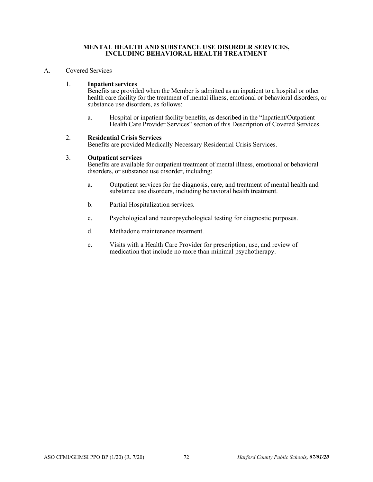#### **MENTAL HEALTH AND SUBSTANCE USE DISORDER SERVICES, INCLUDING BEHAVIORAL HEALTH TREATMENT**

#### A. Covered Services

## 1. **Inpatient services**

Benefits are provided when the Member is admitted as an inpatient to a hospital or other health care facility for the treatment of mental illness, emotional or behavioral disorders, or substance use disorders, as follows:

a. Hospital or inpatient facility benefits, as described in the "Inpatient/Outpatient Health Care Provider Services" section of this Description of Covered Services.

## 2. **Residential Crisis Services**

Benefits are provided Medically Necessary Residential Crisis Services.

#### 3. **Outpatient services**

Benefits are available for outpatient treatment of mental illness, emotional or behavioral disorders, or substance use disorder, including:

- a. Outpatient services for the diagnosis, care, and treatment of mental health and substance use disorders, including behavioral health treatment.
- b. Partial Hospitalization services.
- c. Psychological and neuropsychological testing for diagnostic purposes.
- d. Methadone maintenance treatment.
- e. Visits with a Health Care Provider for prescription, use, and review of medication that include no more than minimal psychotherapy.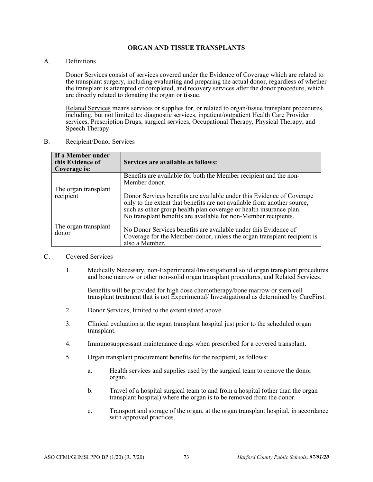## **ORGAN AND TISSUE TRANSPLANTS**

A. Definitions

Donor Services consist of services covered under the Evidence of Coverage which are related to the transplant surgery, including evaluating and preparing the actual donor, regardless of whether the transplant is attempted or completed, and recovery services after the donor procedure, which are directly related to donating the organ or tissue.

Related Services means services or supplies for, or related to organ/tissue transplant procedures, including, but not limited to: diagnostic services, inpatient/outpatient Health Care Provider services, Prescription Drugs, surgical services, Occupational Therapy, Physical Therapy, and Speech Therapy.

B. Recipient/Donor Services

| If a Member under<br>this Evidence of<br>Coverage is: | Services are available as follows:                                                                                                                                                                                              |
|-------------------------------------------------------|---------------------------------------------------------------------------------------------------------------------------------------------------------------------------------------------------------------------------------|
|                                                       | Benefits are available for both the Member recipient and the non-<br>Member donor.                                                                                                                                              |
| The organ transplant<br>recipient                     | Donor Services benefits are available under this Evidence of Coverage<br>only to the extent that benefits are not available from another source,<br>such as other group health plan coverage or health insurance plan.          |
| The organ transplant<br>donor                         | No transplant benefits are available for non-Member recipients.<br>No Donor Services benefits are available under this Evidence of<br>Coverage for the Member-donor, unless the organ transplant recipient is<br>also a Member. |

#### C. Covered Services

1. Medically Necessary, non-Experimental/Investigational solid organ transplant procedures and bone marrow or other non-solid organ transplant procedures, and Related Services.

Benefits will be provided for high dose chemotherapy/bone marrow or stem cell transplant treatment that is not Experimental/ Investigational as determined by CareFirst.

- 2. Donor Services, limited to the extent stated above.
- 3. Clinical evaluation at the organ transplant hospital just prior to the scheduled organ transplant.
- 4. Immunosuppressant maintenance drugs when prescribed for a covered transplant.
- 5. Organ transplant procurement benefits for the recipient, as follows:
	- a. Health services and supplies used by the surgical team to remove the donor organ.
	- b. Travel of a hospital surgical team to and from a hospital (other than the organ transplant hospital) where the organ is to be removed from the donor.
	- c. Transport and storage of the organ, at the organ transplant hospital, in accordance with approved practices.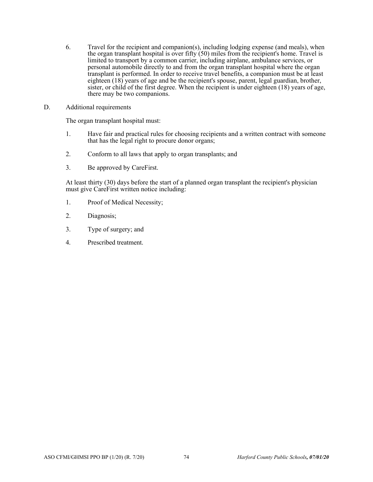- 6. Travel for the recipient and companion(s), including lodging expense (and meals), when the organ transplant hospital is over fifty  $(50)$  miles from the recipient's home. Travel is limited to transport by a common carrier, including airplane, ambulance services, or personal automobile directly to and from the organ transplant hospital where the organ transplant is performed. In order to receive travel benefits, a companion must be at least eighteen (18) years of age and be the recipient's spouse, parent, legal guardian, brother, sister, or child of the first degree. When the recipient is under eighteen (18) years of age, there may be two companions.
- D. Additional requirements

The organ transplant hospital must:

- 1. Have fair and practical rules for choosing recipients and a written contract with someone that has the legal right to procure donor organs;
- 2. Conform to all laws that apply to organ transplants; and
- 3. Be approved by CareFirst.

At least thirty (30) days before the start of a planned organ transplant the recipient's physician must give CareFirst written notice including:

- 1. Proof of Medical Necessity;
- 2. Diagnosis;
- 3. Type of surgery; and
- 4. Prescribed treatment.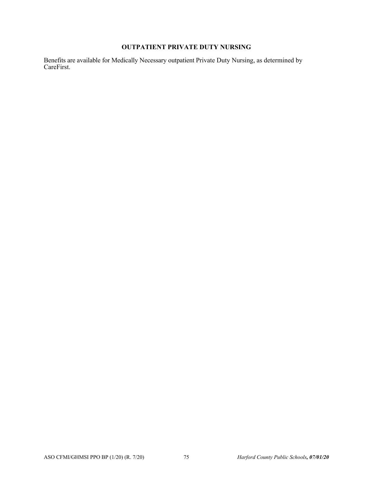# **OUTPATIENT PRIVATE DUTY NURSING**

Benefits are available for Medically Necessary outpatient Private Duty Nursing, as determined by CareFirst.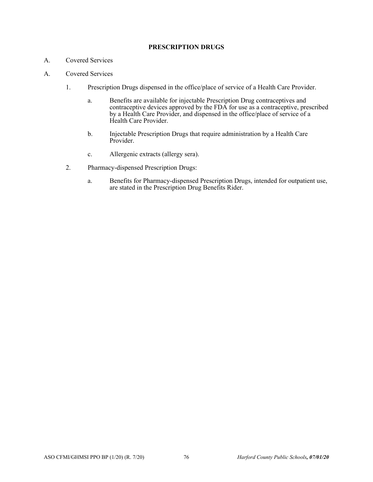# **PRESCRIPTION DRUGS**

- A. Covered Services
- A. Covered Services
	- 1. Prescription Drugs dispensed in the office/place of service of a Health Care Provider.
		- a. Benefits are available for injectable Prescription Drug contraceptives and contraceptive devices approved by the FDA for use as a contraceptive, prescribed by a Health Care Provider, and dispensed in the office/place of service of a Health Care Provider.
		- b. Injectable Prescription Drugs that require administration by a Health Care Provider.
		- c. Allergenic extracts (allergy sera).
	- 2. Pharmacy-dispensed Prescription Drugs:
		- a. Benefits for Pharmacy-dispensed Prescription Drugs, intended for outpatient use, are stated in the Prescription Drug Benefits Rider.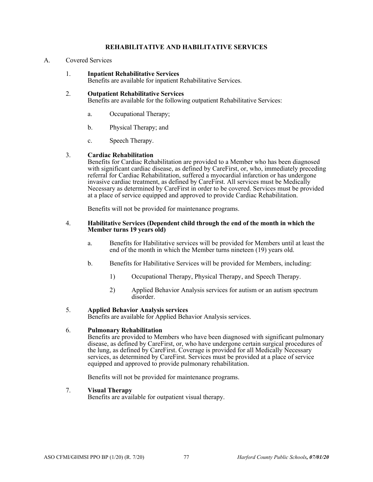# **REHABILITATIVE AND HABILITATIVE SERVICES**

## A. Covered Services

1. **Inpatient Rehabilitative Services** 

Benefits are available for inpatient Rehabilitative Services.

# 2. **Outpatient Rehabilitative Services**

Benefits are available for the following outpatient Rehabilitative Services:

- a. Occupational Therapy;
- b. Physical Therapy; and
- c. Speech Therapy.

## 3. **Cardiac Rehabilitation**

Benefits for Cardiac Rehabilitation are provided to a Member who has been diagnosed with significant cardiac disease, as defined by CareFirst, or, who, immediately preceding referral for Cardiac Rehabilitation, suffered a myocardial infarction or has undergone invasive cardiac treatment, as defined by CareFirst. All services must be Medically Necessary as determined by CareFirst in order to be covered. Services must be provided at a place of service equipped and approved to provide Cardiac Rehabilitation.

Benefits will not be provided for maintenance programs.

#### 4. **Habilitative Services (Dependent child through the end of the month in which the Member turns 19 years old)**

- a. Benefits for Habilitative services will be provided for Members until at least the end of the month in which the Member turns nineteen (19) years old.
- b. Benefits for Habilitative Services will be provided for Members, including:
	- 1) Occupational Therapy, Physical Therapy, and Speech Therapy.
	- 2) Applied Behavior Analysis services for autism or an autism spectrum disorder.

## 5. **Applied Behavior Analysis services**

Benefits are available for Applied Behavior Analysis services.

## 6. **Pulmonary Rehabilitation**

Benefits are provided to Members who have been diagnosed with significant pulmonary disease, as defined by CareFirst, or, who have undergone certain surgical procedures of the lung, as defined by CareFirst. Coverage is provided for all Medically Necessary services, as determined by CareFirst. Services must be provided at a place of service equipped and approved to provide pulmonary rehabilitation.

Benefits will not be provided for maintenance programs.

## 7. **Visual Therapy**

Benefits are available for outpatient visual therapy.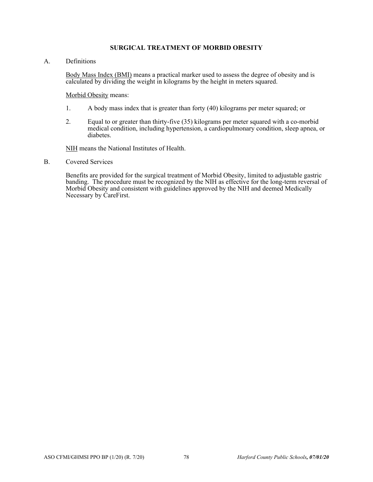## **SURGICAL TREATMENT OF MORBID OBESITY**

A. Definitions

Body Mass Index (BMI) means a practical marker used to assess the degree of obesity and is calculated by dividing the weight in kilograms by the height in meters squared.

Morbid Obesity means:

- 1. A body mass index that is greater than forty (40) kilograms per meter squared; or
- 2. Equal to or greater than thirty-five (35) kilograms per meter squared with a co-morbid medical condition, including hypertension, a cardiopulmonary condition, sleep apnea, or diabetes.

NIH means the National Institutes of Health.

B. Covered Services

Benefits are provided for the surgical treatment of Morbid Obesity, limited to adjustable gastric banding. The procedure must be recognized by the NIH as effective for the long-term reversal of Morbid Obesity and consistent with guidelines approved by the NIH and deemed Medically Necessary by CareFirst.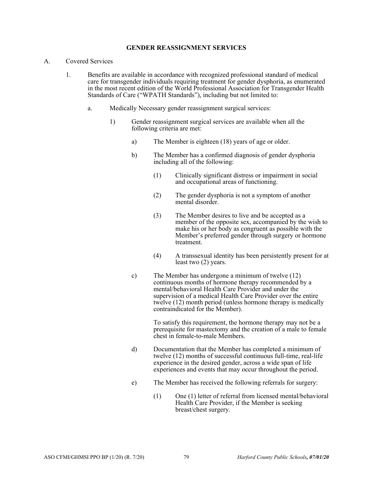#### **GENDER REASSIGNMENT SERVICES**

- A. Covered Services
	- 1. Benefits are available in accordance with recognized professional standard of medical care for transgender individuals requiring treatment for gender dysphoria, as enumerated in the most recent edition of the World Professional Association for Transgender Health Standards of Care ("WPATH Standards"), including but not limited to:
		- a. Medically Necessary gender reassignment surgical services:
			- 1) Gender reassignment surgical services are available when all the following criteria are met:
				- a) The Member is eighteen (18) years of age or older.
				- b) The Member has a confirmed diagnosis of gender dysphoria including all of the following:
					- (1) Clinically significant distress or impairment in social and occupational areas of functioning.
					- (2) The gender dysphoria is not a symptom of another mental disorder.
					- (3) The Member desires to live and be accepted as a member of the opposite sex, accompanied by the wish to make his or her body as congruent as possible with the Member's preferred gender through surgery or hormone treatment.
					- (4) A transsexual identity has been persistently present for at least two (2) years.
				- c) The Member has undergone a minimum of twelve (12) continuous months of hormone therapy recommended by a mental/behavioral Health Care Provider and under the supervision of a medical Health Care Provider over the entire twelve (12) month period (unless hormone therapy is medically contraindicated for the Member).

To satisfy this requirement, the hormone therapy may not be a prerequisite for mastectomy and the creation of a male to female chest in female-to-male Members.

- d) Documentation that the Member has completed a minimum of twelve (12) months of successful continuous full-time, real-life experience in the desired gender, across a wide span of life experiences and events that may occur throughout the period.
- e) The Member has received the following referrals for surgery:
	- (1) One (1) letter of referral from licensed mental/behavioral Health Care Provider, if the Member is seeking breast/chest surgery.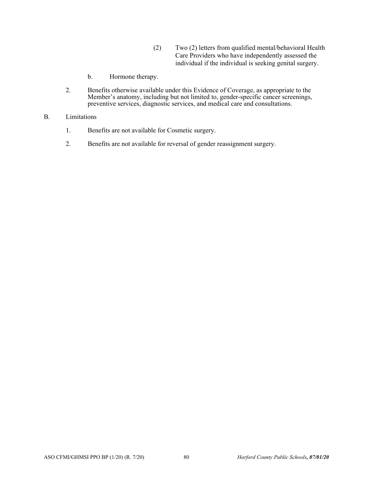- (2) Two (2) letters from qualified mental/behavioral Health Care Providers who have independently assessed the individual if the individual is seeking genital surgery.
- b. Hormone therapy.
- 2. Benefits otherwise available under this Evidence of Coverage, as appropriate to the Member's anatomy, including but not limited to, gender-specific cancer screenings, preventive services, diagnostic services, and medical care and consultations.
- B. Limitations
	- 1. Benefits are not available for Cosmetic surgery.
	- 2. Benefits are not available for reversal of gender reassignment surgery.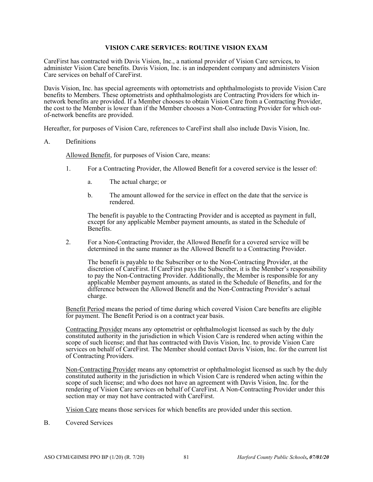#### **VISION CARE SERVICES: ROUTINE VISION EXAM**

CareFirst has contracted with Davis Vision, Inc., a national provider of Vision Care services, to administer Vision Care benefits. Davis Vision, Inc. is an independent company and administers Vision Care services on behalf of CareFirst.

Davis Vision, Inc. has special agreements with optometrists and ophthalmologists to provide Vision Care benefits to Members. These optometrists and ophthalmologists are Contracting Providers for which innetwork benefits are provided. If a Member chooses to obtain Vision Care from a Contracting Provider, the cost to the Member is lower than if the Member chooses a Non-Contracting Provider for which outof-network benefits are provided.

Hereafter, for purposes of Vision Care, references to CareFirst shall also include Davis Vision, Inc.

A. Definitions

Allowed Benefit, for purposes of Vision Care, means:

- 1. For a Contracting Provider, the Allowed Benefit for a covered service is the lesser of:
	- a. The actual charge; or
	- b. The amount allowed for the service in effect on the date that the service is rendered.

The benefit is payable to the Contracting Provider and is accepted as payment in full, except for any applicable Member payment amounts, as stated in the Schedule of Benefits.

2. For a Non-Contracting Provider, the Allowed Benefit for a covered service will be determined in the same manner as the Allowed Benefit to a Contracting Provider.

The benefit is payable to the Subscriber or to the Non-Contracting Provider, at the discretion of CareFirst. If CareFirst pays the Subscriber, it is the Member's responsibility to pay the Non-Contracting Provider. Additionally, the Member is responsible for any applicable Member payment amounts, as stated in the Schedule of Benefits, and for the difference between the Allowed Benefit and the Non-Contracting Provider's actual charge.

Benefit Period means the period of time during which covered Vision Care benefits are eligible for payment. The Benefit Period is on a contract year basis.

Contracting Provider means any optometrist or ophthalmologist licensed as such by the duly constituted authority in the jurisdiction in which Vision Care is rendered when acting within the scope of such license; and that has contracted with Davis Vision, Inc. to provide Vision Care services on behalf of CareFirst. The Member should contact Davis Vision, Inc. for the current list of Contracting Providers.

Non-Contracting Provider means any optometrist or ophthalmologist licensed as such by the duly constituted authority in the jurisdiction in which Vision Care is rendered when acting within the scope of such license; and who does not have an agreement with Davis Vision, Inc. for the rendering of Vision Care services on behalf of CareFirst. A Non-Contracting Provider under this section may or may not have contracted with CareFirst.

Vision Care means those services for which benefits are provided under this section.

B. Covered Services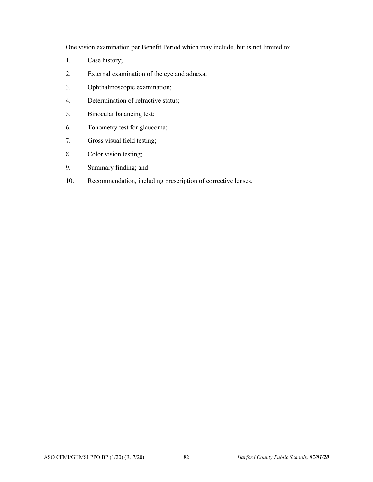One vision examination per Benefit Period which may include, but is not limited to:

- 1. Case history;
- 2. External examination of the eye and adnexa;
- 3. Ophthalmoscopic examination;
- 4. Determination of refractive status;
- 5. Binocular balancing test;
- 6. Tonometry test for glaucoma;
- 7. Gross visual field testing;
- 8. Color vision testing;
- 9. Summary finding; and
- 10. Recommendation, including prescription of corrective lenses.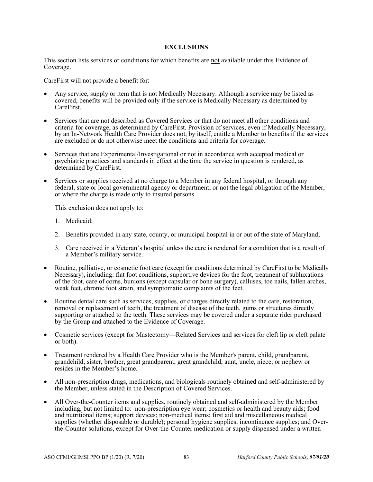# **EXCLUSIONS**

This section lists services or conditions for which benefits are not available under this Evidence of Coverage.

CareFirst will not provide a benefit for:

- Any service, supply or item that is not Medically Necessary. Although a service may be listed as covered, benefits will be provided only if the service is Medically Necessary as determined by CareFirst.
- Services that are not described as Covered Services or that do not meet all other conditions and criteria for coverage, as determined by CareFirst. Provision of services, even if Medically Necessary, by an In**-**Network Health Care Provider does not, by itself, entitle a Member to benefits if the services are excluded or do not otherwise meet the conditions and criteria for coverage.
- Services that are Experimental/Investigational or not in accordance with accepted medical or psychiatric practices and standards in effect at the time the service in question is rendered, as determined by CareFirst.
- Services or supplies received at no charge to a Member in any federal hospital, or through any federal, state or local governmental agency or department, or not the legal obligation of the Member, or where the charge is made only to insured persons.

This exclusion does not apply to:

- 1. Medicaid;
- 2. Benefits provided in any state, county, or municipal hospital in or out of the state of Maryland;
- 3. Care received in a Veteran's hospital unless the care is rendered for a condition that is a result of a Member's military service.
- Routine, palliative, or cosmetic foot care (except for conditions determined by CareFirst to be Medically Necessary), including: flat foot conditions, supportive devices for the foot, treatment of subluxations of the foot, care of corns, bunions (except capsular or bone surgery), calluses, toe nails, fallen arches, weak feet, chronic foot strain, and symptomatic complaints of the feet.
- Routine dental care such as services, supplies, or charges directly related to the care, restoration, removal or replacement of teeth, the treatment of disease of the teeth, gums or structures directly supporting or attached to the teeth. These services may be covered under a separate rider purchased by the Group and attached to the Evidence of Coverage.
- Cosmetic services (except for Mastectomy—Related Services and services for cleft lip or cleft palate or both).
- Treatment rendered by a Health Care Provider who is the Member's parent, child, grandparent, grandchild, sister, brother, great grandparent, great grandchild, aunt, uncle, niece, or nephew or resides in the Member's home.
- All non-prescription drugs, medications, and biologicals routinely obtained and self-administered by the Member, unless stated in the Description of Covered Services.
- All Over-the-Counter items and supplies, routinely obtained and self-administered by the Member including, but not limited to: non-prescription eye wear; cosmetics or health and beauty aids; food and nutritional items; support devices; non-medical items; first aid and miscellaneous medical supplies (whether disposable or durable); personal hygiene supplies; incontinence supplies; and Overthe-Counter solutions, except for Over-the-Counter medication or supply dispensed under a written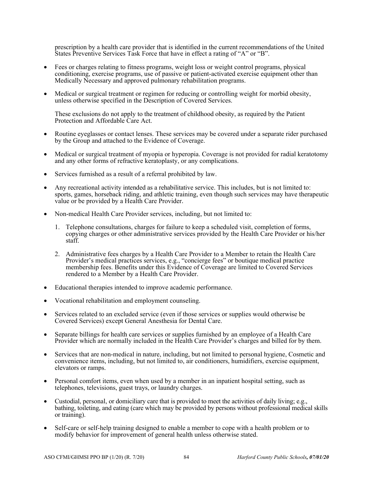prescription by a health care provider that is identified in the current recommendations of the United States Preventive Services Task Force that have in effect a rating of "A" or "B".

- Fees or charges relating to fitness programs, weight loss or weight control programs, physical conditioning, exercise programs, use of passive or patient-activated exercise equipment other than Medically Necessary and approved pulmonary rehabilitation programs.
- Medical or surgical treatment or regimen for reducing or controlling weight for morbid obesity, unless otherwise specified in the Description of Covered Services.

These exclusions do not apply to the treatment of childhood obesity, as required by the Patient Protection and Affordable Care Act.

- Routine eyeglasses or contact lenses. These services may be covered under a separate rider purchased by the Group and attached to the Evidence of Coverage.
- Medical or surgical treatment of myopia or hyperopia. Coverage is not provided for radial keratotomy and any other forms of refractive keratoplasty, or any complications.
- Services furnished as a result of a referral prohibited by law.
- Any recreational activity intended as a rehabilitative service. This includes, but is not limited to: sports, games, horseback riding, and athletic training, even though such services may have therapeutic value or be provided by a Health Care Provider.
- Non-medical Health Care Provider services, including, but not limited to:
	- 1. Telephone consultations, charges for failure to keep a scheduled visit, completion of forms, copying charges or other administrative services provided by the Health Care Provider or his/her staff.
	- 2. Administrative fees charges by a Health Care Provider to a Member to retain the Health Care Provider's medical practices services, e.g., "concierge fees" or boutique medical practice membership fees. Benefits under this Evidence of Coverage are limited to Covered Services rendered to a Member by a Health Care Provider.
- Educational therapies intended to improve academic performance.
- Vocational rehabilitation and employment counseling.
- Services related to an excluded service (even if those services or supplies would otherwise be Covered Services) except General Anesthesia for Dental Care.
- Separate billings for health care services or supplies furnished by an employee of a Health Care Provider which are normally included in the Health Care Provider's charges and billed for by them.
- Services that are non-medical in nature, including, but not limited to personal hygiene, Cosmetic and convenience items, including, but not limited to, air conditioners, humidifiers, exercise equipment, elevators or ramps.
- Personal comfort items, even when used by a member in an inpatient hospital setting, such as telephones, televisions, guest trays, or laundry charges.
- Custodial, personal, or domiciliary care that is provided to meet the activities of daily living; e.g., bathing, toileting, and eating (care which may be provided by persons without professional medical skills or training).
- Self-care or self-help training designed to enable a member to cope with a health problem or to modify behavior for improvement of general health unless otherwise stated.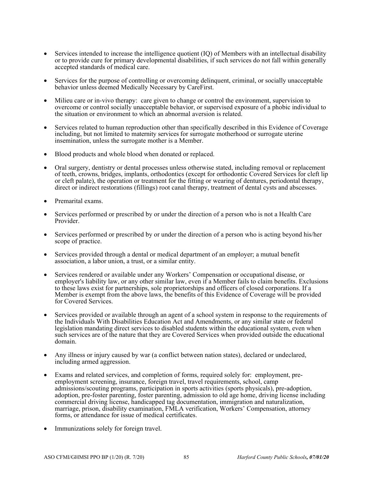- Services intended to increase the intelligence quotient (IQ) of Members with an intellectual disability or to provide cure for primary developmental disabilities, if such services do not fall within generally accepted standards of medical care.
- Services for the purpose of controlling or overcoming delinquent, criminal, or socially unacceptable behavior unless deemed Medically Necessary by CareFirst.
- Milieu care or in-vivo therapy: care given to change or control the environment, supervision to overcome or control socially unacceptable behavior, or supervised exposure of a phobic individual to the situation or environment to which an abnormal aversion is related.
- Services related to human reproduction other than specifically described in this Evidence of Coverage including, but not limited to maternity services for surrogate motherhood or surrogate uterine insemination, unless the surrogate mother is a Member.
- Blood products and whole blood when donated or replaced.
- Oral surgery, dentistry or dental processes unless otherwise stated, including removal or replacement of teeth, crowns, bridges, implants, orthodontics (except for orthodontic Covered Services for cleft lip or cleft palate), the operation or treatment for the fitting or wearing of dentures, periodontal therapy, direct or indirect restorations (fillings) root canal therapy, treatment of dental cysts and abscesses.
- Premarital exams.
- Services performed or prescribed by or under the direction of a person who is not a Health Care Provider.
- Services performed or prescribed by or under the direction of a person who is acting beyond his/her scope of practice.
- Services provided through a dental or medical department of an employer; a mutual benefit association, a labor union, a trust, or a similar entity.
- Services rendered or available under any Workers' Compensation or occupational disease, or employer's liability law, or any other similar law, even if a Member fails to claim benefits. Exclusions to these laws exist for partnerships, sole proprietorships and officers of closed corporations. If a Member is exempt from the above laws, the benefits of this Evidence of Coverage will be provided for Covered Services.
- Services provided or available through an agent of a school system in response to the requirements of the Individuals With Disabilities Education Act and Amendments, or any similar state or federal legislation mandating direct services to disabled students within the educational system, even when such services are of the nature that they are Covered Services when provided outside the educational domain.
- Any illness or injury caused by war (a conflict between nation states), declared or undeclared, including armed aggression.
- Exams and related services, and completion of forms, required solely for: employment, preemployment screening, insurance, foreign travel, travel requirements, school, camp admissions/scouting programs, participation in sports activities (sports physicals), pre-adoption, adoption, pre-foster parenting, foster parenting, admission to old age home, driving license including commercial driving license, handicapped tag documentation, immigration and naturalization, marriage, prison, disability examination, FMLA verification, Workers' Compensation, attorney forms, or attendance for issue of medical certificates.
- Immunizations solely for foreign travel.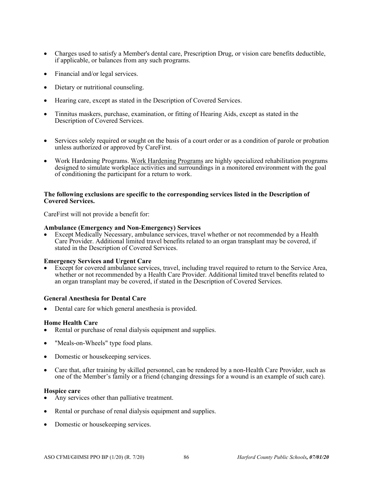- Charges used to satisfy a Member's dental care, Prescription Drug, or vision care benefits deductible, if applicable, or balances from any such programs.
- Financial and/or legal services.
- Dietary or nutritional counseling.
- Hearing care, except as stated in the Description of Covered Services.
- Tinnitus maskers, purchase, examination, or fitting of Hearing Aids, except as stated in the Description of Covered Services.
- Services solely required or sought on the basis of a court order or as a condition of parole or probation unless authorized or approved by CareFirst.
- Work Hardening Programs. Work Hardening Programs are highly specialized rehabilitation programs designed to simulate workplace activities and surroundings in a monitored environment with the goal of conditioning the participant for a return to work.

#### **The following exclusions are specific to the corresponding services listed in the Description of Covered Services.**

CareFirst will not provide a benefit for:

#### **Ambulance (Emergency and Non-Emergency) Services**

 Except Medically Necessary, ambulance services, travel whether or not recommended by a Health Care Provider. Additional limited travel benefits related to an organ transplant may be covered, if stated in the Description of Covered Services.

## **Emergency Services and Urgent Care**

 Except for covered ambulance services, travel, including travel required to return to the Service Area, whether or not recommended by a Health Care Provider. Additional limited travel benefits related to an organ transplant may be covered, if stated in the Description of Covered Services.

#### **General Anesthesia for Dental Care**

Dental care for which general anesthesia is provided.

#### **Home Health Care**

- Rental or purchase of renal dialysis equipment and supplies.
- "Meals-on-Wheels" type food plans.
- Domestic or housekeeping services.
- Care that, after training by skilled personnel, can be rendered by a non-Health Care Provider, such as one of the Member's family or a friend (changing dressings for a wound is an example of such care).

#### **Hospice care**

- Any services other than palliative treatment.
- Rental or purchase of renal dialysis equipment and supplies.
- Domestic or housekeeping services.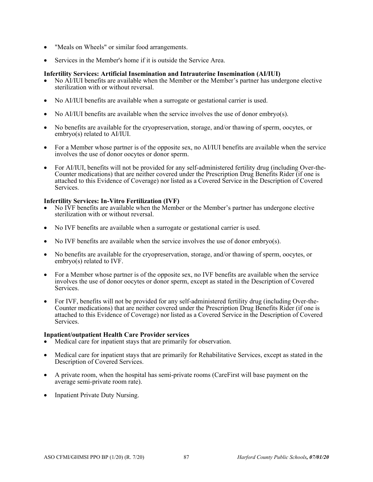- "Meals on Wheels" or similar food arrangements.
- Services in the Member's home if it is outside the Service Area.

#### **Infertility Services: Artificial Insemination and Intrauterine Insemination (AI/IUI)**

- No AI/IUI benefits are available when the Member or the Member's partner has undergone elective sterilization with or without reversal.
- No AI/IUI benefits are available when a surrogate or gestational carrier is used.
- No AI/IUI benefits are available when the service involves the use of donor embryo(s).
- No benefits are available for the cryopreservation, storage, and/or thawing of sperm, oocytes, or embryo(s) related to AI/IUI.
- For a Member whose partner is of the opposite sex, no AI/IUI benefits are available when the service involves the use of donor oocytes or donor sperm.
- For AI/IUI, benefits will not be provided for any self-administered fertility drug (including Over-the-Counter medications) that are neither covered under the Prescription Drug Benefits Rider (if one is attached to this Evidence of Coverage) nor listed as a Covered Service in the Description of Covered Services.

## **Infertility Services: In-Vitro Fertilization (IVF)**

- No IVF benefits are available when the Member or the Member's partner has undergone elective sterilization with or without reversal.
- No IVF benefits are available when a surrogate or gestational carrier is used.
- No IVF benefits are available when the service involves the use of donor embryo(s).
- No benefits are available for the cryopreservation, storage, and/or thawing of sperm, oocytes, or embryo(s) related to IVF.
- For a Member whose partner is of the opposite sex, no IVF benefits are available when the service involves the use of donor oocytes or donor sperm, except as stated in the Description of Covered Services.
- For IVF, benefits will not be provided for any self-administered fertility drug (including Over-the-Counter medications) that are neither covered under the Prescription Drug Benefits Rider (if one is attached to this Evidence of Coverage) nor listed as a Covered Service in the Description of Covered Services.

#### **Inpatient/outpatient Health Care Provider services**

- Medical care for inpatient stays that are primarily for observation.
- Medical care for inpatient stays that are primarily for Rehabilitative Services, except as stated in the Description of Covered Services.
- A private room, when the hospital has semi-private rooms (CareFirst will base payment on the average semi-private room rate).
- Inpatient Private Duty Nursing.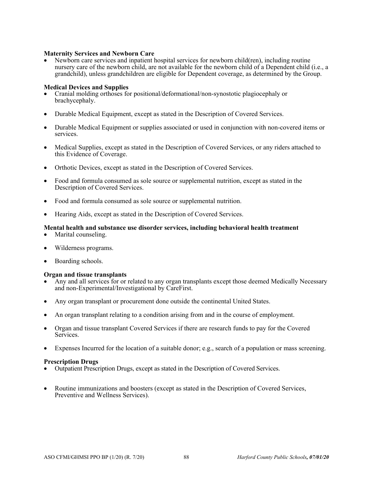## **Maternity Services and Newborn Care**

 Newborn care services and inpatient hospital services for newborn child(ren), including routine nursery care of the newborn child, are not available for the newborn child of a Dependent child (i.e., a grandchild), unless grandchildren are eligible for Dependent coverage, as determined by the Group.

#### **Medical Devices and Supplies**

- Cranial molding orthoses for positional/deformational/non-synostotic plagiocephaly or brachycephaly.
- Durable Medical Equipment, except as stated in the Description of Covered Services.
- Durable Medical Equipment or supplies associated or used in conjunction with non-covered items or services.
- Medical Supplies, except as stated in the Description of Covered Services, or any riders attached to this Evidence of Coverage.
- Orthotic Devices, except as stated in the Description of Covered Services.
- Food and formula consumed as sole source or supplemental nutrition, except as stated in the Description of Covered Services.
- Food and formula consumed as sole source or supplemental nutrition.
- Hearing Aids, except as stated in the Description of Covered Services.

## **Mental health and substance use disorder services, including behavioral health treatment**

- Marital counseling.
- Wilderness programs.
- Boarding schools.

#### **Organ and tissue transplants**

- Any and all services for or related to any organ transplants except those deemed Medically Necessary and non-Experimental/Investigational by CareFirst.
- Any organ transplant or procurement done outside the continental United States.
- An organ transplant relating to a condition arising from and in the course of employment.
- Organ and tissue transplant Covered Services if there are research funds to pay for the Covered **Services**
- Expenses Incurred for the location of a suitable donor; e.g., search of a population or mass screening.

#### **Prescription Drugs**

- Outpatient Prescription Drugs, except as stated in the Description of Covered Services.
- Routine immunizations and boosters (except as stated in the Description of Covered Services, Preventive and Wellness Services).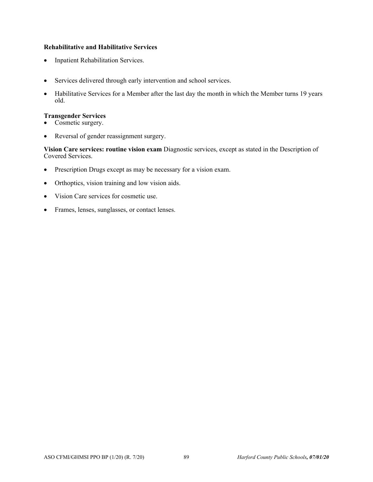# **Rehabilitative and Habilitative Services**

- Inpatient Rehabilitation Services.
- Services delivered through early intervention and school services.
- Habilitative Services for a Member after the last day the month in which the Member turns 19 years old.

## **Transgender Services**

- Cosmetic surgery.
- Reversal of gender reassignment surgery.

**Vision Care services: routine vision exam** Diagnostic services, except as stated in the Description of Covered Services.

- Prescription Drugs except as may be necessary for a vision exam.
- Orthoptics, vision training and low vision aids.
- Vision Care services for cosmetic use.
- Frames, lenses, sunglasses, or contact lenses.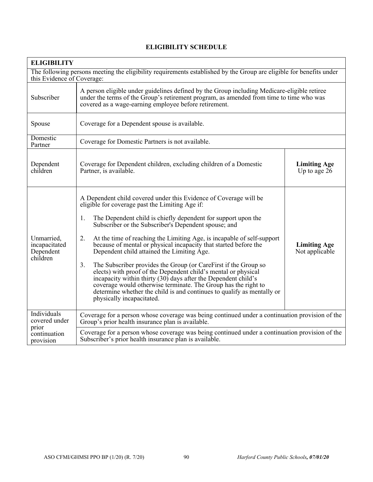| <b>ELIGIBILITY</b>                                                                                                                                |                                                                                                                                                                                                                                                                                                                                                                                                                                                                                                                                                                                                                                                                                                                                                                                                                                             |                                       |  |
|---------------------------------------------------------------------------------------------------------------------------------------------------|---------------------------------------------------------------------------------------------------------------------------------------------------------------------------------------------------------------------------------------------------------------------------------------------------------------------------------------------------------------------------------------------------------------------------------------------------------------------------------------------------------------------------------------------------------------------------------------------------------------------------------------------------------------------------------------------------------------------------------------------------------------------------------------------------------------------------------------------|---------------------------------------|--|
| The following persons meeting the eligibility requirements established by the Group are eligible for benefits under<br>this Evidence of Coverage: |                                                                                                                                                                                                                                                                                                                                                                                                                                                                                                                                                                                                                                                                                                                                                                                                                                             |                                       |  |
| Subscriber                                                                                                                                        | A person eligible under guidelines defined by the Group including Medicare-eligible retiree<br>under the terms of the Group's retirement program, as amended from time to time who was<br>covered as a wage-earning employee before retirement.                                                                                                                                                                                                                                                                                                                                                                                                                                                                                                                                                                                             |                                       |  |
| Spouse                                                                                                                                            | Coverage for a Dependent spouse is available.                                                                                                                                                                                                                                                                                                                                                                                                                                                                                                                                                                                                                                                                                                                                                                                               |                                       |  |
| Domestic<br>Partner                                                                                                                               | Coverage for Domestic Partners is not available.                                                                                                                                                                                                                                                                                                                                                                                                                                                                                                                                                                                                                                                                                                                                                                                            |                                       |  |
| Dependent<br>children                                                                                                                             | Coverage for Dependent children, excluding children of a Domestic<br>Partner, is available.                                                                                                                                                                                                                                                                                                                                                                                                                                                                                                                                                                                                                                                                                                                                                 | <b>Limiting Age</b><br>Up to age 26   |  |
| Unmarried,<br>incapacitated<br>Dependent<br>children                                                                                              | A Dependent child covered under this Evidence of Coverage will be<br>eligible for coverage past the Limiting Age if:<br>The Dependent child is chiefly dependent for support upon the<br>1.<br>Subscriber or the Subscriber's Dependent spouse; and<br>2.<br>At the time of reaching the Limiting Age, is incapable of self-support<br>because of mental or physical incapacity that started before the<br>Dependent child attained the Limiting Age.<br>3.<br>The Subscriber provides the Group (or CareFirst if the Group so<br>elects) with proof of the Dependent child's mental or physical<br>incapacity within thirty (30) days after the Dependent child's<br>coverage would otherwise terminate. The Group has the right to<br>determine whether the child is and continues to qualify as mentally or<br>physically incapacitated. | <b>Limiting Age</b><br>Not applicable |  |
| Individuals<br>covered under                                                                                                                      | Coverage for a person whose coverage was being continued under a continuation provision of the<br>Group's prior health insurance plan is available.                                                                                                                                                                                                                                                                                                                                                                                                                                                                                                                                                                                                                                                                                         |                                       |  |
| prior<br>continuation<br>provision                                                                                                                | Coverage for a person whose coverage was being continued under a continuation provision of the<br>Subscriber's prior health insurance plan is available.                                                                                                                                                                                                                                                                                                                                                                                                                                                                                                                                                                                                                                                                                    |                                       |  |

# **ELIGIBILITY SCHEDULE**

٦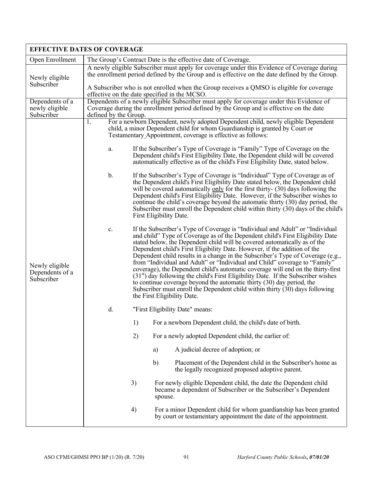| <b>EFFECTIVE DATES OF COVERAGE</b>              |                                                                                                                                                                                                                                                                                                                                                                                                                                                                                                                                                                                                                                                                                                                                                                                                                                                                     |  |  |  |
|-------------------------------------------------|---------------------------------------------------------------------------------------------------------------------------------------------------------------------------------------------------------------------------------------------------------------------------------------------------------------------------------------------------------------------------------------------------------------------------------------------------------------------------------------------------------------------------------------------------------------------------------------------------------------------------------------------------------------------------------------------------------------------------------------------------------------------------------------------------------------------------------------------------------------------|--|--|--|
| Open Enrollment                                 | The Group's Contract Date is the effective date of Coverage.                                                                                                                                                                                                                                                                                                                                                                                                                                                                                                                                                                                                                                                                                                                                                                                                        |  |  |  |
| Newly eligible                                  | A newly eligible Subscriber must apply for coverage under this Evidence of Coverage during<br>the enrollment period defined by the Group and is effective on the date defined by the Group.                                                                                                                                                                                                                                                                                                                                                                                                                                                                                                                                                                                                                                                                         |  |  |  |
| Subscriber                                      | A Subscriber who is not enrolled when the Group receives a QMSO is eligible for coverage<br>effective on the date specified in the MCSO.                                                                                                                                                                                                                                                                                                                                                                                                                                                                                                                                                                                                                                                                                                                            |  |  |  |
| Dependents of a<br>newly eligible<br>Subscriber | Dependents of a newly eligible Subscriber must apply for coverage under this Evidence of<br>Coverage during the enrollment period defined by the Group and is effective on the date<br>defined by the Group.                                                                                                                                                                                                                                                                                                                                                                                                                                                                                                                                                                                                                                                        |  |  |  |
|                                                 | For a newborn Dependent, newly adopted Dependent child, newly eligible Dependent<br>1.<br>child, a minor Dependent child for whom Guardianship is granted by Court or<br>Testamentary Appointment, coverage is effective as follows:                                                                                                                                                                                                                                                                                                                                                                                                                                                                                                                                                                                                                                |  |  |  |
|                                                 | If the Subscriber's Type of Coverage is "Family" Type of Coverage on the<br>a.<br>Dependent child's First Eligibility Date, the Dependent child will be covered<br>automatically effective as of the child's First Eligibility Date, stated below.                                                                                                                                                                                                                                                                                                                                                                                                                                                                                                                                                                                                                  |  |  |  |
| Newly eligible<br>Dependents of a<br>Subscriber | If the Subscriber's Type of Coverage is "Individual" Type of Coverage as of<br>b.<br>the Dependent child's First Eligibility Date stated below, the Dependent child<br>will be covered automatically $\frac{only}{or}$ for the first thirty- (30) days following the<br>Dependent child's First Eligibility Date. However, if the Subscriber wishes to<br>continue the child's coverage beyond the automatic thirty (30) day period, the<br>Subscriber must enroll the Dependent child within thirty (30) days of the child's<br>First Eligibility Date.                                                                                                                                                                                                                                                                                                            |  |  |  |
|                                                 | If the Subscriber's Type of Coverage is "Individual and Adult" or "Individual<br>c.<br>and child" Type of Coverage as of the Dependent child's First Eligibility Date<br>stated below, the Dependent child will be covered automatically as of the<br>Dependent child's First Eligibility Date. However, if the addition of the<br>Dependent child results in a change in the Subscriber's Type of Coverage (e.g.,<br>from "Individual and Adult" or "Individual and Child" coverage to "Family"<br>coverage), the Dependent child's automatic coverage will end on the thirty-first<br>$(31st)$ day following the child's First Eligibility Date. If the Subscriber wishes<br>to continue coverage beyond the automatic thirty (30) day period, the<br>Subscriber must enroll the Dependent child within thirty (30) days following<br>the First Eligibility Date. |  |  |  |
|                                                 | d.<br>"First Eligibility Date" means:                                                                                                                                                                                                                                                                                                                                                                                                                                                                                                                                                                                                                                                                                                                                                                                                                               |  |  |  |
|                                                 | For a newborn Dependent child, the child's date of birth.<br>1)                                                                                                                                                                                                                                                                                                                                                                                                                                                                                                                                                                                                                                                                                                                                                                                                     |  |  |  |
|                                                 | 2)<br>For a newly adopted Dependent child, the earlier of:                                                                                                                                                                                                                                                                                                                                                                                                                                                                                                                                                                                                                                                                                                                                                                                                          |  |  |  |
|                                                 | A judicial decree of adoption; or<br>a)                                                                                                                                                                                                                                                                                                                                                                                                                                                                                                                                                                                                                                                                                                                                                                                                                             |  |  |  |
|                                                 | b)<br>Placement of the Dependent child in the Subscriber's home as<br>the legally recognized proposed adoptive parent.                                                                                                                                                                                                                                                                                                                                                                                                                                                                                                                                                                                                                                                                                                                                              |  |  |  |
|                                                 | 3)<br>For newly eligible Dependent child, the date the Dependent child<br>became a dependent of Subscriber or the Subscriber's Dependent<br>spouse.                                                                                                                                                                                                                                                                                                                                                                                                                                                                                                                                                                                                                                                                                                                 |  |  |  |
|                                                 | 4)<br>For a minor Dependent child for whom guardianship has been granted<br>by court or testamentary appointment the date of the appointment.                                                                                                                                                                                                                                                                                                                                                                                                                                                                                                                                                                                                                                                                                                                       |  |  |  |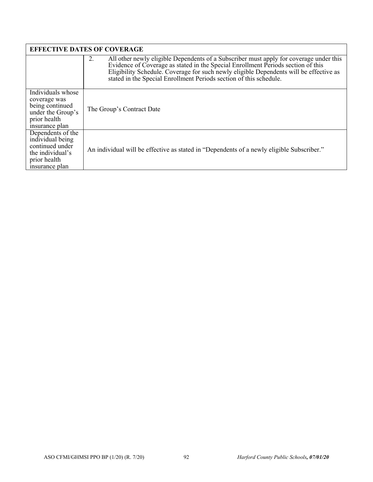| <b>EFFECTIVE DATES OF COVERAGE</b>                                                                             |                                                                                                                                                                                                                                                                                                                                                  |  |
|----------------------------------------------------------------------------------------------------------------|--------------------------------------------------------------------------------------------------------------------------------------------------------------------------------------------------------------------------------------------------------------------------------------------------------------------------------------------------|--|
|                                                                                                                | All other newly eligible Dependents of a Subscriber must apply for coverage under this<br>2.<br>Evidence of Coverage as stated in the Special Enrollment Periods section of this<br>Eligibility Schedule. Coverage for such newly eligible Dependents will be effective as<br>stated in the Special Enrollment Periods section of this schedule. |  |
| Individuals whose<br>coverage was<br>being continued<br>under the Group's<br>prior health<br>insurance plan    | The Group's Contract Date                                                                                                                                                                                                                                                                                                                        |  |
| Dependents of the<br>individual being<br>continued under<br>the individual's<br>prior health<br>insurance plan | An individual will be effective as stated in "Dependents of a newly eligible Subscriber."                                                                                                                                                                                                                                                        |  |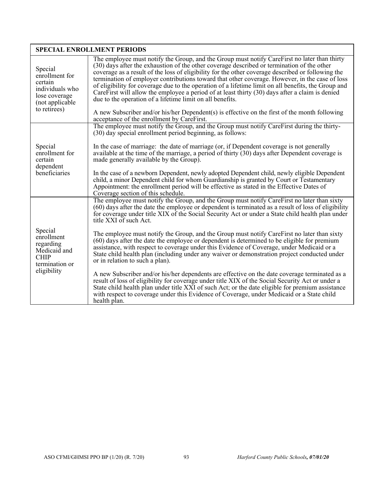| <b>SPECIAL ENROLLMENT PERIODS</b>                                                                            |                                                                                                                                                                                                                                                                                                                                                                                                                                                                                                                                                                                                                                                                                                                                                                                                                            |  |
|--------------------------------------------------------------------------------------------------------------|----------------------------------------------------------------------------------------------------------------------------------------------------------------------------------------------------------------------------------------------------------------------------------------------------------------------------------------------------------------------------------------------------------------------------------------------------------------------------------------------------------------------------------------------------------------------------------------------------------------------------------------------------------------------------------------------------------------------------------------------------------------------------------------------------------------------------|--|
| Special<br>enrollment for<br>certain<br>individuals who<br>lose coverage<br>(not applicable)<br>to retirees) | The employee must notify the Group, and the Group must notify CareFirst no later than thirty<br>(30) days after the exhaustion of the other coverage described or termination of the other<br>coverage as a result of the loss of eligibility for the other coverage described or following the<br>termination of employer contributions toward that other coverage. However, in the case of loss<br>of eligibility for coverage due to the operation of a lifetime limit on all benefits, the Group and<br>Care First will allow the employee a period of at least thirty $(30)$ days after a claim is denied<br>due to the operation of a lifetime limit on all benefits.<br>A new Subscriber and/or his/her Dependent(s) is effective on the first of the month following<br>acceptance of the enrollment by CareFirst. |  |
|                                                                                                              | The employee must notify the Group, and the Group must notify CareFirst during the thirty-<br>$(30)$ day special enrollment period beginning, as follows:                                                                                                                                                                                                                                                                                                                                                                                                                                                                                                                                                                                                                                                                  |  |
| Special<br>enrollment for<br>certain<br>dependent                                                            | In the case of marriage: the date of marriage (or, if Dependent coverage is not generally<br>available at the time of the marriage, a period of thirty (30) days after Dependent coverage is<br>made generally available by the Group).                                                                                                                                                                                                                                                                                                                                                                                                                                                                                                                                                                                    |  |
| beneficiaries                                                                                                | In the case of a newborn Dependent, newly adopted Dependent child, newly eligible Dependent<br>child, a minor Dependent child for whom Guardianship is granted by Court or Testamentary<br>Appointment: the enrollment period will be effective as stated in the Effective Dates of<br>Coverage section of this schedule.                                                                                                                                                                                                                                                                                                                                                                                                                                                                                                  |  |
|                                                                                                              | The employee must notify the Group, and the Group must notify CareFirst no later than sixty<br>(60) days after the date the employee or dependent is terminated as a result of loss of eligibility<br>for coverage under title XIX of the Social Security Act or under a State child health plan under<br>title XXI of such Act.                                                                                                                                                                                                                                                                                                                                                                                                                                                                                           |  |
| Special<br>enrollment<br>regarding<br>Medicaid and<br><b>CHIP</b><br>termination or                          | The employee must notify the Group, and the Group must notify CareFirst no later than sixty<br>(60) days after the date the employee or dependent is determined to be eligible for premium<br>assistance, with respect to coverage under this Evidence of Coverage, under Medicaid or a<br>State child health plan (including under any waiver or demonstration project conducted under<br>or in relation to such a plan).                                                                                                                                                                                                                                                                                                                                                                                                 |  |
| eligibility                                                                                                  | A new Subscriber and/or his/her dependents are effective on the date coverage terminated as a<br>result of loss of eligibility for coverage under title XIX of the Social Security Act or under a<br>State child health plan under title XXI of such Act; or the date eligible for premium assistance<br>with respect to coverage under this Evidence of Coverage, under Medicaid or a State child<br>health plan.                                                                                                                                                                                                                                                                                                                                                                                                         |  |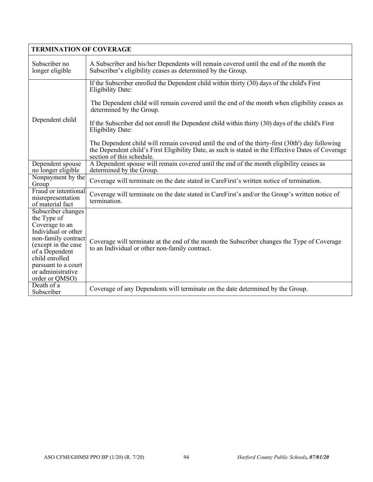| <b>TERMINATION OF COVERAGE</b>                                                                                                                                                                                             |                                                                                                                                                                                                                                                 |
|----------------------------------------------------------------------------------------------------------------------------------------------------------------------------------------------------------------------------|-------------------------------------------------------------------------------------------------------------------------------------------------------------------------------------------------------------------------------------------------|
| Subscriber no<br>longer eligible                                                                                                                                                                                           | A Subscriber and his/her Dependents will remain covered until the end of the month the<br>Subscriber's eligibility ceases as determined by the Group.                                                                                           |
|                                                                                                                                                                                                                            | If the Subscriber enrolled the Dependent child within thirty (30) days of the child's First<br><b>Eligibility Date:</b>                                                                                                                         |
| Dependent child                                                                                                                                                                                                            | The Dependent child will remain covered until the end of the month when eligibility ceases as<br>determined by the Group.                                                                                                                       |
|                                                                                                                                                                                                                            | If the Subscriber did not enroll the Dependent child within thirty (30) days of the child's First<br><b>Eligibility Date:</b>                                                                                                                   |
|                                                                                                                                                                                                                            | The Dependent child will remain covered until the end of the thirty-first (30th <sup>t</sup> ) day following<br>the Dependent child's First Eligibility Date, as such is stated in the Effective Dates of Coverage<br>section of this schedule. |
| Dependent spouse<br>no longer eligible                                                                                                                                                                                     | A Dependent spouse will remain covered until the end of the month eligibility ceases as<br>determined by the Group.                                                                                                                             |
| Nonpayment by the<br>Group                                                                                                                                                                                                 | Coverage will terminate on the date stated in CareFirst's written notice of termination.                                                                                                                                                        |
| Fraud or intentional<br>misrepresentation<br>of material fact                                                                                                                                                              | Coverage will terminate on the date stated in CareFirst's and/or the Group's written notice of<br>termination.                                                                                                                                  |
| Subscriber changes<br>the Type of<br>Coverage to an<br>Individual or other<br>non-family contract<br>(except in the case<br>of a Dependent<br>child enrolled<br>pursuant to a court<br>or administrative<br>order or QMSO) | Coverage will terminate at the end of the month the Subscriber changes the Type of Coverage<br>to an Individual or other non-family contract.                                                                                                   |
| Death of a<br>Subscriber                                                                                                                                                                                                   | Coverage of any Dependents will terminate on the date determined by the Group.                                                                                                                                                                  |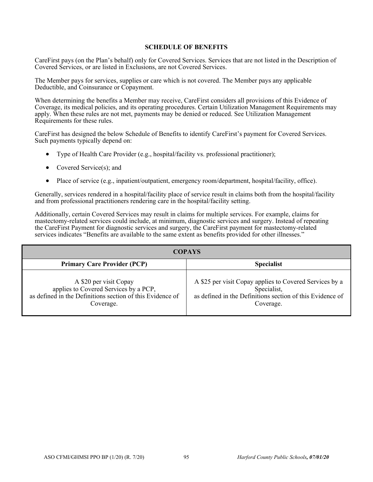## **SCHEDULE OF BENEFITS**

CareFirst pays (on the Plan's behalf) only for Covered Services. Services that are not listed in the Description of Covered Services, or are listed in Exclusions, are not Covered Services.

The Member pays for services, supplies or care which is not covered. The Member pays any applicable Deductible, and Coinsurance or Copayment.

When determining the benefits a Member may receive, CareFirst considers all provisions of this Evidence of Coverage, its medical policies, and its operating procedures. Certain Utilization Management Requirements may apply. When these rules are not met, payments may be denied or reduced. See Utilization Management Requirements for these rules.

CareFirst has designed the below Schedule of Benefits to identify CareFirst's payment for Covered Services. Such payments typically depend on:

- Type of Health Care Provider (e.g., hospital/facility vs. professional practitioner);
- Covered Service(s); and
- Place of service (e.g., inpatient/outpatient, emergency room/department, hospital/facility, office).

Generally, services rendered in a hospital/facility place of service result in claims both from the hospital/facility and from professional practitioners rendering care in the hospital/facility setting.

Additionally, certain Covered Services may result in claims for multiple services. For example, claims for mastectomy-related services could include, at minimum, diagnostic services and surgery. Instead of repeating the CareFirst Payment for diagnostic services and surgery, the CareFirst payment for mastectomy-related services indicates "Benefits are available to the same extent as benefits provided for other illnesses."

| <b>COPAYS</b>                                                                                                                             |                                                                                                                                                  |  |
|-------------------------------------------------------------------------------------------------------------------------------------------|--------------------------------------------------------------------------------------------------------------------------------------------------|--|
| <b>Primary Care Provider (PCP)</b>                                                                                                        | <b>Specialist</b>                                                                                                                                |  |
| A \$20 per visit Copay<br>applies to Covered Services by a PCP,<br>as defined in the Definitions section of this Evidence of<br>Coverage. | A \$25 per visit Copay applies to Covered Services by a<br>Specialist,<br>as defined in the Definitions section of this Evidence of<br>Coverage. |  |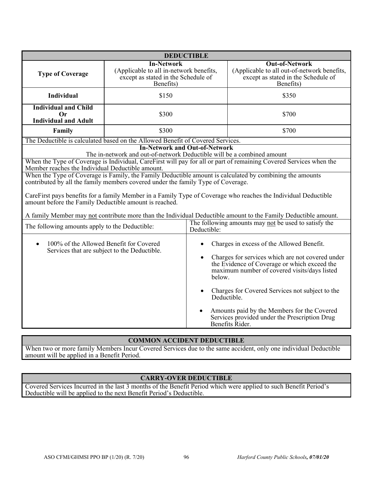| <b>DEDUCTIBLE</b>                                                                                                                                                                                                                                                                                                                                                                                                                                                                          |                                                                                                                       |                                    |                                                                                                                                                                                                                                                                                                                                                                     |
|--------------------------------------------------------------------------------------------------------------------------------------------------------------------------------------------------------------------------------------------------------------------------------------------------------------------------------------------------------------------------------------------------------------------------------------------------------------------------------------------|-----------------------------------------------------------------------------------------------------------------------|------------------------------------|---------------------------------------------------------------------------------------------------------------------------------------------------------------------------------------------------------------------------------------------------------------------------------------------------------------------------------------------------------------------|
| <b>Type of Coverage</b>                                                                                                                                                                                                                                                                                                                                                                                                                                                                    | <b>In-Network</b><br>(Applicable to all in-network benefits,<br>except as stated in the Schedule of<br>Benefits)      |                                    | <b>Out-of-Network</b><br>(Applicable to all out-of-network benefits,<br>except as stated in the Schedule of<br>Benefits)                                                                                                                                                                                                                                            |
| <b>Individual</b>                                                                                                                                                                                                                                                                                                                                                                                                                                                                          | \$150                                                                                                                 |                                    | \$350                                                                                                                                                                                                                                                                                                                                                               |
| <b>Individual and Child</b><br>Or<br><b>Individual and Adult</b>                                                                                                                                                                                                                                                                                                                                                                                                                           | \$300                                                                                                                 |                                    | \$700                                                                                                                                                                                                                                                                                                                                                               |
| Family                                                                                                                                                                                                                                                                                                                                                                                                                                                                                     | \$300                                                                                                                 |                                    | \$700                                                                                                                                                                                                                                                                                                                                                               |
|                                                                                                                                                                                                                                                                                                                                                                                                                                                                                            | The Deductible is calculated based on the Allowed Benefit of Covered Services.                                        |                                    |                                                                                                                                                                                                                                                                                                                                                                     |
|                                                                                                                                                                                                                                                                                                                                                                                                                                                                                            | <b>In-Network and Out-of-Network</b><br>The in-network and out-of-network Deductible will be a combined amount        |                                    |                                                                                                                                                                                                                                                                                                                                                                     |
| Member reaches the Individual Deductible amount.                                                                                                                                                                                                                                                                                                                                                                                                                                           |                                                                                                                       |                                    | When the Type of Coverage is Individual, CareFirst will pay for all or part of remaining Covered Services when the                                                                                                                                                                                                                                                  |
| When the Type of Coverage is Family, the Family Deductible amount is calculated by combining the amounts<br>contributed by all the family members covered under the family Type of Coverage.<br>CareFirst pays benefits for a family Member in a Family Type of Coverage who reaches the Individual Deductible<br>amount before the Family Deductible amount is reached.<br>A family Member may not contribute more than the Individual Deductible amount to the Family Deductible amount. |                                                                                                                       |                                    |                                                                                                                                                                                                                                                                                                                                                                     |
|                                                                                                                                                                                                                                                                                                                                                                                                                                                                                            | The following amounts may not be used to satisfy the<br>The following amounts apply to the Deductible:<br>Deductible: |                                    |                                                                                                                                                                                                                                                                                                                                                                     |
| 100% of the Allowed Benefit for Covered<br>$\bullet$<br>Services that are subject to the Deductible.                                                                                                                                                                                                                                                                                                                                                                                       |                                                                                                                       | $\bullet$<br>below.<br>Deductible. | Charges in excess of the Allowed Benefit.<br>Charges for services which are not covered under<br>the Evidence of Coverage or which exceed the<br>maximum number of covered visits/days listed<br>Charges for Covered Services not subject to the<br>Amounts paid by the Members for the Covered<br>Services provided under the Prescription Drug<br>Benefits Rider. |

# **COMMON ACCIDENT DEDUCTIBLE**

When two or more family Members Incur Covered Services due to the same accident, only one individual Deductible amount will be applied in a Benefit Period.

# **CARRY-OVER DEDUCTIBLE**

Covered Services Incurred in the last 3 months of the Benefit Period which were applied to such Benefit Period's Deductible will be applied to the next Benefit Period's Deductible.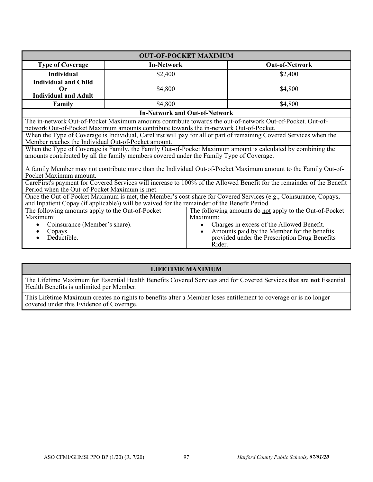| <b>OUT-OF-POCKET MAXIMUM</b>                                                                                                                                                                                    |                                                                                                                                                                                      |  |                       |
|-----------------------------------------------------------------------------------------------------------------------------------------------------------------------------------------------------------------|--------------------------------------------------------------------------------------------------------------------------------------------------------------------------------------|--|-----------------------|
| <b>Type of Coverage</b>                                                                                                                                                                                         | <b>In-Network</b>                                                                                                                                                                    |  | <b>Out-of-Network</b> |
| <b>Individual</b>                                                                                                                                                                                               | \$2,400                                                                                                                                                                              |  | \$2,400               |
| <b>Individual and Child</b><br>$\alpha$<br><b>Individual and Adult</b>                                                                                                                                          | \$4,800                                                                                                                                                                              |  | \$4,800               |
| Family                                                                                                                                                                                                          | \$4,800                                                                                                                                                                              |  | \$4,800               |
|                                                                                                                                                                                                                 | <b>In-Network and Out-of-Network</b>                                                                                                                                                 |  |                       |
| The in-network Out-of-Pocket Maximum amounts contribute towards the out-of-network Out-of-Pocket. Out-of-<br>network Out-of-Pocket Maximum amounts contribute towards the in-network Out-of-Pocket.             |                                                                                                                                                                                      |  |                       |
| When the Type of Coverage is Individual, CareFirst will pay for all or part of remaining Covered Services when the<br>Member reaches the Individual Out-of-Pocket amount.                                       |                                                                                                                                                                                      |  |                       |
| When the Type of Coverage is Family, the Family Out-of-Pocket Maximum amount is calculated by combining the<br>amounts contributed by all the family members covered under the Family Type of Coverage.         |                                                                                                                                                                                      |  |                       |
| A family Member may not contribute more than the Individual Out-of-Pocket Maximum amount to the Family Out-of-<br>Pocket Maximum amount.                                                                        |                                                                                                                                                                                      |  |                       |
| CareFirst's payment for Covered Services will increase to 100% of the Allowed Benefit for the remainder of the Benefit<br>Period when the Out-of-Pocket Maximum is met.                                         |                                                                                                                                                                                      |  |                       |
| Once the Out-of-Pocket Maximum is met, the Member's cost-share for Covered Services (e.g., Coinsurance, Copays,<br>and Inpatient Copay (if applicable)) will be waived for the remainder of the Benefit Period. |                                                                                                                                                                                      |  |                       |
| Maximum:                                                                                                                                                                                                        | The following amounts apply to the Out-of-Pocket<br>The following amounts do not apply to the Out-of-Pocket<br>Maximum:                                                              |  |                       |
| $\bullet$<br>Copays.<br>Deductible.                                                                                                                                                                             | Charges in excess of the Allowed Benefit.<br>Coinsurance (Member's share).<br>Amounts paid by the Member for the benefits<br>provided under the Prescription Drug Benefits<br>Rider. |  |                       |

# **LIFETIME MAXIMUM**

The Lifetime Maximum for Essential Health Benefits Covered Services and for Covered Services that are **not** Essential Health Benefits is unlimited per Member.

This Lifetime Maximum creates no rights to benefits after a Member loses entitlement to coverage or is no longer covered under this Evidence of Coverage.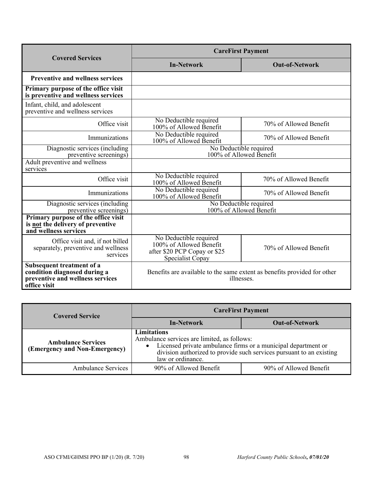| <b>Covered Services</b>                                                                                       | <b>CareFirst Payment</b>                                                                              |                        |  |
|---------------------------------------------------------------------------------------------------------------|-------------------------------------------------------------------------------------------------------|------------------------|--|
|                                                                                                               | <b>In-Network</b>                                                                                     | <b>Out-of-Network</b>  |  |
| <b>Preventive and wellness services</b>                                                                       |                                                                                                       |                        |  |
| Primary purpose of the office visit<br>is preventive and wellness services                                    |                                                                                                       |                        |  |
| Infant, child, and adolescent<br>preventive and wellness services                                             |                                                                                                       |                        |  |
| Office visit                                                                                                  | No Deductible required<br>100% of Allowed Benefit                                                     | 70% of Allowed Benefit |  |
| Immunizations                                                                                                 | No Deductible required<br>100% of Allowed Benefit                                                     | 70% of Allowed Benefit |  |
| Diagnostic services (including<br>preventive screenings)                                                      | No Deductible required<br>100% of Allowed Benefit                                                     |                        |  |
| Adult preventive and wellness<br>services                                                                     |                                                                                                       |                        |  |
| Office visit                                                                                                  | No Deductible required<br>100% of Allowed Benefit                                                     | 70% of Allowed Benefit |  |
| Immunizations                                                                                                 | No Deductible required<br>100% of Allowed Benefit                                                     | 70% of Allowed Benefit |  |
| Diagnostic services (including<br>preventive screenings)                                                      | No Deductible required<br>100% of Allowed Benefit                                                     |                        |  |
| Primary purpose of the office visit<br>is not the delivery of preventive<br>and wellness services             |                                                                                                       |                        |  |
| Office visit and, if not billed<br>separately, preventive and wellness<br>services                            | No Deductible required<br>100% of Allowed Benefit<br>after \$20 PCP Copay or \$25<br>Specialist Copay | 70% of Allowed Benefit |  |
| Subsequent treatment of a<br>condition diagnosed during a<br>preventive and wellness services<br>office visit | Benefits are available to the same extent as benefits provided for other<br>illnesses.                |                        |  |

| <b>Covered Service</b>                                     | <b>CareFirst Payment</b>                                                                                                                                                                                                 |                        |  |
|------------------------------------------------------------|--------------------------------------------------------------------------------------------------------------------------------------------------------------------------------------------------------------------------|------------------------|--|
|                                                            | <b>In-Network</b>                                                                                                                                                                                                        | <b>Out-of-Network</b>  |  |
| <b>Ambulance Services</b><br>(Emergency and Non-Emergency) | Limitations<br>Ambulance services are limited, as follows:<br>Licensed private ambulance firms or a municipal department or<br>division authorized to provide such services pursuant to an existing<br>law or ordinance. |                        |  |
| <b>Ambulance Services</b>                                  | 90% of Allowed Benefit                                                                                                                                                                                                   | 90% of Allowed Benefit |  |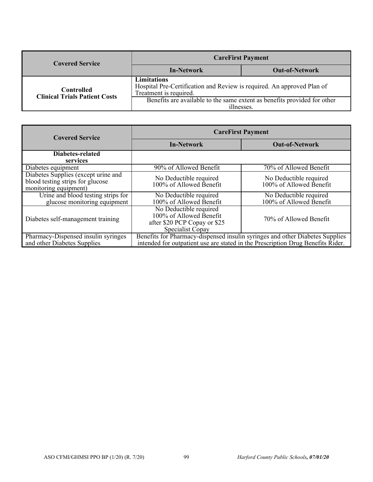| <b>Covered Service</b>                                    | <b>CareFirst Payment</b>                                                                                        |                       |  |
|-----------------------------------------------------------|-----------------------------------------------------------------------------------------------------------------|-----------------------|--|
|                                                           | <b>In-Network</b>                                                                                               | <b>Out-of-Network</b> |  |
| <b>Controlled</b><br><b>Clinical Trials Patient Costs</b> | Limitations<br>Hospital Pre-Certification and Review is required. An approved Plan of<br>Treatment is required. |                       |  |
|                                                           | Benefits are available to the same extent as benefits provided for other<br>illnesses                           |                       |  |

| <b>Covered Service</b>                                                                           | <b>CareFirst Payment</b>                                                                                                                                        |                                                   |  |
|--------------------------------------------------------------------------------------------------|-----------------------------------------------------------------------------------------------------------------------------------------------------------------|---------------------------------------------------|--|
|                                                                                                  | <b>In-Network</b>                                                                                                                                               | <b>Out-of-Network</b>                             |  |
| Diabetes-related                                                                                 |                                                                                                                                                                 |                                                   |  |
| services                                                                                         |                                                                                                                                                                 |                                                   |  |
| Diabetes equipment                                                                               | 90% of Allowed Benefit                                                                                                                                          | 70% of Allowed Benefit                            |  |
| Diabetes Supplies (except urine and<br>blood testing strips for glucose<br>monitoring equipment) | No Deductible required<br>100% of Allowed Benefit                                                                                                               | No Deductible required<br>100% of Allowed Benefit |  |
| Urine and blood testing strips for                                                               | No Deductible required                                                                                                                                          | No Deductible required                            |  |
| glucose monitoring equipment                                                                     | 100% of Allowed Benefit                                                                                                                                         | 100% of Allowed Benefit                           |  |
| Diabetes self-management training                                                                | No Deductible required<br>100% of Allowed Benefit<br>after \$20 PCP Copay or \$25<br>Specialist Copay                                                           | 70% of Allowed Benefit                            |  |
| Pharmacy-Dispensed insulin syringes<br>and other Diabetes Supplies                               | Benefits for Pharmacy-dispensed insulin syringes and other Diabetes Supplies<br>intended for outpatient use are stated in the Prescription Drug Benefits Rider. |                                                   |  |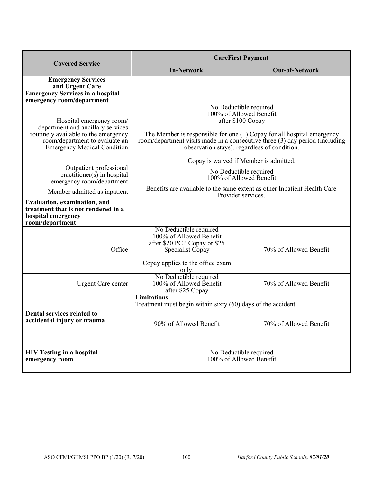| <b>Covered Service</b>                                                                                                                                                        | <b>CareFirst Payment</b>                                                                                                                           |                                                                                                                                                                                                                                                                                      |
|-------------------------------------------------------------------------------------------------------------------------------------------------------------------------------|----------------------------------------------------------------------------------------------------------------------------------------------------|--------------------------------------------------------------------------------------------------------------------------------------------------------------------------------------------------------------------------------------------------------------------------------------|
|                                                                                                                                                                               | <b>In-Network</b>                                                                                                                                  | <b>Out-of-Network</b>                                                                                                                                                                                                                                                                |
| <b>Emergency Services</b><br>and Urgent Care                                                                                                                                  |                                                                                                                                                    |                                                                                                                                                                                                                                                                                      |
| <b>Emergency Services in a hospital</b><br>emergency room/department                                                                                                          |                                                                                                                                                    |                                                                                                                                                                                                                                                                                      |
| Hospital emergency room/<br>department and ancillary services<br>routinely available to the emergency<br>room/department to evaluate an<br><b>Emergency Medical Condition</b> |                                                                                                                                                    | No Deductible required<br>100% of Allowed Benefit<br>after \$100 Copay<br>The Member is responsible for one $(1)$ Copay for all hospital emergency<br>room/department visits made in a consecutive three $(3)$ day period (including<br>observation stays), regardless of condition. |
| Outpatient professional                                                                                                                                                       |                                                                                                                                                    | Copay is waived if Member is admitted.<br>No Deductible required                                                                                                                                                                                                                     |
| $practitioner(s)$ in hospital<br>emergency room/department                                                                                                                    |                                                                                                                                                    | 100% of Allowed Benefit                                                                                                                                                                                                                                                              |
| Member admitted as inpatient                                                                                                                                                  |                                                                                                                                                    | Benefits are available to the same extent as other Inpatient Health Care<br>Provider services.                                                                                                                                                                                       |
| <b>Evaluation, examination, and</b><br>treatment that is not rendered in a<br>hospital emergency<br>room/department                                                           |                                                                                                                                                    |                                                                                                                                                                                                                                                                                      |
| Office                                                                                                                                                                        | No Deductible required<br>100% of Allowed Benefit<br>after \$20 PCP Copay or \$25<br>Specialist Copay<br>Copay applies to the office exam<br>only. | 70% of Allowed Benefit                                                                                                                                                                                                                                                               |
| <b>Urgent Care center</b>                                                                                                                                                     | No Deductible required<br>100% of Allowed Benefit<br>after \$25 Copay                                                                              | 70% of Allowed Benefit                                                                                                                                                                                                                                                               |
|                                                                                                                                                                               | <b>Limitations</b><br>Treatment must begin within sixty (60) days of the accident.                                                                 |                                                                                                                                                                                                                                                                                      |
| Dental services related to<br>accidental injury or trauma                                                                                                                     | 90% of Allowed Benefit                                                                                                                             | 70% of Allowed Benefit                                                                                                                                                                                                                                                               |
| <b>HIV Testing in a hospital</b><br>emergency room                                                                                                                            | No Deductible required<br>100% of Allowed Benefit                                                                                                  |                                                                                                                                                                                                                                                                                      |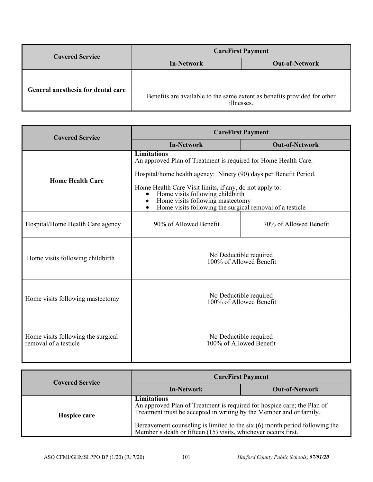| <b>Covered Service</b>             | <b>CareFirst Payment</b>                                                               |                       |
|------------------------------------|----------------------------------------------------------------------------------------|-----------------------|
|                                    | <b>In-Network</b>                                                                      | <b>Out-of-Network</b> |
|                                    |                                                                                        |                       |
| General anesthesia for dental care | Benefits are available to the same extent as benefits provided for other<br>illnesses. |                       |

| <b>Covered Service</b>                                      | <b>CareFirst Payment</b>                                                                                                                                                                                                                                                                                                                                               |                        |
|-------------------------------------------------------------|------------------------------------------------------------------------------------------------------------------------------------------------------------------------------------------------------------------------------------------------------------------------------------------------------------------------------------------------------------------------|------------------------|
|                                                             | <b>In-Network</b>                                                                                                                                                                                                                                                                                                                                                      | <b>Out-of-Network</b>  |
| <b>Home Health Care</b>                                     | <b>Limitations</b><br>An approved Plan of Treatment is required for Home Health Care.<br>Hospital/home health agency: Ninety (90) days per Benefit Period.<br>Home Health Care Visit limits, if any, do not apply to:<br>Home visits following childbirth<br>$\bullet$<br>Home visits following mastectomy<br>Home visits following the surgical removal of a testicle |                        |
| Hospital/Home Health Care agency                            | 90% of Allowed Benefit                                                                                                                                                                                                                                                                                                                                                 | 70% of Allowed Benefit |
| Home visits following childbirth                            | No Deductible required<br>100% of Allowed Benefit                                                                                                                                                                                                                                                                                                                      |                        |
| Home visits following mastectomy                            | No Deductible required<br>100% of Allowed Benefit                                                                                                                                                                                                                                                                                                                      |                        |
| Home visits following the surgical<br>removal of a testicle | No Deductible required<br>100% of Allowed Benefit                                                                                                                                                                                                                                                                                                                      |                        |

| <b>Covered Service</b> | <b>CareFirst Payment</b>                                                                                                                                                                                                                                                                                        |                       |
|------------------------|-----------------------------------------------------------------------------------------------------------------------------------------------------------------------------------------------------------------------------------------------------------------------------------------------------------------|-----------------------|
|                        | <b>In-Network</b>                                                                                                                                                                                                                                                                                               | <b>Out-of-Network</b> |
| Hospice care           | Limitations<br>An approved Plan of Treatment is required for hospice care; the Plan of<br>Treatment must be accepted in writing by the Member and or family.<br>Bereavement counseling is limited to the six $(6)$ month period following the<br>Member's death or fifteen (15) visits, whichever occurs first. |                       |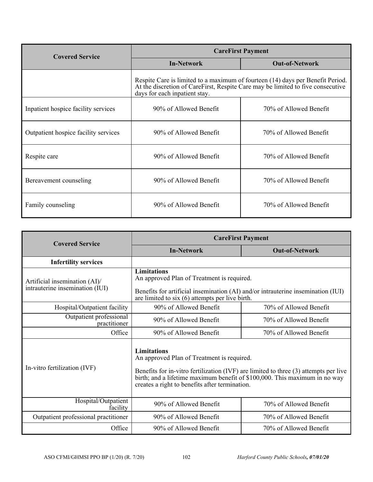| <b>Covered Service</b>               |                               | <b>CareFirst Payment</b>                                                                                                                                          |
|--------------------------------------|-------------------------------|-------------------------------------------------------------------------------------------------------------------------------------------------------------------|
|                                      | <b>In-Network</b>             | <b>Out-of-Network</b>                                                                                                                                             |
|                                      | days for each inpatient stay. | Respite Care is limited to a maximum of fourteen (14) days per Benefit Period.<br>At the discretion of CareFirst, Respite Care may be limited to five consecutive |
| Inpatient hospice facility services  | 90% of Allowed Benefit        | 70% of Allowed Benefit                                                                                                                                            |
| Outpatient hospice facility services | 90% of Allowed Benefit        | 70% of Allowed Benefit                                                                                                                                            |
| Respite care                         | 90% of Allowed Benefit        | 70% of Allowed Benefit                                                                                                                                            |
| Bereavement counseling               | 90% of Allowed Benefit        | 70% of Allowed Benefit                                                                                                                                            |
| Family counseling                    | 90% of Allowed Benefit        | 70% of Allowed Benefit                                                                                                                                            |

| <b>Covered Service</b>                                           | <b>CareFirst Payment</b>                                                                                                                                                                                                                                                                   |                        |
|------------------------------------------------------------------|--------------------------------------------------------------------------------------------------------------------------------------------------------------------------------------------------------------------------------------------------------------------------------------------|------------------------|
|                                                                  | <b>In-Network</b>                                                                                                                                                                                                                                                                          | <b>Out-of-Network</b>  |
| <b>Infertility services</b>                                      |                                                                                                                                                                                                                                                                                            |                        |
| Artificial insemination (AI)/<br>intrauterine insemination (IUI) | <b>Limitations</b><br>An approved Plan of Treatment is required.<br>Benefits for artificial insemination (AI) and/or intrauterine insemination (IUI)<br>are limited to $six(6)$ attempts per live birth.                                                                                   |                        |
| Hospital/Outpatient facility                                     | 90% of Allowed Benefit                                                                                                                                                                                                                                                                     | 70% of Allowed Benefit |
| Outpatient professional<br>practitioner                          | 90% of Allowed Benefit                                                                                                                                                                                                                                                                     | 70% of Allowed Benefit |
| Office                                                           | 90% of Allowed Benefit                                                                                                                                                                                                                                                                     | 70% of Allowed Benefit |
| In-vitro fertilization (IVF)                                     | <b>Limitations</b><br>An approved Plan of Treatment is required.<br>Benefits for in-vitro fertilization (IVF) are limited to three $(3)$ attempts per live<br>birth; and a lifetime maximum benefit of \$100,000. This maximum in no way<br>creates a right to benefits after termination. |                        |
| Hospital/Outpatient<br>facility                                  | 90% of Allowed Benefit                                                                                                                                                                                                                                                                     | 70% of Allowed Benefit |
| Outpatient professional practitioner                             | 90% of Allowed Benefit                                                                                                                                                                                                                                                                     | 70% of Allowed Benefit |
| Office                                                           | 90% of Allowed Benefit                                                                                                                                                                                                                                                                     | 70% of Allowed Benefit |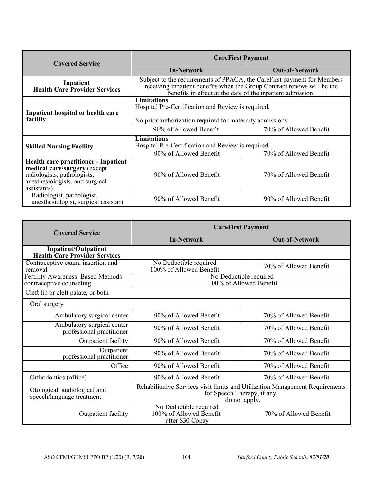| <b>Covered Service</b>                                                                                                                                | <b>CareFirst Payment</b>                                                                                                                                                                                         |                         |
|-------------------------------------------------------------------------------------------------------------------------------------------------------|------------------------------------------------------------------------------------------------------------------------------------------------------------------------------------------------------------------|-------------------------|
|                                                                                                                                                       | <b>In-Network</b>                                                                                                                                                                                                | <b>Out-of-Network</b>   |
| Inpatient<br><b>Health Care Provider Services</b>                                                                                                     | Subject to the requirements of PPACA, the CareFirst payment for Members<br>receiving inpatient benefits when the Group Contract renews will be the<br>benefits in effect at the date of the inpatient admission. |                         |
| Inpatient hospital or health care<br>facility                                                                                                         | <b>Limitations</b><br>Hospital Pre-Certification and Review is required.<br>No prior authorization required for maternity admissions.                                                                            |                         |
|                                                                                                                                                       | 90% of Allowed Benefit                                                                                                                                                                                           | 70% of Allowed Benefit  |
| <b>Skilled Nursing Facility</b>                                                                                                                       | <b>Limitations</b><br>Hospital Pre-Certification and Review is required.                                                                                                                                         |                         |
|                                                                                                                                                       | 90% of Allowed Benefit                                                                                                                                                                                           | 70% of Allowed Benefit  |
| Health care practitioner - Inpatient<br>medical care/surgery (except<br>radiologists, pathologists,<br>anesthesiologists, and surgical<br>assistants) | 90% of Allowed Benefit                                                                                                                                                                                           | 70\% of Allowed Benefit |
| Radiologist, pathologist,<br>anesthesiologist, surgical assistant                                                                                     | 90% of Allowed Benefit                                                                                                                                                                                           | 90% of Allowed Benefit  |

| <b>Covered Service</b>                                              |                                                                                                                              | <b>CareFirst Payment</b> |  |
|---------------------------------------------------------------------|------------------------------------------------------------------------------------------------------------------------------|--------------------------|--|
|                                                                     | <b>In-Network</b>                                                                                                            | <b>Out-of-Network</b>    |  |
| <b>Inpatient/Outpatient</b><br><b>Health Care Provider Services</b> |                                                                                                                              |                          |  |
| Contraceptive exam, insertion and<br>removal                        | No Deductible required<br>100% of Allowed Benefit                                                                            | 70% of Allowed Benefit   |  |
| Fertility Awareness-Based Methods<br>contraceptive counseling       | No Deductible required<br>100% of Allowed Benefit                                                                            |                          |  |
| Cleft lip or cleft palate, or both                                  |                                                                                                                              |                          |  |
| Oral surgery                                                        |                                                                                                                              |                          |  |
| Ambulatory surgical center                                          | 90% of Allowed Benefit                                                                                                       | 70% of Allowed Benefit   |  |
| Ambulatory surgical center<br>professional practitioner             | 90% of Allowed Benefit                                                                                                       | 70% of Allowed Benefit   |  |
| Outpatient facility                                                 | 90% of Allowed Benefit                                                                                                       | 70% of Allowed Benefit   |  |
| Outpatient<br>professional practitioner                             | 90% of Allowed Benefit                                                                                                       | 70% of Allowed Benefit   |  |
| Office                                                              | 90% of Allowed Benefit                                                                                                       | 70% of Allowed Benefit   |  |
| Orthodontics (office)                                               | 90% of Allowed Benefit                                                                                                       | 70% of Allowed Benefit   |  |
| Otological, audiological and<br>speech/language treatment           | Rehabilitative Services visit limits and Utilization Management Requirements<br>for Speech Therapy, if any,<br>do not apply. |                          |  |
| Outpatient facility                                                 | No Deductible required<br>100% of Allowed Benefit<br>after \$30 Copay                                                        | 70% of Allowed Benefit   |  |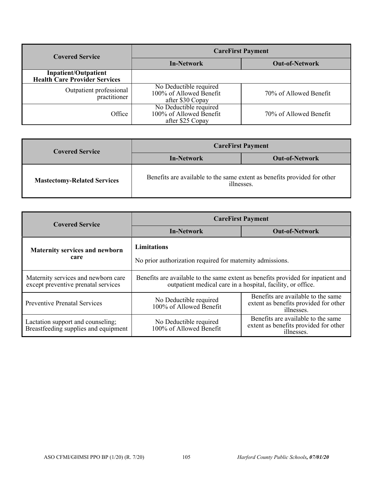| <b>Covered Service</b>                                              | <b>CareFirst Payment</b>                                              |                        |
|---------------------------------------------------------------------|-----------------------------------------------------------------------|------------------------|
|                                                                     | <b>In-Network</b>                                                     | <b>Out-of-Network</b>  |
| <b>Inpatient/Outpatient</b><br><b>Health Care Provider Services</b> |                                                                       |                        |
| Outpatient professional<br>practitioner                             | No Deductible required<br>100% of Allowed Benefit<br>after \$30 Copay | 70% of Allowed Benefit |
| Office                                                              | No Deductible required<br>100% of Allowed Benefit<br>after \$25 Copay | 70% of Allowed Benefit |

| <b>Covered Service</b>             | <b>CareFirst Payment</b> |                                                                          |
|------------------------------------|--------------------------|--------------------------------------------------------------------------|
|                                    | <b>In-Network</b>        | <b>Out-of-Network</b>                                                    |
| <b>Mastectomy-Related Services</b> | illnesses.               | Benefits are available to the same extent as benefits provided for other |

| <b>Covered Service</b>                                                     | <b>CareFirst Payment</b>                                                                                                                        |                                                                                           |
|----------------------------------------------------------------------------|-------------------------------------------------------------------------------------------------------------------------------------------------|-------------------------------------------------------------------------------------------|
|                                                                            | <b>In-Network</b>                                                                                                                               | <b>Out-of-Network</b>                                                                     |
| <b>Maternity services and newborn</b><br>care                              | <b>Limitations</b><br>No prior authorization required for maternity admissions.                                                                 |                                                                                           |
| Maternity services and newborn care<br>except preventive prenatal services | Benefits are available to the same extent as benefits provided for inpatient and<br>outpatient medical care in a hospital, facility, or office. |                                                                                           |
| <b>Preventive Prenatal Services</b>                                        | No Deductible required<br>100% of Allowed Benefit                                                                                               | Benefits are available to the same<br>extent as benefits provided for other<br>illnesses. |
| Lactation support and counseling;<br>Breastfeeding supplies and equipment  | No Deductible required<br>100% of Allowed Benefit                                                                                               | Benefits are available to the same<br>extent as benefits provided for other<br>illnesses. |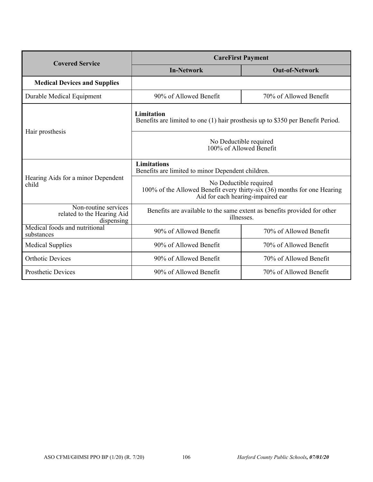| <b>Covered Service</b>                                           | <b>CareFirst Payment</b>                                                                                                                |                        |
|------------------------------------------------------------------|-----------------------------------------------------------------------------------------------------------------------------------------|------------------------|
|                                                                  | <b>In-Network</b>                                                                                                                       | <b>Out-of-Network</b>  |
| <b>Medical Devices and Supplies</b>                              |                                                                                                                                         |                        |
| Durable Medical Equipment                                        | 90% of Allowed Benefit                                                                                                                  | 70% of Allowed Benefit |
| Hair prosthesis                                                  | Limitation<br>Benefits are limited to one (1) hair prosthesis up to \$350 per Benefit Period.                                           |                        |
|                                                                  | No Deductible required<br>100% of Allowed Benefit                                                                                       |                        |
| Hearing Aids for a minor Dependent<br>child                      | <b>Limitations</b><br>Benefits are limited to minor Dependent children.                                                                 |                        |
|                                                                  | No Deductible required<br>100% of the Allowed Benefit every thirty-six (36) months for one Hearing<br>Aid for each hearing-impaired ear |                        |
| Non-routine services<br>related to the Hearing Aid<br>dispensing | Benefits are available to the same extent as benefits provided for other<br>illnesses.                                                  |                        |
| Medical foods and nutritional<br>substances                      | 90% of Allowed Benefit                                                                                                                  | 70% of Allowed Benefit |
| <b>Medical Supplies</b>                                          | 90% of Allowed Benefit                                                                                                                  | 70% of Allowed Benefit |
| <b>Orthotic Devices</b>                                          | 90% of Allowed Benefit                                                                                                                  | 70% of Allowed Benefit |
| <b>Prosthetic Devices</b>                                        | 90% of Allowed Benefit                                                                                                                  | 70% of Allowed Benefit |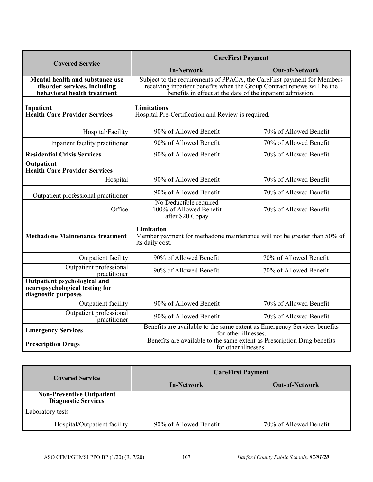| <b>Covered Service</b>                                                                         | <b>CareFirst Payment</b>                                                                                                                                                                                         |                        |
|------------------------------------------------------------------------------------------------|------------------------------------------------------------------------------------------------------------------------------------------------------------------------------------------------------------------|------------------------|
|                                                                                                | <b>In-Network</b>                                                                                                                                                                                                | <b>Out-of-Network</b>  |
| Mental health and substance use<br>disorder services, including<br>behavioral health treatment | Subject to the requirements of PPACA, the CareFirst payment for Members<br>receiving inpatient benefits when the Group Contract renews will be the<br>benefits in effect at the date of the inpatient admission. |                        |
| Inpatient<br><b>Health Care Provider Services</b>                                              | Limitations<br>Hospital Pre-Certification and Review is required.                                                                                                                                                |                        |
| Hospital/Facility                                                                              | 90% of Allowed Benefit                                                                                                                                                                                           | 70% of Allowed Benefit |
| Inpatient facility practitioner                                                                | 90% of Allowed Benefit                                                                                                                                                                                           | 70% of Allowed Benefit |
| <b>Residential Crisis Services</b>                                                             | 90% of Allowed Benefit                                                                                                                                                                                           | 70% of Allowed Benefit |
| Outpatient<br><b>Health Care Provider Services</b>                                             |                                                                                                                                                                                                                  |                        |
| Hospital                                                                                       | 90% of Allowed Benefit                                                                                                                                                                                           | 70% of Allowed Benefit |
| Outpatient professional practitioner                                                           | 90% of Allowed Benefit                                                                                                                                                                                           | 70% of Allowed Benefit |
| Office                                                                                         | No Deductible required<br>100% of Allowed Benefit<br>after \$20 Copay                                                                                                                                            | 70% of Allowed Benefit |
| <b>Methadone Maintenance treatment</b>                                                         | Limitation<br>Member payment for methadone maintenance will not be greater than 50% of<br>its daily cost.                                                                                                        |                        |
| Outpatient facility                                                                            | 90% of Allowed Benefit                                                                                                                                                                                           | 70% of Allowed Benefit |
| Outpatient professional<br>practitioner                                                        | 90% of Allowed Benefit                                                                                                                                                                                           | 70% of Allowed Benefit |
| <b>Outpatient psychological and</b><br>neuropsychological testing for<br>diagnostic purposes   |                                                                                                                                                                                                                  |                        |
| Outpatient facility                                                                            | 90% of Allowed Benefit                                                                                                                                                                                           | 70% of Allowed Benefit |
| Outpatient professional<br>practitioner                                                        | 90% of Allowed Benefit                                                                                                                                                                                           | 70% of Allowed Benefit |
| <b>Emergency Services</b>                                                                      | Benefits are available to the same extent as Emergency Services benefits<br>for other illnesses.                                                                                                                 |                        |
| <b>Prescription Drugs</b>                                                                      | Benefits are available to the same extent as Prescription Drug benefits<br>for other illnesses.                                                                                                                  |                        |

| <b>Covered Service</b>                                         | <b>CareFirst Payment</b> |                        |
|----------------------------------------------------------------|--------------------------|------------------------|
|                                                                | <b>In-Network</b>        | <b>Out-of-Network</b>  |
| <b>Non-Preventive Outpatient</b><br><b>Diagnostic Services</b> |                          |                        |
| Laboratory tests                                               |                          |                        |
| Hospital/Outpatient facility                                   | 90% of Allowed Benefit   | 70% of Allowed Benefit |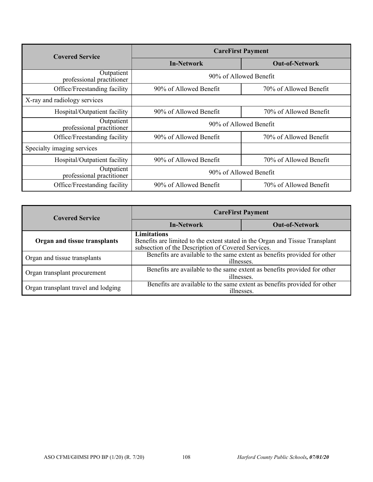| <b>Covered Service</b>                  | <b>CareFirst Payment</b> |                        |
|-----------------------------------------|--------------------------|------------------------|
|                                         | <b>In-Network</b>        | <b>Out-of-Network</b>  |
| Outpatient<br>professional practitioner | 90% of Allowed Benefit   |                        |
| Office/Freestanding facility            | 90% of Allowed Benefit   | 70% of Allowed Benefit |
| X-ray and radiology services            |                          |                        |
| Hospital/Outpatient facility            | 90% of Allowed Benefit   | 70% of Allowed Benefit |
| Outpatient<br>professional practitioner | 90% of Allowed Benefit   |                        |
| Office/Freestanding facility            | 90% of Allowed Benefit   | 70% of Allowed Benefit |
| Specialty imaging services              |                          |                        |
| Hospital/Outpatient facility            | 90% of Allowed Benefit   | 70% of Allowed Benefit |
| Outpatient<br>professional practitioner | 90% of Allowed Benefit   |                        |
| Office/Freestanding facility            | 90% of Allowed Benefit   | 70% of Allowed Benefit |

| <b>Covered Service</b>              | <b>CareFirst Payment</b>                                                                                                                                 |                       |
|-------------------------------------|----------------------------------------------------------------------------------------------------------------------------------------------------------|-----------------------|
|                                     | <b>In-Network</b>                                                                                                                                        | <b>Out-of-Network</b> |
| Organ and tissue transplants        | <b>Limitations</b><br>Benefits are limited to the extent stated in the Organ and Tissue Transplant<br>subsection of the Description of Covered Services. |                       |
| Organ and tissue transplants        | Benefits are available to the same extent as benefits provided for other<br>illnesses.                                                                   |                       |
| Organ transplant procurement        | Benefits are available to the same extent as benefits provided for other<br>illnesses.                                                                   |                       |
| Organ transplant travel and lodging | Benefits are available to the same extent as benefits provided for other<br>illnesses.                                                                   |                       |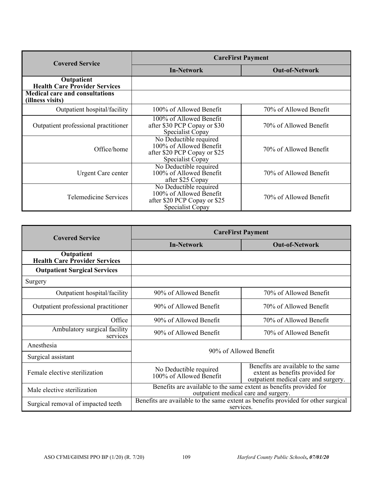| <b>Covered Service</b>                                    | <b>CareFirst Payment</b>                                                                              |                        |
|-----------------------------------------------------------|-------------------------------------------------------------------------------------------------------|------------------------|
|                                                           | <b>In-Network</b>                                                                                     | <b>Out-of-Network</b>  |
| Outpatient<br><b>Health Care Provider Services</b>        |                                                                                                       |                        |
| <b>Medical care and consultations</b><br>(illness visits) |                                                                                                       |                        |
| Outpatient hospital/facility                              | 100% of Allowed Benefit                                                                               | 70% of Allowed Benefit |
| Outpatient professional practitioner                      | 100% of Allowed Benefit<br>after \$30 PCP Copay or \$30<br>Specialist Copay                           | 70% of Allowed Benefit |
| Office/home                                               | No Deductible required<br>100% of Allowed Benefit<br>after \$20 PCP Copay or \$25<br>Specialist Copay | 70% of Allowed Benefit |
| Urgent Care center                                        | No Deductible required<br>100% of Allowed Benefit<br>after \$25 Copay                                 | 70% of Allowed Benefit |
| Telemedicine Services                                     | No Deductible required<br>100% of Allowed Benefit<br>after \$20 PCP Copay or \$25<br>Specialist Copay | 70% of Allowed Benefit |

| <b>Covered Service</b>                             | <b>CareFirst Payment</b>                                                                                   |                                                                                                               |
|----------------------------------------------------|------------------------------------------------------------------------------------------------------------|---------------------------------------------------------------------------------------------------------------|
|                                                    | <b>In-Network</b>                                                                                          | <b>Out-of-Network</b>                                                                                         |
| Outpatient<br><b>Health Care Provider Services</b> |                                                                                                            |                                                                                                               |
| <b>Outpatient Surgical Services</b>                |                                                                                                            |                                                                                                               |
| Surgery                                            |                                                                                                            |                                                                                                               |
| Outpatient hospital/facility                       | 90% of Allowed Benefit                                                                                     | 70% of Allowed Benefit                                                                                        |
| Outpatient professional practitioner               | 90% of Allowed Benefit                                                                                     | 70% of Allowed Benefit                                                                                        |
| Office                                             | 90% of Allowed Benefit                                                                                     | 70% of Allowed Benefit                                                                                        |
| Ambulatory surgical facility<br>services           | 90% of Allowed Benefit                                                                                     | 70% of Allowed Benefit                                                                                        |
| Anesthesia                                         | 90% of Allowed Benefit                                                                                     |                                                                                                               |
| Surgical assistant                                 |                                                                                                            |                                                                                                               |
| Female elective sterilization                      | No Deductible required<br>100% of Allowed Benefit                                                          | Benefits are available to the same<br>extent as benefits provided for<br>outpatient medical care and surgery. |
| Male elective sterilization                        | Benefits are available to the same extent as benefits provided for<br>outpatient medical care and surgery. |                                                                                                               |
| Surgical removal of impacted teeth                 | Benefits are available to the same extent as benefits provided for other surgical<br>services.             |                                                                                                               |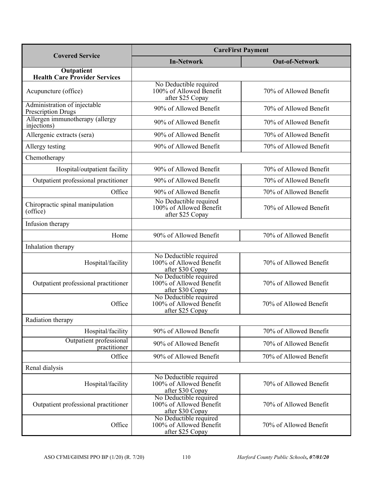|                                                           | <b>CareFirst Payment</b>                                              |                        |
|-----------------------------------------------------------|-----------------------------------------------------------------------|------------------------|
| <b>Covered Service</b>                                    | <b>In-Network</b>                                                     | <b>Out-of-Network</b>  |
| Outpatient<br><b>Health Care Provider Services</b>        |                                                                       |                        |
| Acupuncture (office)                                      | No Deductible required<br>100% of Allowed Benefit<br>after \$25 Copay | 70% of Allowed Benefit |
| Administration of injectable<br><b>Prescription Drugs</b> | 90% of Allowed Benefit                                                | 70% of Allowed Benefit |
| Allergen immunotherapy (allergy<br>injections)            | 90% of Allowed Benefit                                                | 70% of Allowed Benefit |
| Allergenic extracts (sera)                                | 90% of Allowed Benefit                                                | 70% of Allowed Benefit |
| Allergy testing                                           | 90% of Allowed Benefit                                                | 70% of Allowed Benefit |
| Chemotherapy                                              |                                                                       |                        |
| Hospital/outpatient facility                              | 90% of Allowed Benefit                                                | 70% of Allowed Benefit |
| Outpatient professional practitioner                      | 90% of Allowed Benefit                                                | 70% of Allowed Benefit |
| Office                                                    | 90% of Allowed Benefit                                                | 70% of Allowed Benefit |
| Chiropractic spinal manipulation<br>(office)              | No Deductible required<br>100% of Allowed Benefit<br>after \$25 Copay | 70% of Allowed Benefit |
| Infusion therapy                                          |                                                                       |                        |
| Home                                                      | 90% of Allowed Benefit                                                | 70% of Allowed Benefit |
| Inhalation therapy                                        |                                                                       |                        |
| Hospital/facility                                         | No Deductible required<br>100% of Allowed Benefit<br>after \$30 Copay | 70% of Allowed Benefit |
| Outpatient professional practitioner                      | No Deductible required<br>100% of Allowed Benefit<br>after \$30 Copay | 70% of Allowed Benefit |
| Office                                                    | No Deductible required<br>100% of Allowed Benefit<br>after \$25 Copay | 70% of Allowed Benefit |
| Radiation therapy                                         |                                                                       |                        |
| Hospital/facility                                         | 90% of Allowed Benefit                                                | 70% of Allowed Benefit |
| Outpatient professional<br>practitioner                   | 90% of Allowed Benefit                                                | 70% of Allowed Benefit |
| Office                                                    | 90% of Allowed Benefit                                                | 70% of Allowed Benefit |
| Renal dialysis                                            |                                                                       |                        |
| Hospital/facility                                         | No Deductible required<br>100% of Allowed Benefit<br>after \$30 Copay | 70% of Allowed Benefit |
| Outpatient professional practitioner                      | No Deductible required<br>100% of Allowed Benefit<br>after \$30 Copay | 70% of Allowed Benefit |
| Office                                                    | No Deductible required<br>100% of Allowed Benefit<br>after \$25 Copay | 70% of Allowed Benefit |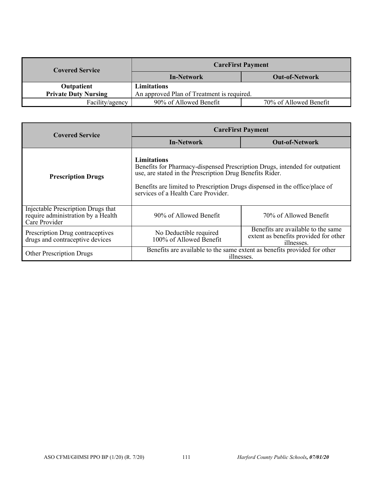| <b>Covered Service</b>      | <b>CareFirst Payment</b>                   |                        |
|-----------------------------|--------------------------------------------|------------------------|
|                             | <b>In-Network</b>                          | <b>Out-of-Network</b>  |
| Outpatient                  | <b>Limitations</b>                         |                        |
| <b>Private Duty Nursing</b> | An approved Plan of Treatment is required. |                        |
| Facility/agency             | 90% of Allowed Benefit                     | 70% of Allowed Benefit |

| <b>Covered Service</b>                                                                    | <b>CareFirst Payment</b>                                                                                                                                                                                                                                                            |                                                                                           |
|-------------------------------------------------------------------------------------------|-------------------------------------------------------------------------------------------------------------------------------------------------------------------------------------------------------------------------------------------------------------------------------------|-------------------------------------------------------------------------------------------|
|                                                                                           | <b>In-Network</b>                                                                                                                                                                                                                                                                   | <b>Out-of-Network</b>                                                                     |
| <b>Prescription Drugs</b>                                                                 | <b>Limitations</b><br>Benefits for Pharmacy-dispensed Prescription Drugs, intended for outpatient<br>use, are stated in the Prescription Drug Benefits Rider.<br>Benefits are limited to Prescription Drugs dispensed in the office/place of<br>services of a Health Care Provider. |                                                                                           |
| Injectable Prescription Drugs that<br>require administration by a Health<br>Care Provider | 90% of Allowed Benefit                                                                                                                                                                                                                                                              | 70% of Allowed Benefit                                                                    |
| Prescription Drug contraceptives<br>drugs and contraceptive devices                       | No Deductible required<br>100% of Allowed Benefit                                                                                                                                                                                                                                   | Benefits are available to the same<br>extent as benefits provided for other<br>illnesses. |
| <b>Other Prescription Drugs</b>                                                           | Benefits are available to the same extent as benefits provided for other<br>illnesses.                                                                                                                                                                                              |                                                                                           |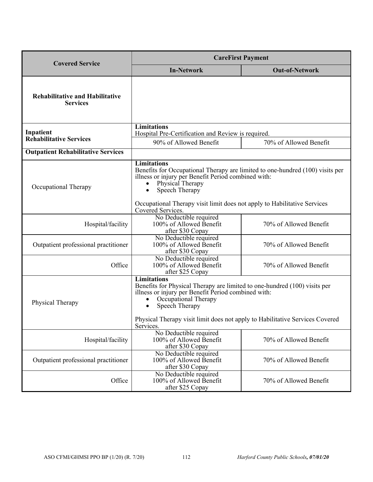| <b>Covered Service</b>                                    | <b>CareFirst Payment</b>                                                                                                                                                                                                                                                                                       |                        |
|-----------------------------------------------------------|----------------------------------------------------------------------------------------------------------------------------------------------------------------------------------------------------------------------------------------------------------------------------------------------------------------|------------------------|
|                                                           | <b>In-Network</b>                                                                                                                                                                                                                                                                                              | <b>Out-of-Network</b>  |
| <b>Rehabilitative and Habilitative</b><br><b>Services</b> |                                                                                                                                                                                                                                                                                                                |                        |
| Inpatient<br><b>Rehabilitative Services</b>               | <b>Limitations</b><br>Hospital Pre-Certification and Review is required.                                                                                                                                                                                                                                       |                        |
|                                                           | 90% of Allowed Benefit                                                                                                                                                                                                                                                                                         | 70% of Allowed Benefit |
| <b>Outpatient Rehabilitative Services</b>                 |                                                                                                                                                                                                                                                                                                                |                        |
| Occupational Therapy                                      | <b>Limitations</b><br>Benefits for Occupational Therapy are limited to one-hundred (100) visits per<br>illness or injury per Benefit Period combined with:<br>Physical Therapy<br>Speech Therapy<br>$\bullet$<br>Occupational Therapy visit limit does not apply to Habilitative Services<br>Covered Services. |                        |
| Hospital/facility                                         | No Deductible required<br>100% of Allowed Benefit<br>after \$30 Copay                                                                                                                                                                                                                                          | 70% of Allowed Benefit |
| Outpatient professional practitioner                      | No Deductible required<br>100% of Allowed Benefit<br>after \$30 Copay                                                                                                                                                                                                                                          | 70% of Allowed Benefit |
| Office                                                    | No Deductible required<br>100% of Allowed Benefit<br>after \$25 Copay                                                                                                                                                                                                                                          | 70% of Allowed Benefit |
| Physical Therapy                                          | <b>Limitations</b><br>Benefits for Physical Therapy are limited to one-hundred (100) visits per<br>illness or injury per Benefit Period combined with:<br>Occupational Therapy<br>Speech Therapy<br>$\bullet$<br>Physical Therapy visit limit does not apply to Habilitative Services Covered<br>Services.     |                        |
| Hospital/facility                                         | No Deductible required<br>100% of Allowed Benefit<br>after \$30 Copay                                                                                                                                                                                                                                          | 70% of Allowed Benefit |
| Outpatient professional practitioner                      | No Deductible required<br>100% of Allowed Benefit<br>after \$30 Copay                                                                                                                                                                                                                                          | 70% of Allowed Benefit |
| Office                                                    | No Deductible required<br>100% of Allowed Benefit<br>after \$25 Copay                                                                                                                                                                                                                                          | 70% of Allowed Benefit |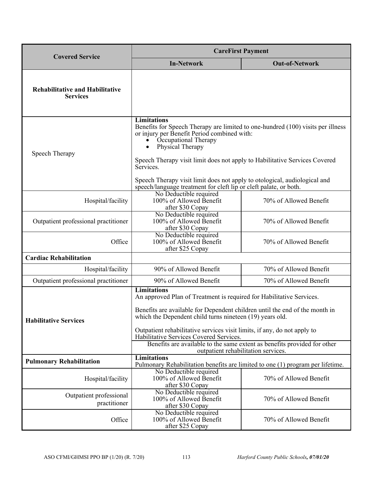| <b>Covered Service</b>                                    | <b>CareFirst Payment</b>                                                                                                                                                                                                                                                                                                                                                                                                                                                        |                        |
|-----------------------------------------------------------|---------------------------------------------------------------------------------------------------------------------------------------------------------------------------------------------------------------------------------------------------------------------------------------------------------------------------------------------------------------------------------------------------------------------------------------------------------------------------------|------------------------|
|                                                           | <b>In-Network</b>                                                                                                                                                                                                                                                                                                                                                                                                                                                               | <b>Out-of-Network</b>  |
| <b>Rehabilitative and Habilitative</b><br><b>Services</b> |                                                                                                                                                                                                                                                                                                                                                                                                                                                                                 |                        |
| Speech Therapy                                            | <b>Limitations</b><br>Benefits for Speech Therapy are limited to one-hundred (100) visits per illness<br>or injury per Benefit Period combined with:<br>Occupational Therapy<br>Physical Therapy<br>Speech Therapy visit limit does not apply to Habilitative Services Covered<br>Services.<br>Speech Therapy visit limit does not apply to otological, audiological and<br>speech/language treatment for cleft lip or cleft palate, or both.                                   |                        |
| Hospital/facility                                         | No Deductible required<br>100% of Allowed Benefit<br>after \$30 Copay                                                                                                                                                                                                                                                                                                                                                                                                           | 70% of Allowed Benefit |
| Outpatient professional practitioner                      | No Deductible required<br>100% of Allowed Benefit<br>after \$30 Copay                                                                                                                                                                                                                                                                                                                                                                                                           | 70% of Allowed Benefit |
| Office                                                    | No Deductible required<br>100% of Allowed Benefit<br>after \$25 Copay                                                                                                                                                                                                                                                                                                                                                                                                           | 70% of Allowed Benefit |
| <b>Cardiac Rehabilitation</b>                             |                                                                                                                                                                                                                                                                                                                                                                                                                                                                                 |                        |
| Hospital/facility                                         | 90% of Allowed Benefit                                                                                                                                                                                                                                                                                                                                                                                                                                                          | 70% of Allowed Benefit |
| Outpatient professional practitioner                      | 90% of Allowed Benefit                                                                                                                                                                                                                                                                                                                                                                                                                                                          | 70% of Allowed Benefit |
| <b>Habilitative Services</b>                              | <b>Limitations</b><br>An approved Plan of Treatment is required for Habilitative Services.<br>Benefits are available for Dependent children until the end of the month in<br>which the Dependent child turns nineteen (19) years old.<br>Outpatient rehabilitative services visit limits, if any, do not apply to<br>Habilitative Services Covered Services.<br>Benefits are available to the same extent as benefits provided for other<br>outpatient rehabilitation services. |                        |
| <b>Pulmonary Rehabilitation</b>                           | <b>Limitations</b><br>Pulmonary Rehabilitation benefits are limited to one (1) program per lifetime.                                                                                                                                                                                                                                                                                                                                                                            |                        |
| Hospital/facility                                         | No Deductible required<br>100% of Allowed Benefit<br>after \$30 Copay                                                                                                                                                                                                                                                                                                                                                                                                           | 70% of Allowed Benefit |
| Outpatient professional<br>practitioner                   | No Deductible required<br>100% of Allowed Benefit<br>after \$30 Copay                                                                                                                                                                                                                                                                                                                                                                                                           | 70% of Allowed Benefit |
| Office                                                    | No Deductible required<br>100% of Allowed Benefit<br>after \$25 Copay                                                                                                                                                                                                                                                                                                                                                                                                           | 70% of Allowed Benefit |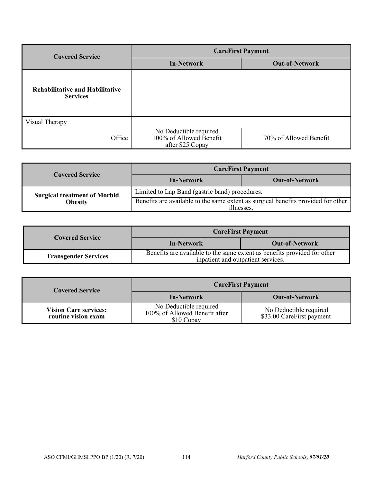| <b>Covered Service</b>                                    | <b>CareFirst Payment</b>                                              |                        |
|-----------------------------------------------------------|-----------------------------------------------------------------------|------------------------|
|                                                           | <b>In-Network</b>                                                     | <b>Out-of-Network</b>  |
| <b>Rehabilitative and Habilitative</b><br><b>Services</b> |                                                                       |                        |
| Visual Therapy                                            |                                                                       |                        |
| Office                                                    | No Deductible required<br>100% of Allowed Benefit<br>after \$25 Copay | 70% of Allowed Benefit |

|                                     | <b>CareFirst Payment</b>                                                          |                       |
|-------------------------------------|-----------------------------------------------------------------------------------|-----------------------|
| <b>Covered Service</b>              | In-Network                                                                        | <b>Out-of-Network</b> |
| <b>Surgical treatment of Morbid</b> | Limited to Lap Band (gastric band) procedures.                                    |                       |
| <b>Obesity</b>                      | Benefits are available to the same extent as surgical benefits provided for other |                       |
|                                     | illnesses.                                                                        |                       |

|                             | <b>CareFirst Payment</b>                                                                                       |                       |
|-----------------------------|----------------------------------------------------------------------------------------------------------------|-----------------------|
| <b>Covered Service</b>      | In-Network                                                                                                     | <b>Out-of-Network</b> |
| <b>Transgender Services</b> | Benefits are available to the same extent as benefits provided for other<br>inpatient and outpatient services. |                       |

| <b>Covered Service</b>                              | <b>CareFirst Payment</b>                                              |                                                     |
|-----------------------------------------------------|-----------------------------------------------------------------------|-----------------------------------------------------|
|                                                     | In-Network                                                            | Out-of-Network                                      |
| <b>Vision Care services:</b><br>routine vision exam | No Deductible required<br>100% of Allowed Benefit after<br>\$10 Copay | No Deductible required<br>\$33.00 CareFirst payment |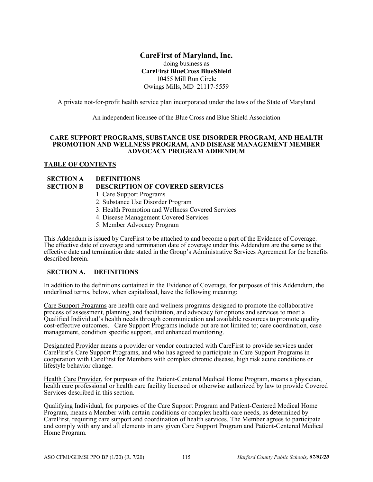## **CareFirst of Maryland, Inc.** doing business as **CareFirst BlueCross BlueShield**  10455 Mill Run Circle Owings Mills, MD 21117-5559

A private not-for-profit health service plan incorporated under the laws of the State of Maryland

An independent licensee of the Blue Cross and Blue Shield Association

#### **CARE SUPPORT PROGRAMS, SUBSTANCE USE DISORDER PROGRAM, AND HEALTH PROMOTION AND WELLNESS PROGRAM, AND DISEASE MANAGEMENT MEMBER ADVOCACY PROGRAM ADDENDUM**

#### **TABLE OF CONTENTS**

## **SECTION A DEFINITIONS SECTION B DESCRIPTION OF COVERED SERVICES**

- 1. Care Support Programs
- 2. Substance Use Disorder Program
- 3. Health Promotion and Wellness Covered Services
- 4. Disease Management Covered Services
- 5. Member Advocacy Program

This Addendum is issued by CareFirst to be attached to and become a part of the Evidence of Coverage. The effective date of coverage and termination date of coverage under this Addendum are the same as the effective date and termination date stated in the Group's Administrative Services Agreement for the benefits described herein.

#### **SECTION A. DEFINITIONS**

In addition to the definitions contained in the Evidence of Coverage, for purposes of this Addendum, the underlined terms, below, when capitalized, have the following meaning:

Care Support Programs are health care and wellness programs designed to promote the collaborative process of assessment, planning, and facilitation, and advocacy for options and services to meet a Qualified Individual's health needs through communication and available resources to promote quality cost-effective outcomes. Care Support Programs include but are not limited to; care coordination, case management, condition specific support, and enhanced monitoring.

Designated Provider means a provider or vendor contracted with CareFirst to provide services under CareFirst's Care Support Programs, and who has agreed to participate in Care Support Programs in cooperation with CareFirst for Members with complex chronic disease, high risk acute conditions or lifestyle behavior change.

Health Care Provider, for purposes of the Patient-Centered Medical Home Program, means a physician, health care professional or health care facility licensed or otherwise authorized by law to provide Covered Services described in this section.

Qualifying Individual, for purposes of the Care Support Program and Patient-Centered Medical Home Program, means a Member with certain conditions or complex health care needs, as determined by CareFirst, requiring care support and coordination of health services. The Member agrees to participate and comply with any and all elements in any given Care Support Program and Patient-Centered Medical Home Program.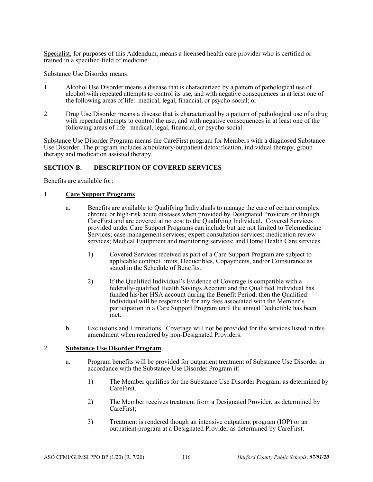Specialist, for purposes of this Addendum, means a licensed health care provider who is certified or trained in a specified field of medicine.

#### Substance Use Disorder means:

- 1. Alcohol Use Disorder means a disease that is characterized by a pattern of pathological use of alcohol with repeated attempts to control its use, and with negative consequences in at least one of the following areas of life: medical, legal, financial, or psycho-social; or
- 2. Drug Use Disorder means a disease that is characterized by a pattern of pathological use of a drug with repeated attempts to control the use, and with negative consequences in at least one of the following areas of life: medical, legal, financial, or psycho-social.

Substance Use Disorder Program means the CareFirst program for Members with a diagnosed Substance Use Disorder. The program includes ambulatory/outpatient detoxification, individual therapy, group therapy and medication assisted therapy.

#### **SECTION B. DESCRIPTION OF COVERED SERVICES**

Benefits are available for:

#### 1. **Care Support Programs**

- a. Benefits are available to Qualifying Individuals to manage the care of certain complex chronic or high-risk acute diseases when provided by Designated Providers or through CareFirst and are covered at no cost to the Qualifying Individual. Covered Services provided under Care Support Programs can include but are not limited to Telemedicine Services; case management services; expert consultation services; medication review services; Medical Equipment and monitoring services; and Home Health Care services.
	- 1) Covered Services received as part of a Care Support Program are subject to applicable contract limits, Deductibles, Copayments, and/or Coinsurance as stated in the Schedule of Benefits.
	- 2) If the Qualified Individual's Evidence of Coverage is compatible with a federally-qualified Health Savings Account and the Qualified Individual has funded his/her HSA account during the Benefit Period, then the Qualified Individual will be responsible for any fees associated with the Member's participation in a Care Support Program until the annual Deductible has been met.
- b. Exclusions and Limitations. Coverage will not be provided for the services listed in this amendment when rendered by non-Designated Providers.

#### 2. **Substance Use Disorder Program**

- a. Program benefits will be provided for outpatient treatment of Substance Use Disorder in accordance with the Substance Use Disorder Program if:
	- 1) The Member qualifies for the Substance Use Disorder Program, as determined by CareFirst.
	- 2) The Member receives treatment from a Designated Provider, as determined by CareFirst;
	- 3) Treatment is rendered though an intensive outpatient program (IOP) or an outpatient program at a Designated Provider as determined by CareFirst.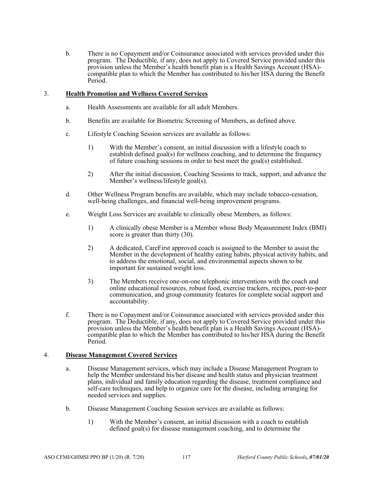b. There is no Copayment and/or Coinsurance associated with services provided under this program. The Deductible, if any, does not apply to Covered Service provided under this provision unless the Member's health benefit plan is a Health Savings Account (HSA) compatible plan to which the Member has contributed to his/her HSA during the Benefit Period.

## 3. **Health Promotion and Wellness Covered Services**

- a. Health Assessments are available for all adult Members.
- b. Benefits are available for Biometric Screening of Members, as defined above.
- c. Lifestyle Coaching Session services are available as follows:
	- 1) With the Member's consent, an initial discussion with a lifestyle coach to establish defined goal(s) for wellness coaching, and to determine the frequency of future coaching sessions in order to best meet the goal(s) established.
	- 2) After the initial discussion, Coaching Sessions to track, support, and advance the Member's wellness/lifestyle goal(s).
- d. Other Wellness Program benefits are available, which may include tobacco-cessation, well-being challenges, and financial well-being improvement programs.
- e. Weight Loss Services are available to clinically obese Members, as follows:
	- 1) A clinically obese Member is a Member whose Body Measurement Index (BMI) score is greater than thirty (30).
	- 2) A dedicated, CareFirst approved coach is assigned to the Member to assist the Member in the development of healthy eating habits, physical activity habits, and to address the emotional, social, and environmental aspects shown to be important for sustained weight loss.
	- 3) The Members receive one-on-one telephonic interventions with the coach and online educational resources, robust food, exercise trackers, recipes, peer-to-peer communication, and group community features for complete social support and accountability.
- f. There is no Copayment and/or Coinsurance associated with services provided under this program. The Deductible, if any, does not apply to Covered Service provided under this provision unless the Member's health benefit plan is a Health Savings Account (HSA) compatible plan to which the Member has contributed to his/her HSA during the Benefit Period.

## 4. **Disease Management Covered Services**

- a. Disease Management services, which may include a Disease Management Program to help the Member understand his/her disease and health status and physician treatment plans, individual and family education regarding the disease, treatment compliance and self-care techniques, and help to organize care for the disease, including arranging for needed services and supplies.
- b. Disease Management Coaching Session services are available as follows:
	- 1) With the Member's consent, an initial discussion with a coach to establish defined goal(s) for disease management coaching, and to determine the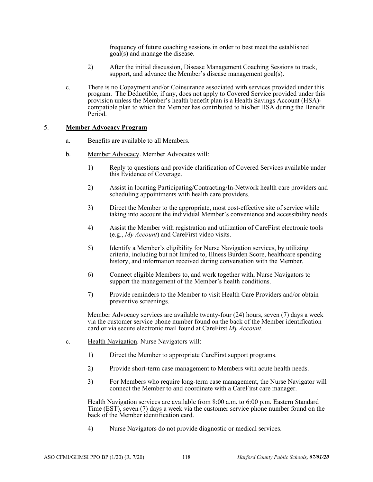frequency of future coaching sessions in order to best meet the established goal(s) and manage the disease.

- 2) After the initial discussion, Disease Management Coaching Sessions to track, support, and advance the Member's disease management goal(s).
- c. There is no Copayment and/or Coinsurance associated with services provided under this program. The Deductible, if any, does not apply to Covered Service provided under this provision unless the Member's health benefit plan is a Health Savings Account (HSA) compatible plan to which the Member has contributed to his/her HSA during the Benefit Period.

#### 5. **Member Advocacy Program**

- a. Benefits are available to all Members.
- b. Member Advocacy. Member Advocates will:
	- 1) Reply to questions and provide clarification of Covered Services available under this Evidence of Coverage.
	- 2) Assist in locating Participating/Contracting/In-Network health care providers and scheduling appointments with health care providers.
	- 3) Direct the Member to the appropriate, most cost-effective site of service while taking into account the individual Member's convenience and accessibility needs.
	- 4) Assist the Member with registration and utilization of CareFirst electronic tools (e.g., *My Account*) and CareFirst video visits.
	- 5) Identify a Member's eligibility for Nurse Navigation services, by utilizing criteria, including but not limited to, Illness Burden Score, healthcare spending history, and information received during conversation with the Member.
	- 6) Connect eligible Members to, and work together with, Nurse Navigators to support the management of the Member's health conditions.
	- 7) Provide reminders to the Member to visit Health Care Providers and/or obtain preventive screenings.

Member Advocacy services are available twenty-four (24) hours, seven (7) days a week via the customer service phone number found on the back of the Member identification card or via secure electronic mail found at CareFirst *My Account*.

- c. Health Navigation. Nurse Navigators will:
	- 1) Direct the Member to appropriate CareFirst support programs.
	- 2) Provide short-term case management to Members with acute health needs.
	- 3) For Members who require long-term case management, the Nurse Navigator will connect the Member to and coordinate with a CareFirst care manager.

Health Navigation services are available from 8:00 a.m. to 6:00 p.m. Eastern Standard Time (EST), seven (7) days a week via the customer service phone number found on the back of the Member identification card.

4) Nurse Navigators do not provide diagnostic or medical services.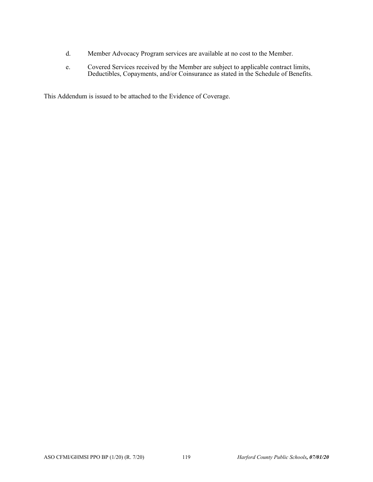- d. Member Advocacy Program services are available at no cost to the Member.
- e. Covered Services received by the Member are subject to applicable contract limits, Deductibles, Copayments, and/or Coinsurance as stated in the Schedule of Benefits.

This Addendum is issued to be attached to the Evidence of Coverage.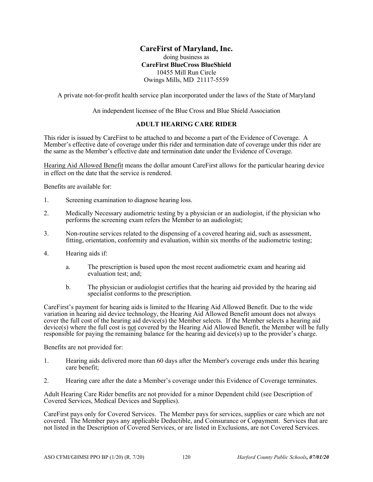# **CareFirst of Maryland, Inc.**

## doing business as **CareFirst BlueCross BlueShield**  10455 Mill Run Circle Owings Mills, MD 21117-5559

A private not-for-profit health service plan incorporated under the laws of the State of Maryland

An independent licensee of the Blue Cross and Blue Shield Association

## **ADULT HEARING CARE RIDER**

This rider is issued by CareFirst to be attached to and become a part of the Evidence of Coverage. A Member's effective date of coverage under this rider and termination date of coverage under this rider are the same as the Member's effective date and termination date under the Evidence of Coverage.

Hearing Aid Allowed Benefit means the dollar amount CareFirst allows for the particular hearing device in effect on the date that the service is rendered.

Benefits are available for:

- 1. Screening examination to diagnose hearing loss.
- 2. Medically Necessary audiometric testing by a physician or an audiologist, if the physician who performs the screening exam refers the Member to an audiologist;
- 3. Non-routine services related to the dispensing of a covered hearing aid, such as assessment, fitting, orientation, conformity and evaluation, within six months of the audiometric testing;
- 4. Hearing aids if:
	- a. The prescription is based upon the most recent audiometric exam and hearing aid evaluation test; and;
	- b. The physician or audiologist certifies that the hearing aid provided by the hearing aid specialist conforms to the prescription.

CareFirst's payment for hearing aids is limited to the Hearing Aid Allowed Benefit. Due to the wide variation in hearing aid device technology, the Hearing Aid Allowed Benefit amount does not always cover the full cost of the hearing aid device(s) the Member selects. If the Member selects a hearing aid device(s) where the full cost is not covered by the Hearing Aid Allowed Benefit, the Member will be fully responsible for paying the remaining balance for the hearing aid device(s) up to the provider's charge.

Benefits are not provided for:

- 1. Hearing aids delivered more than 60 days after the Member's coverage ends under this hearing care benefit;
- 2. Hearing care after the date a Member's coverage under this Evidence of Coverage terminates.

Adult Hearing Care Rider benefits are not provided for a minor Dependent child (see Description of Covered Services, Medical Devices and Supplies).

CareFirst pays only for Covered Services. The Member pays for services, supplies or care which are not covered. The Member pays any applicable Deductible, and Coinsurance or Copayment. Services that are not listed in the Description of Covered Services, or are listed in Exclusions, are not Covered Services.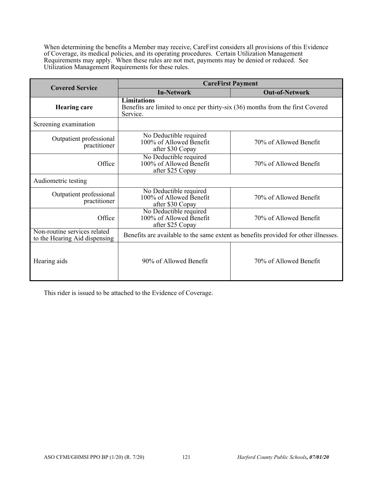When determining the benefits a Member may receive, CareFirst considers all provisions of this Evidence of Coverage, its medical policies, and its operating procedures. Certain Utilization Management Requirements may apply. When these rules are not met, payments may be denied or reduced. See Utilization Management Requirements for these rules.

| <b>Covered Service</b>                                        | <b>CareFirst Payment</b>                                                                                         |                        |
|---------------------------------------------------------------|------------------------------------------------------------------------------------------------------------------|------------------------|
|                                                               | <b>In-Network</b>                                                                                                | <b>Out-of-Network</b>  |
| <b>Hearing care</b>                                           | <b>Limitations</b><br>Benefits are limited to once per thirty-six (36) months from the first Covered<br>Service. |                        |
| Screening examination                                         |                                                                                                                  |                        |
| Outpatient professional<br>practitioner                       | No Deductible required<br>100% of Allowed Benefit<br>after \$30 Copay                                            | 70% of Allowed Benefit |
| Office                                                        | No Deductible required<br>100% of Allowed Benefit<br>after \$25 Copay                                            | 70% of Allowed Benefit |
| Audiometric testing                                           |                                                                                                                  |                        |
| Outpatient professional<br>practitioner                       | No Deductible required<br>100% of Allowed Benefit<br>after \$30 Copay                                            | 70% of Allowed Benefit |
| Office                                                        | No Deductible required<br>100% of Allowed Benefit<br>after \$25 Copay                                            | 70% of Allowed Benefit |
| Non-routine services related<br>to the Hearing Aid dispensing | Benefits are available to the same extent as benefits provided for other illnesses.                              |                        |
| Hearing aids                                                  | 90% of Allowed Benefit                                                                                           | 70% of Allowed Benefit |

This rider is issued to be attached to the Evidence of Coverage.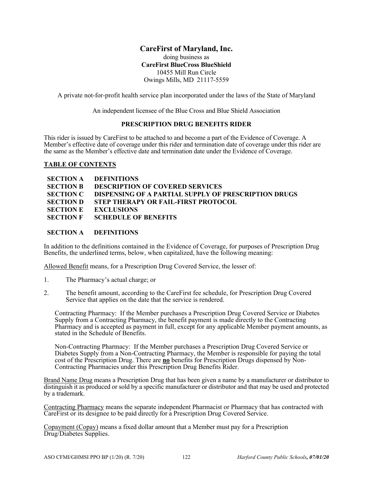## **CareFirst of Maryland, Inc.**

doing business as **CareFirst BlueCross BlueShield**  10455 Mill Run Circle Owings Mills, MD 21117-5559

A private not-for-profit health service plan incorporated under the laws of the State of Maryland

An independent licensee of the Blue Cross and Blue Shield Association

## **PRESCRIPTION DRUG BENEFITS RIDER**

This rider is issued by CareFirst to be attached to and become a part of the Evidence of Coverage. A Member's effective date of coverage under this rider and termination date of coverage under this rider are the same as the Member's effective date and termination date under the Evidence of Coverage.

#### **TABLE OF CONTENTS**

**SECTION A DEFINITIONS SECTION B DESCRIPTION OF COVERED SERVICES SECTION C DISPENSING OF A PARTIAL SUPPLY OF PRESCRIPTION DRUGS SECTION D STEP THERAPY OR FAIL-FIRST PROTOCOL SECTION E EXCLUSIONS SECTION F SCHEDULE OF BENEFITS** 

## **SECTION A DEFINITIONS**

In addition to the definitions contained in the Evidence of Coverage, for purposes of Prescription Drug Benefits, the underlined terms, below, when capitalized, have the following meaning:

Allowed Benefit means, for a Prescription Drug Covered Service, the lesser of:

- 1. The Pharmacy's actual charge; or
- 2. The benefit amount, according to the CareFirst fee schedule, for Prescription Drug Covered Service that applies on the date that the service is rendered.

Contracting Pharmacy: If the Member purchases a Prescription Drug Covered Service or Diabetes Supply from a Contracting Pharmacy, the benefit payment is made directly to the Contracting Pharmacy and is accepted as payment in full, except for any applicable Member payment amounts, as stated in the Schedule of Benefits.

Non-Contracting Pharmacy: If the Member purchases a Prescription Drug Covered Service or Diabetes Supply from a Non-Contracting Pharmacy, the Member is responsible for paying the total cost of the Prescription Drug. There are **no** benefits for Prescription Drugs dispensed by Non-Contracting Pharmacies under this Prescription Drug Benefits Rider.

Brand Name Drug means a Prescription Drug that has been given a name by a manufacturer or distributor to distinguish it as produced or sold by a specific manufacturer or distributor and that may be used and protected by a trademark.

Contracting Pharmacy means the separate independent Pharmacist or Pharmacy that has contracted with CareFirst or its designee to be paid directly for a Prescription Drug Covered Service.

Copayment (Copay) means a fixed dollar amount that a Member must pay for a Prescription Drug/Diabetes Supplies.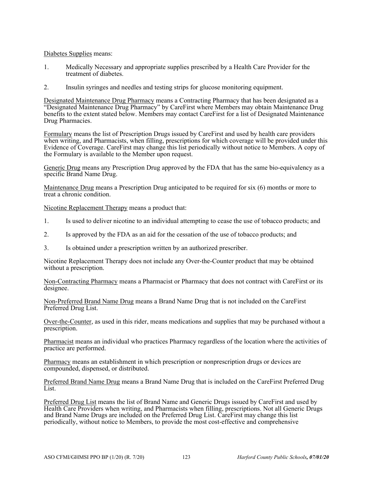Diabetes Supplies means:

- 1. Medically Necessary and appropriate supplies prescribed by a Health Care Provider for the treatment of diabetes.
- 2. Insulin syringes and needles and testing strips for glucose monitoring equipment.

Designated Maintenance Drug Pharmacy means a Contracting Pharmacy that has been designated as a "Designated Maintenance Drug Pharmacy" by CareFirst where Members may obtain Maintenance Drug benefits to the extent stated below. Members may contact CareFirst for a list of Designated Maintenance Drug Pharmacies.

Formulary means the list of Prescription Drugs issued by CareFirst and used by health care providers when writing, and Pharmacists, when filling, prescriptions for which coverage will be provided under this Evidence of Coverage. CareFirst may change this list periodically without notice to Members. A copy of the Formulary is available to the Member upon request.

Generic Drug means any Prescription Drug approved by the FDA that has the same bio-equivalency as a specific Brand Name Drug.

Maintenance Drug means a Prescription Drug anticipated to be required for six (6) months or more to treat a chronic condition.

Nicotine Replacement Therapy means a product that:

- 1. Is used to deliver nicotine to an individual attempting to cease the use of tobacco products; and
- 2. Is approved by the FDA as an aid for the cessation of the use of tobacco products; and
- 3. Is obtained under a prescription written by an authorized prescriber.

Nicotine Replacement Therapy does not include any Over-the-Counter product that may be obtained without a prescription.

Non-Contracting Pharmacy means a Pharmacist or Pharmacy that does not contract with CareFirst or its designee.

Non-Preferred Brand Name Drug means a Brand Name Drug that is not included on the CareFirst Preferred Drug List.

Over-the-Counter, as used in this rider, means medications and supplies that may be purchased without a prescription.

Pharmacist means an individual who practices Pharmacy regardless of the location where the activities of practice are performed.

Pharmacy means an establishment in which prescription or nonprescription drugs or devices are compounded, dispensed, or distributed.

Preferred Brand Name Drug means a Brand Name Drug that is included on the CareFirst Preferred Drug List.

Preferred Drug List means the list of Brand Name and Generic Drugs issued by CareFirst and used by Health Care Providers when writing, and Pharmacists when filling, prescriptions. Not all Generic Drugs and Brand Name Drugs are included on the Preferred Drug List. CareFirst may change this list periodically, without notice to Members, to provide the most cost-effective and comprehensive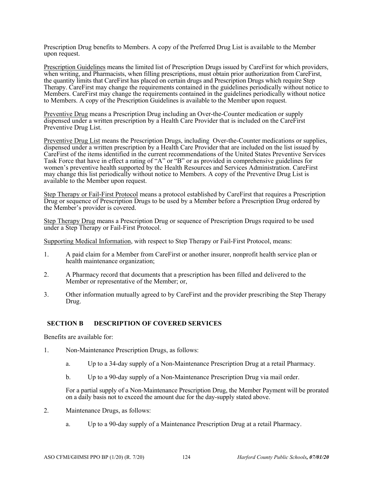Prescription Drug benefits to Members. A copy of the Preferred Drug List is available to the Member upon request.

Prescription Guidelines means the limited list of Prescription Drugs issued by CareFirst for which providers, when writing, and Pharmacists, when filling prescriptions, must obtain prior authorization from CareFirst, the quantity limits that CareFirst has placed on certain drugs and Prescription Drugs which require Step Therapy. CareFirst may change the requirements contained in the guidelines periodically without notice to Members. CareFirst may change the requirements contained in the guidelines periodically without notice to Members. A copy of the Prescription Guidelines is available to the Member upon request.

Preventive Drug means a Prescription Drug including an Over-the-Counter medication or supply dispensed under a written prescription by a Health Care Provider that is included on the CareFirst Preventive Drug List.

Preventive Drug List means the Prescription Drugs, including Over-the-Counter medications or supplies, dispensed under a written prescription by a Health Care Provider that are included on the list issued by CareFirst of the items identified in the current recommendations of the United States Preventive Services Task Force that have in effect a rating of "A" or "B" or as provided in comprehensive guidelines for women's preventive health supported by the Health Resources and Services Administration. CareFirst may change this list periodically without notice to Members. A copy of the Preventive Drug List is available to the Member upon request.

Step Therapy or Fail-First Protocol means a protocol established by CareFirst that requires a Prescription Drug or sequence of Prescription Drugs to be used by a Member before a Prescription Drug ordered by the Member's provider is covered.

Step Therapy Drug means a Prescription Drug or sequence of Prescription Drugs required to be used under a Step Therapy or Fail-First Protocol.

Supporting Medical Information, with respect to Step Therapy or Fail-First Protocol, means:

- 1. A paid claim for a Member from CareFirst or another insurer, nonprofit health service plan or health maintenance organization;
- 2. A Pharmacy record that documents that a prescription has been filled and delivered to the Member or representative of the Member; or,
- 3. Other information mutually agreed to by CareFirst and the provider prescribing the Step Therapy Drug.

#### **SECTION B DESCRIPTION OF COVERED SERVICES**

Benefits are available for:

- 1. Non-Maintenance Prescription Drugs, as follows:
	- a. Up to a 34-day supply of a Non-Maintenance Prescription Drug at a retail Pharmacy.
	- b. Up to a 90-day supply of a Non-Maintenance Prescription Drug via mail order.

For a partial supply of a Non-Maintenance Prescription Drug, the Member Payment will be prorated on a daily basis not to exceed the amount due for the day-supply stated above.

- 2. Maintenance Drugs, as follows:
	- a. Up to a 90-day supply of a Maintenance Prescription Drug at a retail Pharmacy.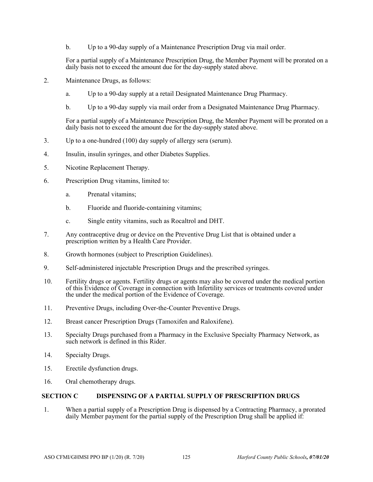b. Up to a 90-day supply of a Maintenance Prescription Drug via mail order.

For a partial supply of a Maintenance Prescription Drug, the Member Payment will be prorated on a daily basis not to exceed the amount due for the day-supply stated above.

- 2. Maintenance Drugs, as follows:
	- a. Up to a 90-day supply at a retail Designated Maintenance Drug Pharmacy.
	- b. Up to a 90-day supply via mail order from a Designated Maintenance Drug Pharmacy.

For a partial supply of a Maintenance Prescription Drug, the Member Payment will be prorated on a daily basis not to exceed the amount due for the day-supply stated above.

- 3. Up to a one-hundred (100) day supply of allergy sera (serum).
- 4. Insulin, insulin syringes, and other Diabetes Supplies.
- 5. Nicotine Replacement Therapy.
- 6. Prescription Drug vitamins, limited to:
	- a. Prenatal vitamins;
	- b. Fluoride and fluoride-containing vitamins;
	- c. Single entity vitamins, such as Rocaltrol and DHT.
- 7. Any contraceptive drug or device on the Preventive Drug List that is obtained under a prescription written by a Health Care Provider.
- 8. Growth hormones (subject to Prescription Guidelines).
- 9. Self-administered injectable Prescription Drugs and the prescribed syringes.
- 10. Fertility drugs or agents. Fertility drugs or agents may also be covered under the medical portion of this Evidence of Coverage in connection with Infertility services or treatments covered under the under the medical portion of the Evidence of Coverage.
- 11. Preventive Drugs, including Over-the-Counter Preventive Drugs.
- 12. Breast cancer Prescription Drugs (Tamoxifen and Raloxifene).
- 13. Specialty Drugs purchased from a Pharmacy in the Exclusive Specialty Pharmacy Network, as such network is defined in this Rider.
- 14. Specialty Drugs.
- 15. Erectile dysfunction drugs.
- 16. Oral chemotherapy drugs.

#### **SECTION C DISPENSING OF A PARTIAL SUPPLY OF PRESCRIPTION DRUGS**

1. When a partial supply of a Prescription Drug is dispensed by a Contracting Pharmacy, a prorated daily Member payment for the partial supply of the Prescription Drug shall be applied if: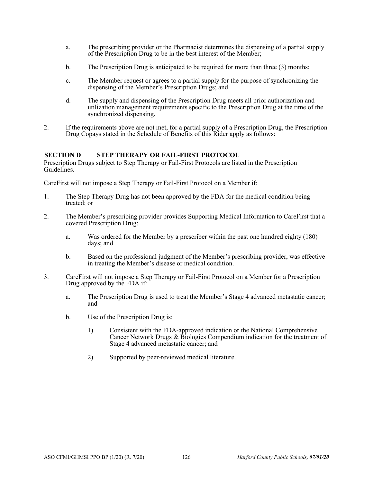- a. The prescribing provider or the Pharmacist determines the dispensing of a partial supply of the Prescription Drug to be in the best interest of the Member;
- b. The Prescription Drug is anticipated to be required for more than three (3) months;
- c. The Member request or agrees to a partial supply for the purpose of synchronizing the dispensing of the Member's Prescription Drugs; and
- d. The supply and dispensing of the Prescription Drug meets all prior authorization and utilization management requirements specific to the Prescription Drug at the time of the synchronized dispensing.
- 2. If the requirements above are not met, for a partial supply of a Prescription Drug, the Prescription Drug Copays stated in the Schedule of Benefits of this Rider apply as follows:

## **SECTION D STEP THERAPY OR FAIL-FIRST PROTOCOL**

Prescription Drugs subject to Step Therapy or Fail-First Protocols are listed in the Prescription Guidelines.

CareFirst will not impose a Step Therapy or Fail-First Protocol on a Member if:

- 1. The Step Therapy Drug has not been approved by the FDA for the medical condition being treated; or
- 2. The Member's prescribing provider provides Supporting Medical Information to CareFirst that a covered Prescription Drug:
	- a. Was ordered for the Member by a prescriber within the past one hundred eighty (180) days; and
	- b. Based on the professional judgment of the Member's prescribing provider, was effective in treating the Member's disease or medical condition.
- 3. CareFirst will not impose a Step Therapy or Fail-First Protocol on a Member for a Prescription Drug approved by the FDA if:
	- a. The Prescription Drug is used to treat the Member's Stage 4 advanced metastatic cancer; and
	- b. Use of the Prescription Drug is:
		- 1) Consistent with the FDA-approved indication or the National Comprehensive Cancer Network Drugs & Biologics Compendium indication for the treatment of Stage 4 advanced metastatic cancer; and
		- 2) Supported by peer-reviewed medical literature.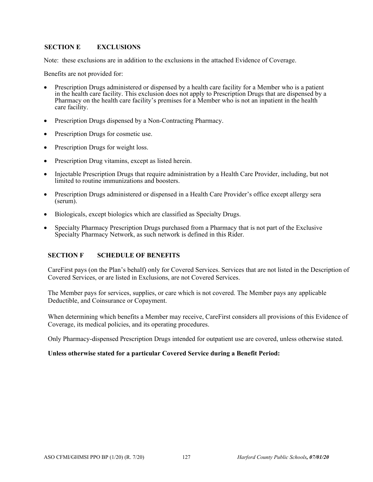## **SECTION E EXCLUSIONS**

Note: these exclusions are in addition to the exclusions in the attached Evidence of Coverage.

Benefits are not provided for:

- Prescription Drugs administered or dispensed by a health care facility for a Member who is a patient in the health care facility. This exclusion does not apply to Prescription Drugs that are dispensed by a Pharmacy on the health care facility's premises for a Member who is not an inpatient in the health care facility.
- Prescription Drugs dispensed by a Non-Contracting Pharmacy.
- Prescription Drugs for cosmetic use.
- Prescription Drugs for weight loss.
- Prescription Drug vitamins, except as listed herein.
- Injectable Prescription Drugs that require administration by a Health Care Provider, including, but not limited to routine immunizations and boosters.
- Prescription Drugs administered or dispensed in a Health Care Provider's office except allergy sera (serum).
- Biologicals, except biologics which are classified as Specialty Drugs.
- Specialty Pharmacy Prescription Drugs purchased from a Pharmacy that is not part of the Exclusive Specialty Pharmacy Network, as such network is defined in this Rider.

#### **SECTION F SCHEDULE OF BENEFITS**

CareFirst pays (on the Plan's behalf) only for Covered Services. Services that are not listed in the Description of Covered Services, or are listed in Exclusions, are not Covered Services.

The Member pays for services, supplies, or care which is not covered. The Member pays any applicable Deductible, and Coinsurance or Copayment.

When determining which benefits a Member may receive, CareFirst considers all provisions of this Evidence of Coverage, its medical policies, and its operating procedures.

Only Pharmacy-dispensed Prescription Drugs intended for outpatient use are covered, unless otherwise stated.

#### **Unless otherwise stated for a particular Covered Service during a Benefit Period:**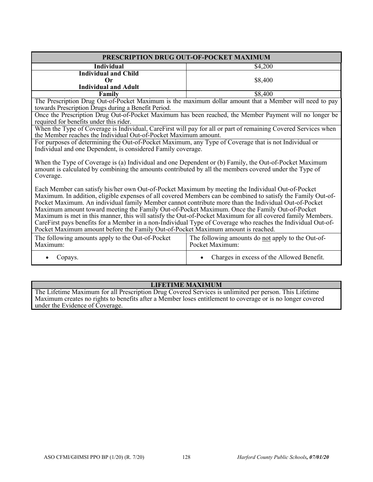| PRESCRIPTION DRUG OUT-OF-POCKET MAXIMUM                                                                                                                                                                                                                                                                                                                                                                                                                                                                                                                                                                                                                                                                                                      |                                                                                                         |  |  |  |
|----------------------------------------------------------------------------------------------------------------------------------------------------------------------------------------------------------------------------------------------------------------------------------------------------------------------------------------------------------------------------------------------------------------------------------------------------------------------------------------------------------------------------------------------------------------------------------------------------------------------------------------------------------------------------------------------------------------------------------------------|---------------------------------------------------------------------------------------------------------|--|--|--|
| <b>Individual</b>                                                                                                                                                                                                                                                                                                                                                                                                                                                                                                                                                                                                                                                                                                                            | \$4,200                                                                                                 |  |  |  |
| <b>Individual and Child</b>                                                                                                                                                                                                                                                                                                                                                                                                                                                                                                                                                                                                                                                                                                                  |                                                                                                         |  |  |  |
| 0r                                                                                                                                                                                                                                                                                                                                                                                                                                                                                                                                                                                                                                                                                                                                           | \$8,400                                                                                                 |  |  |  |
| <b>Individual and Adult</b>                                                                                                                                                                                                                                                                                                                                                                                                                                                                                                                                                                                                                                                                                                                  |                                                                                                         |  |  |  |
| Family                                                                                                                                                                                                                                                                                                                                                                                                                                                                                                                                                                                                                                                                                                                                       | \$8,400                                                                                                 |  |  |  |
| towards Prescription Drugs during a Benefit Period.                                                                                                                                                                                                                                                                                                                                                                                                                                                                                                                                                                                                                                                                                          | The Prescription Drug Out-of-Pocket Maximum is the maximum dollar amount that a Member will need to pay |  |  |  |
| Once the Prescription Drug Out-of-Pocket Maximum has been reached, the Member Payment will no longer be<br>required for benefits under this rider.                                                                                                                                                                                                                                                                                                                                                                                                                                                                                                                                                                                           |                                                                                                         |  |  |  |
| When the Type of Coverage is Individual, CareFirst will pay for all or part of remaining Covered Services when<br>the Member reaches the Individual Out-of-Pocket Maximum amount.                                                                                                                                                                                                                                                                                                                                                                                                                                                                                                                                                            |                                                                                                         |  |  |  |
| For purposes of determining the Out-of-Pocket Maximum, any Type of Coverage that is not Individual or<br>Individual and one Dependent, is considered Family coverage.                                                                                                                                                                                                                                                                                                                                                                                                                                                                                                                                                                        |                                                                                                         |  |  |  |
| When the Type of Coverage is (a) Individual and one Dependent or (b) Family, the Out-of-Pocket Maximum<br>amount is calculated by combining the amounts contributed by all the members covered under the Type of<br>Coverage.                                                                                                                                                                                                                                                                                                                                                                                                                                                                                                                |                                                                                                         |  |  |  |
| Each Member can satisfy his/her own Out-of-Pocket Maximum by meeting the Individual Out-of-Pocket<br>Maximum. In addition, eligible expenses of all covered Members can be combined to satisfy the Family Out-of-<br>Pocket Maximum. An individual family Member cannot contribute more than the Individual Out-of-Pocket<br>Maximum amount toward meeting the Family Out-of-Pocket Maximum. Once the Family Out-of-Pocket<br>Maximum is met in this manner, this will satisfy the Out-of-Pocket Maximum for all covered family Members.<br>CareFirst pays benefits for a Member in a non-Individual Type of Coverage who reaches the Individual Out-of-<br>Pocket Maximum amount before the Family Out-of-Pocket Maximum amount is reached. |                                                                                                         |  |  |  |
| The following amounts apply to the Out-of-Pocket<br>Maximum:                                                                                                                                                                                                                                                                                                                                                                                                                                                                                                                                                                                                                                                                                 | The following amounts do not apply to the Out-of-<br>Pocket Maximum:                                    |  |  |  |
| Copays.                                                                                                                                                                                                                                                                                                                                                                                                                                                                                                                                                                                                                                                                                                                                      | Charges in excess of the Allowed Benefit.                                                               |  |  |  |

## **LIFETIME MAXIMUM**

The Lifetime Maximum for all Prescription Drug Covered Services is unlimited per person. This Lifetime Maximum creates no rights to benefits after a Member loses entitlement to coverage or is no longer covered under the Evidence of Coverage.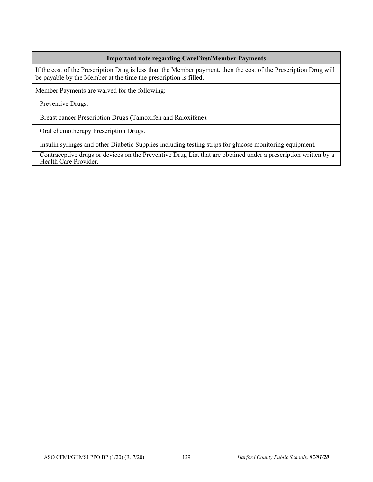## **Important note regarding CareFirst/Member Payments**

If the cost of the Prescription Drug is less than the Member payment, then the cost of the Prescription Drug will be payable by the Member at the time the prescription is filled.

Member Payments are waived for the following:

Preventive Drugs.

Breast cancer Prescription Drugs (Tamoxifen and Raloxifene).

Oral chemotherapy Prescription Drugs.

Insulin syringes and other Diabetic Supplies including testing strips for glucose monitoring equipment.

Contraceptive drugs or devices on the Preventive Drug List that are obtained under a prescription written by a Health Care Provider.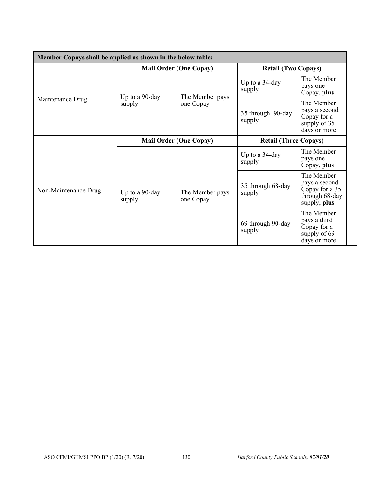| Member Copays shall be applied as shown in the below table: |                               |                              |                              |                                                                                 |  |  |  |
|-------------------------------------------------------------|-------------------------------|------------------------------|------------------------------|---------------------------------------------------------------------------------|--|--|--|
|                                                             | <b>Mail Order (One Copay)</b> |                              | <b>Retail (Two Copays)</b>   |                                                                                 |  |  |  |
| Maintenance Drug                                            | Up to a 90-day<br>supply      | The Member pays<br>one Copay | Up to a 34-day<br>supply     | The Member<br>pays one<br>Copay, plus                                           |  |  |  |
|                                                             |                               |                              | 35 through 90-day<br>supply  | The Member<br>pays a second<br>Copay for a<br>supply of 35<br>days or more      |  |  |  |
|                                                             | <b>Mail Order (One Copay)</b> |                              | <b>Retail (Three Copays)</b> |                                                                                 |  |  |  |
| Non-Maintenance Drug                                        | Up to a 90-day<br>supply      | The Member pays<br>one Copay | Up to a 34-day<br>supply     | The Member<br>pays one<br>Copay, plus                                           |  |  |  |
|                                                             |                               |                              | 35 through 68-day<br>supply  | The Member<br>pays a second<br>Copay for a 35<br>through 68-day<br>supply, plus |  |  |  |
|                                                             |                               |                              | 69 through 90-day<br>supply  | The Member<br>pays a third<br>Copay for a<br>supply of 69<br>days or more       |  |  |  |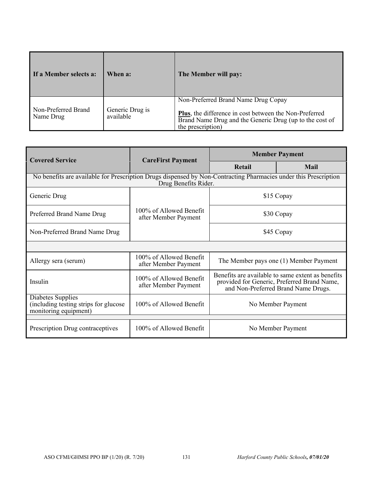| If a Member selects a:           | When a:                      | The Member will pay:                                                                                                                                                          |
|----------------------------------|------------------------------|-------------------------------------------------------------------------------------------------------------------------------------------------------------------------------|
| Non-Preferred Brand<br>Name Drug | Generic Drug is<br>available | Non-Preferred Brand Name Drug Copay<br>Plus, the difference in cost between the Non-Preferred<br>Brand Name Drug and the Generic Drug (up to the cost of<br>the prescription) |

| <b>Covered Service</b>                                                                                                                   | <b>CareFirst Payment</b>                        | <b>Member Payment</b>                                                                                                                   |                   |  |  |  |  |
|------------------------------------------------------------------------------------------------------------------------------------------|-------------------------------------------------|-----------------------------------------------------------------------------------------------------------------------------------------|-------------------|--|--|--|--|
|                                                                                                                                          |                                                 | Retail                                                                                                                                  | Mail              |  |  |  |  |
| No benefits are available for Prescription Drugs dispensed by Non-Contracting Pharmacies under this Prescription<br>Drug Benefits Rider. |                                                 |                                                                                                                                         |                   |  |  |  |  |
| Generic Drug                                                                                                                             |                                                 | \$15 Copay                                                                                                                              |                   |  |  |  |  |
| Preferred Brand Name Drug                                                                                                                | 100% of Allowed Benefit<br>after Member Payment | \$30 Copay                                                                                                                              |                   |  |  |  |  |
| Non-Preferred Brand Name Drug                                                                                                            |                                                 | \$45 Copay                                                                                                                              |                   |  |  |  |  |
|                                                                                                                                          |                                                 |                                                                                                                                         |                   |  |  |  |  |
| Allergy sera (serum)                                                                                                                     | 100% of Allowed Benefit<br>after Member Payment | The Member pays one (1) Member Payment                                                                                                  |                   |  |  |  |  |
| Insulin                                                                                                                                  | 100% of Allowed Benefit<br>after Member Payment | Benefits are available to same extent as benefits<br>provided for Generic, Preferred Brand Name,<br>and Non-Preferred Brand Name Drugs. |                   |  |  |  |  |
| Diabetes Supplies<br>(including testing strips for glucose)<br>monitoring equipment)                                                     | 100% of Allowed Benefit                         | No Member Payment                                                                                                                       |                   |  |  |  |  |
| Prescription Drug contraceptives                                                                                                         | 100% of Allowed Benefit                         |                                                                                                                                         | No Member Payment |  |  |  |  |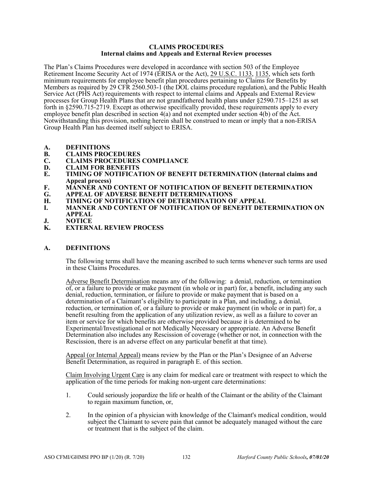#### **CLAIMS PROCEDURES Internal claims and Appeals and External Review processes**

The Plan's Claims Procedures were developed in accordance with section 503 of the Employee Retirement Income Security Act of 1974 (ERISA or the Act), 29 U.S.C. 1133, 1135, which sets forth minimum requirements for employee benefit plan procedures pertaining to Claims for Benefits by Members as required by 29 CFR 2560.503-1 (the DOL claims procedure regulation), and the Public Health Service Act (PHS Act) requirements with respect to internal claims and Appeals and External Review processes for Group Health Plans that are not grandfathered health plans under §2590.715–1251 as set forth in §2590.715-2719. Except as otherwise specifically provided, these requirements apply to every employee benefit plan described in section 4(a) and not exempted under section 4(b) of the Act. Notwithstanding this provision, nothing herein shall be construed to mean or imply that a non-ERISA Group Health Plan has deemed itself subject to ERISA.

- **A. DEFINITIONS**
- **B. CLAIMS PROCEDURES**
- **C. CLAIMS PROCEDURES COMPLIANCE**
- **D. CLAIM FOR BENEFITS**<br>**E. TIMING OF NOTIFICAT**
- **E. TIMING OF NOTIFICATION OF BENEFIT DETERMINATION (Internal claims and Appeal process)**
- **F. MANNER AND CONTENT OF NOTIFICATION OF BENEFIT DETERMINATION**
- **G. APPEAL OF ADVERSE BENEFIT DETERMINATIONS**
- **H. TIMING OF NOTIFICATION OF DETERMINATION OF APPEAL**
- **I. MANNER AND CONTENT OF NOTIFICATION OF BENEFIT DETERMINATION ON APPEAL**
- **J. NOTICE**<br>**K. EXTERN**
- **K. EXTERNAL REVIEW PROCESS**

#### **A. DEFINITIONS**

The following terms shall have the meaning ascribed to such terms whenever such terms are used in these Claims Procedures.

Adverse Benefit Determination means any of the following: a denial, reduction, or termination of, or a failure to provide or make payment (in whole or in part) for, a benefit, including any such denial, reduction, termination, or failure to provide or make payment that is based on a determination of a Claimant's eligibility to participate in a Plan, and including, a denial, reduction, or termination of, or a failure to provide or make payment (in whole or in part) for, a benefit resulting from the application of any utilization review, as well as a failure to cover an item or service for which benefits are otherwise provided because it is determined to be Experimental/Investigational or not Medically Necessary or appropriate. An Adverse Benefit Determination also includes any Rescission of coverage (whether or not, in connection with the Rescission, there is an adverse effect on any particular benefit at that time).

Appeal (or Internal Appeal) means review by the Plan or the Plan's Designee of an Adverse Benefit Determination, as required in paragraph E. of this section.

Claim Involving Urgent Care is any claim for medical care or treatment with respect to which the application of the time periods for making non-urgent care determinations:

- 1. Could seriously jeopardize the life or health of the Claimant or the ability of the Claimant to regain maximum function, or,
- 2. In the opinion of a physician with knowledge of the Claimant's medical condition, would subject the Claimant to severe pain that cannot be adequately managed without the care or treatment that is the subject of the claim.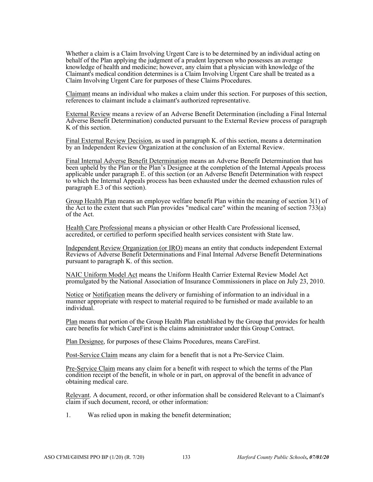Whether a claim is a Claim Involving Urgent Care is to be determined by an individual acting on behalf of the Plan applying the judgment of a prudent layperson who possesses an average knowledge of health and medicine; however, any claim that a physician with knowledge of the Claimant's medical condition determines is a Claim Involving Urgent Care shall be treated as a Claim Involving Urgent Care for purposes of these Claims Procedures.

Claimant means an individual who makes a claim under this section. For purposes of this section, references to claimant include a claimant's authorized representative.

External Review means a review of an Adverse Benefit Determination (including a Final Internal Adverse Benefit Determination) conducted pursuant to the External Review process of paragraph K of this section.

Final External Review Decision, as used in paragraph K. of this section, means a determination by an Independent Review Organization at the conclusion of an External Review.

Final Internal Adverse Benefit Determination means an Adverse Benefit Determination that has been upheld by the Plan or the Plan's Designee at the completion of the Internal Appeals process applicable under paragraph E. of this section (or an Adverse Benefit Determination with respect to which the Internal Appeals process has been exhausted under the deemed exhaustion rules of paragraph E.3 of this section).

Group Health Plan means an employee welfare benefit Plan within the meaning of section 3(1) of the Act to the extent that such Plan provides "medical care" within the meaning of section  $733(a)$ of the Act.

Health Care Professional means a physician or other Health Care Professional licensed, **accredited, or certified to perform specified health services consistent with State law.** 

Independent Review Organization (or IRO) means an entity that conducts independent External Reviews of Adverse Benefit Determinations and Final Internal Adverse Benefit Determinations pursuant to paragraph K. of this section.

NAIC Uniform Model Act means the Uniform Health Carrier External Review Model Act promulgated by the National Association of Insurance Commissioners in place on July 23, 2010.

Notice or Notification means the delivery or furnishing of information to an individual in a manner appropriate with respect to material required to be furnished or made available to an individual.

Plan means that portion of the Group Health Plan established by the Group that provides for health care benefits for which CareFirst is the claims administrator under this Group Contract.

Plan Designee, for purposes of these Claims Procedures, means CareFirst.

Post-Service Claim means any claim for a benefit that is not a Pre-Service Claim.

Pre-Service Claim means any claim for a benefit with respect to which the terms of the Plan condition receipt of the benefit, in whole or in part, on approval of the benefit in advance of obtaining medical care.

Relevant. A document, record, or other information shall be considered Relevant to a Claimant's claim if such document, record, or other information:

1. Was relied upon in making the benefit determination;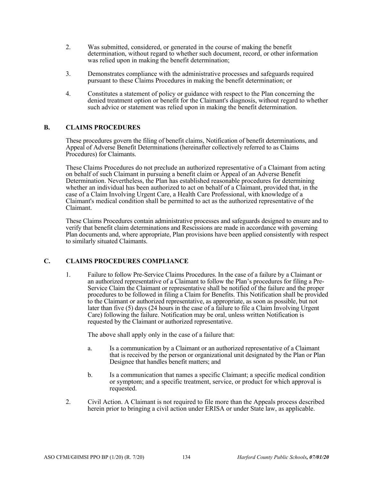- 2. Was submitted, considered, or generated in the course of making the benefit determination, without regard to whether such document, record, or other information was relied upon in making the benefit determination;
- 3. Demonstrates compliance with the administrative processes and safeguards required pursuant to these Claims Procedures in making the benefit determination; or
- 4. Constitutes a statement of policy or guidance with respect to the Plan concerning the denied treatment option or benefit for the Claimant's diagnosis, without regard to whether such advice or statement was relied upon in making the benefit determination.

## **B. CLAIMS PROCEDURES**

These procedures govern the filing of benefit claims, Notification of benefit determinations, and Appeal of Adverse Benefit Determinations (hereinafter collectively referred to as Claims Procedures) for Claimants.

These Claims Procedures do not preclude an authorized representative of a Claimant from acting on behalf of such Claimant in pursuing a benefit claim or Appeal of an Adverse Benefit Determination. Nevertheless, the Plan has established reasonable procedures for determining whether an individual has been authorized to act on behalf of a Claimant, provided that, in the case of a Claim Involving Urgent Care, a Health Care Professional, with knowledge of a Claimant's medical condition shall be permitted to act as the authorized representative of the Claimant.

These Claims Procedures contain administrative processes and safeguards designed to ensure and to verify that benefit claim determinations and Rescissions are made in accordance with governing Plan documents and, where appropriate, Plan provisions have been applied consistently with respect to similarly situated Claimants.

## **C. CLAIMS PROCEDURES COMPLIANCE**

1. Failure to follow Pre-Service Claims Procedures. In the case of a failure by a Claimant or an authorized representative of a Claimant to follow the Plan's procedures for filing a Pre-Service Claim the Claimant or representative shall be notified of the failure and the proper procedures to be followed in filing a Claim for Benefits. This Notification shall be provided to the Claimant or authorized representative, as appropriate, as soon as possible, but not later than five (5) days (24 hours in the case of a failure to file a Claim Involving Urgent Care) following the failure. Notification may be oral, unless written Notification is requested by the Claimant or authorized representative.

The above shall apply only in the case of a failure that:

- a. Is a communication by a Claimant or an authorized representative of a Claimant that is received by the person or organizational unit designated by the Plan or Plan Designee that handles benefit matters; and
- b. Is a communication that names a specific Claimant; a specific medical condition or symptom; and a specific treatment, service, or product for which approval is requested.
- 2. Civil Action. A Claimant is not required to file more than the Appeals process described herein prior to bringing a civil action under ERISA or under State law, as applicable.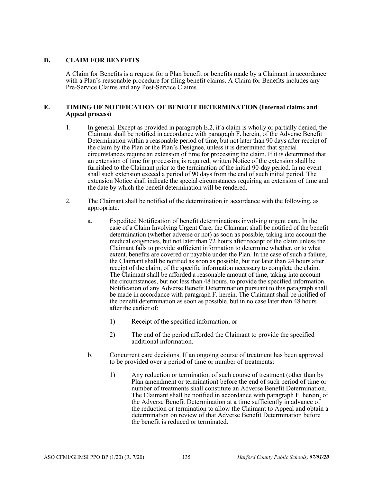## **D. CLAIM FOR BENEFITS**

A Claim for Benefits is a request for a Plan benefit or benefits made by a Claimant in accordance with a Plan's reasonable procedure for filing benefit claims. A Claim for Benefits includes any Pre-Service Claims and any Post-Service Claims.

#### **E. TIMING OF NOTIFICATION OF BENEFIT DETERMINATION (Internal claims and Appeal process)**

- 1. In general. Except as provided in paragraph E.2, if a claim is wholly or partially denied, the Claimant shall be notified in accordance with paragraph F. herein, of the Adverse Benefit Determination within a reasonable period of time, but not later than 90 days after receipt of the claim by the Plan or the Plan's Designee, unless it is determined that special circumstances require an extension of time for processing the claim. If it is determined that an extension of time for processing is required, written Notice of the extension shall be furnished to the Claimant prior to the termination of the initial 90-day period. In no event shall such extension exceed a period of 90 days from the end of such initial period. The extension Notice shall indicate the special circumstances requiring an extension of time and the date by which the benefit determination will be rendered.
- 2. The Claimant shall be notified of the determination in accordance with the following, as appropriate.
	- a. Expedited Notification of benefit determinations involving urgent care. In the case of a Claim Involving Urgent Care, the Claimant shall be notified of the benefit determination (whether adverse or not) as soon as possible, taking into account the medical exigencies, but not later than 72 hours after receipt of the claim unless the Claimant fails to provide sufficient information to determine whether, or to what extent, benefits are covered or payable under the Plan. In the case of such a failure, the Claimant shall be notified as soon as possible, but not later than 24 hours after receipt of the claim, of the specific information necessary to complete the claim. The Claimant shall be afforded a reasonable amount of time, taking into account the circumstances, but not less than 48 hours, to provide the specified information. Notification of any Adverse Benefit Determination pursuant to this paragraph shall be made in accordance with paragraph F. herein. The Claimant shall be notified of the benefit determination as soon as possible, but in no case later than 48 hours after the earlier of:
		- 1) Receipt of the specified information, or
		- 2) The end of the period afforded the Claimant to provide the specified additional information.
	- b. Concurrent care decisions. If an ongoing course of treatment has been approved to be provided over a period of time or number of treatments:
		- 1) Any reduction or termination of such course of treatment (other than by Plan amendment or termination) before the end of such period of time or number of treatments shall constitute an Adverse Benefit Determination. The Claimant shall be notified in accordance with paragraph F. herein, of the Adverse Benefit Determination at a time sufficiently in advance of the reduction or termination to allow the Claimant to Appeal and obtain a determination on review of that Adverse Benefit Determination before the benefit is reduced or terminated.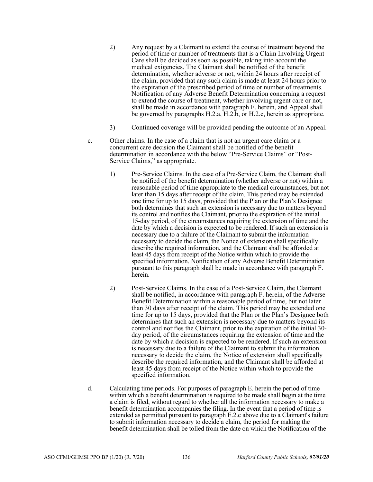- 2) Any request by a Claimant to extend the course of treatment beyond the period of time or number of treatments that is a Claim Involving Urgent Care shall be decided as soon as possible, taking into account the medical exigencies. The Claimant shall be notified of the benefit determination, whether adverse or not, within 24 hours after receipt of the claim, provided that any such claim is made at least 24 hours prior to the expiration of the prescribed period of time or number of treatments. Notification of any Adverse Benefit Determination concerning a request to extend the course of treatment, whether involving urgent care or not, shall be made in accordance with paragraph F. herein, and Appeal shall be governed by paragraphs H.2.a, H.2.b, or H.2.c, herein as appropriate.
- 3) Continued coverage will be provided pending the outcome of an Appeal.
- c. Other claims. In the case of a claim that is not an urgent care claim or a concurrent care decision the Claimant shall be notified of the benefit determination in accordance with the below "Pre-Service Claims" or "Post-Service Claims," as appropriate.
	- 1) Pre-Service Claims. In the case of a Pre-Service Claim, the Claimant shall be notified of the benefit determination (whether adverse or not) within a reasonable period of time appropriate to the medical circumstances, but not later than 15 days after receipt of the claim. This period may be extended one time for up to 15 days, provided that the Plan or the Plan's Designee both determines that such an extension is necessary due to matters beyond its control and notifies the Claimant, prior to the expiration of the initial 15-day period, of the circumstances requiring the extension of time and the date by which a decision is expected to be rendered. If such an extension is necessary due to a failure of the Claimant to submit the information necessary to decide the claim, the Notice of extension shall specifically describe the required information, and the Claimant shall be afforded at least 45 days from receipt of the Notice within which to provide the specified information. Notification of any Adverse Benefit Determination pursuant to this paragraph shall be made in accordance with paragraph F. herein.
	- 2) Post-Service Claims. In the case of a Post-Service Claim, the Claimant shall be notified, in accordance with paragraph F. herein, of the Adverse Benefit Determination within a reasonable period of time, but not later than 30 days after receipt of the claim. This period may be extended one time for up to 15 days, provided that the Plan or the Plan's Designee both determines that such an extension is necessary due to matters beyond its control and notifies the Claimant, prior to the expiration of the initial 30 day period, of the circumstances requiring the extension of time and the date by which a decision is expected to be rendered. If such an extension is necessary due to a failure of the Claimant to submit the information necessary to decide the claim, the Notice of extension shall specifically describe the required information, and the Claimant shall be afforded at least 45 days from receipt of the Notice within which to provide the specified information.
- d. Calculating time periods. For purposes of paragraph E. herein the period of time within which a benefit determination is required to be made shall begin at the time a claim is filed, without regard to whether all the information necessary to make a benefit determination accompanies the filing. In the event that a period of time is extended as permitted pursuant to paragraph E.2.c above due to a Claimant's failure to submit information necessary to decide a claim, the period for making the benefit determination shall be tolled from the date on which the Notification of the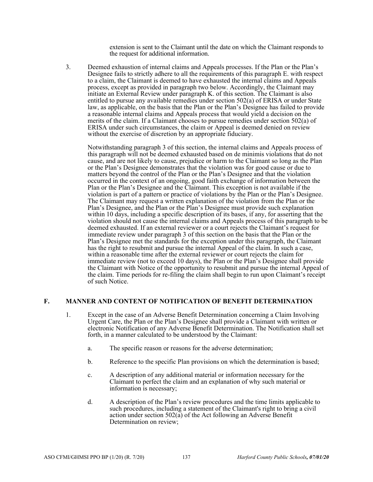extension is sent to the Claimant until the date on which the Claimant responds to the request for additional information.

3. Deemed exhaustion of internal claims and Appeals processes. If the Plan or the Plan's Designee fails to strictly adhere to all the requirements of this paragraph E. with respect to a claim, the Claimant is deemed to have exhausted the internal claims and Appeals process, except as provided in paragraph two below. Accordingly, the Claimant may initiate an External Review under paragraph K. of this section. The Claimant is also entitled to pursue any available remedies under section 502(a) of ERISA or under State law, as applicable, on the basis that the Plan or the Plan's Designee has failed to provide a reasonable internal claims and Appeals process that would yield a decision on the merits of the claim. If a Claimant chooses to pursue remedies under section 502(a) of ERISA under such circumstances, the claim or Appeal is deemed denied on review without the exercise of discretion by an appropriate fiduciary.

Notwithstanding paragraph 3 of this section, the internal claims and Appeals process of this paragraph will not be deemed exhausted based on de minimis violations that do not cause, and are not likely to cause, prejudice or harm to the Claimant so long as the Plan or the Plan's Designee demonstrates that the violation was for good cause or due to matters beyond the control of the Plan or the Plan's Designee and that the violation occurred in the context of an ongoing, good faith exchange of information between the Plan or the Plan's Designee and the Claimant. This exception is not available if the violation is part of a pattern or practice of violations by the Plan or the Plan's Designee. The Claimant may request a written explanation of the violation from the Plan or the Plan's Designee, and the Plan or the Plan's Designee must provide such explanation within 10 days, including a specific description of its bases, if any, for asserting that the violation should not cause the internal claims and Appeals process of this paragraph to be deemed exhausted. If an external reviewer or a court rejects the Claimant's request for immediate review under paragraph 3 of this section on the basis that the Plan or the Plan's Designee met the standards for the exception under this paragraph, the Claimant has the right to resubmit and pursue the internal Appeal of the claim. In such a case, within a reasonable time after the external reviewer or court rejects the claim for immediate review (not to exceed 10 days), the Plan or the Plan's Designee shall provide the Claimant with Notice of the opportunity to resubmit and pursue the internal Appeal of the claim. Time periods for re-filing the claim shall begin to run upon Claimant's receipt of such Notice.

## **F. MANNER AND CONTENT OF NOTIFICATION OF BENEFIT DETERMINATION**

- 1. Except in the case of an Adverse Benefit Determination concerning a Claim Involving Urgent Care, the Plan or the Plan's Designee shall provide a Claimant with written or electronic Notification of any Adverse Benefit Determination. The Notification shall set forth, in a manner calculated to be understood by the Claimant:
	- a. The specific reason or reasons for the adverse determination;
	- b. Reference to the specific Plan provisions on which the determination is based;
	- c. A description of any additional material or information necessary for the Claimant to perfect the claim and an explanation of why such material or information is necessary;
	- d. A description of the Plan's review procedures and the time limits applicable to such procedures, including a statement of the Claimant's right to bring a civil action under section  $502(a)$  of the Act following an Adverse Benefit Determination on review;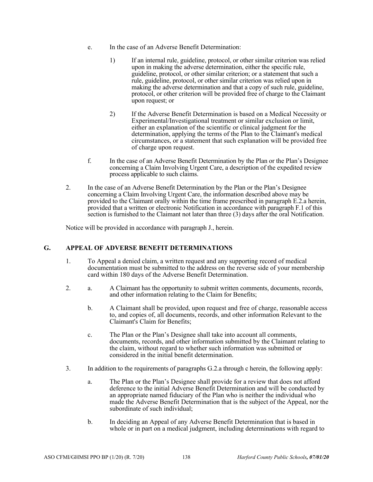- e. In the case of an Adverse Benefit Determination:
	- 1) If an internal rule, guideline, protocol, or other similar criterion was relied upon in making the adverse determination, either the specific rule, guideline, protocol, or other similar criterion; or a statement that such a rule, guideline, protocol, or other similar criterion was relied upon in making the adverse determination and that a copy of such rule, guideline, protocol, or other criterion will be provided free of charge to the Claimant upon request; or
	- 2) If the Adverse Benefit Determination is based on a Medical Necessity or Experimental/Investigational treatment or similar exclusion or limit, either an explanation of the scientific or clinical judgment for the determination, applying the terms of the Plan to the Claimant's medical circumstances, or a statement that such explanation will be provided free of charge upon request.
- f. In the case of an Adverse Benefit Determination by the Plan or the Plan's Designee concerning a Claim Involving Urgent Care, a description of the expedited review process applicable to such claims.
- 2. In the case of an Adverse Benefit Determination by the Plan or the Plan's Designee concerning a Claim Involving Urgent Care, the information described above may be provided to the Claimant orally within the time frame prescribed in paragraph E.2.a herein, provided that a written or electronic Notification in accordance with paragraph F.1 of this section is furnished to the Claimant not later than three (3) days after the oral Notification.

Notice will be provided in accordance with paragraph J., herein.

## **G. APPEAL OF ADVERSE BENEFIT DETERMINATIONS**

- 1. To Appeal a denied claim, a written request and any supporting record of medical documentation must be submitted to the address on the reverse side of your membership card within 180 days of the Adverse Benefit Determination.
- 2. a. A Claimant has the opportunity to submit written comments, documents, records, and other information relating to the Claim for Benefits;
	- b. A Claimant shall be provided, upon request and free of charge, reasonable access to, and copies of, all documents, records, and other information Relevant to the Claimant's Claim for Benefits;
	- c. The Plan or the Plan's Designee shall take into account all comments, documents, records, and other information submitted by the Claimant relating to the claim, without regard to whether such information was submitted or considered in the initial benefit determination.
- 3. In addition to the requirements of paragraphs G.2.a through c herein, the following apply:
	- a. The Plan or the Plan's Designee shall provide for a review that does not afford deference to the initial Adverse Benefit Determination and will be conducted by an appropriate named fiduciary of the Plan who is neither the individual who made the Adverse Benefit Determination that is the subject of the Appeal, nor the subordinate of such individual;
	- b. In deciding an Appeal of any Adverse Benefit Determination that is based in whole or in part on a medical judgment, including determinations with regard to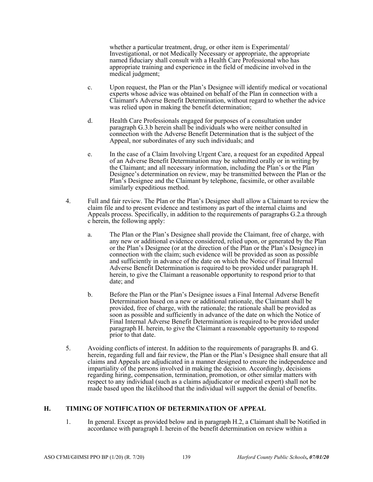whether a particular treatment, drug, or other item is Experimental/ Investigational, or not Medically Necessary or appropriate, the appropriate named fiduciary shall consult with a Health Care Professional who has appropriate training and experience in the field of medicine involved in the medical judgment;

- c. Upon request, the Plan or the Plan's Designee will identify medical or vocational experts whose advice was obtained on behalf of the Plan in connection with a Claimant's Adverse Benefit Determination, without regard to whether the advice was relied upon in making the benefit determination;
- d. Health Care Professionals engaged for purposes of a consultation under paragraph G.3.b herein shall be individuals who were neither consulted in connection with the Adverse Benefit Determination that is the subject of the Appeal, nor subordinates of any such individuals; and
- e. In the case of a Claim Involving Urgent Care, a request for an expedited Appeal of an Adverse Benefit Determination may be submitted orally or in writing by the Claimant; and all necessary information, including the Plan's or the Plan Designee's determination on review, may be transmitted between the Plan or the Plan's Designee and the Claimant by telephone, facsimile, or other available similarly expeditious method.
- 4. Full and fair review. The Plan or the Plan's Designee shall allow a Claimant to review the claim file and to present evidence and testimony as part of the internal claims and Appeals process. Specifically, in addition to the requirements of paragraphs G.2.a through c herein, the following apply:
	- a. The Plan or the Plan's Designee shall provide the Claimant, free of charge, with any new or additional evidence considered, relied upon, or generated by the Plan or the Plan's Designee (or at the direction of the Plan or the Plan's Designee) in connection with the claim; such evidence will be provided as soon as possible and sufficiently in advance of the date on which the Notice of Final Internal Adverse Benefit Determination is required to be provided under paragraph H. herein, to give the Claimant a reasonable opportunity to respond prior to that date; and
	- b. Before the Plan or the Plan's Designee issues a Final Internal Adverse Benefit Determination based on a new or additional rationale, the Claimant shall be provided, free of charge, with the rationale; the rationale shall be provided as soon as possible and sufficiently in advance of the date on which the Notice of Final Internal Adverse Benefit Determination is required to be provided under paragraph H. herein, to give the Claimant a reasonable opportunity to respond prior to that date.
- 5. Avoiding conflicts of interest. In addition to the requirements of paragraphs B. and G. herein, regarding full and fair review, the Plan or the Plan's Designee shall ensure that all claims and Appeals are adjudicated in a manner designed to ensure the independence and impartiality of the persons involved in making the decision. Accordingly, decisions regarding hiring, compensation, termination, promotion, or other similar matters with respect to any individual (such as a claims adjudicator or medical expert) shall not be made based upon the likelihood that the individual will support the denial of benefits.

## **H. TIMING OF NOTIFICATION OF DETERMINATION OF APPEAL**

1. In general. Except as provided below and in paragraph H.2, a Claimant shall be Notified in accordance with paragraph I. herein of the benefit determination on review within a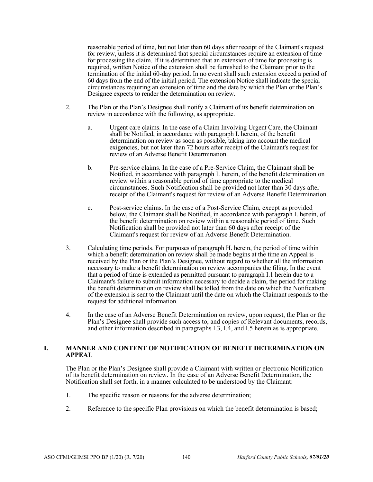reasonable period of time, but not later than 60 days after receipt of the Claimant's request for review, unless it is determined that special circumstances require an extension of time for processing the claim. If it is determined that an extension of time for processing is required, written Notice of the extension shall be furnished to the Claimant prior to the termination of the initial 60-day period. In no event shall such extension exceed a period of 60 days from the end of the initial period. The extension Notice shall indicate the special circumstances requiring an extension of time and the date by which the Plan or the Plan's Designee expects to render the determination on review.

- 2. The Plan or the Plan's Designee shall notify a Claimant of its benefit determination on review in accordance with the following, as appropriate.
	- a. Urgent care claims. In the case of a Claim Involving Urgent Care, the Claimant shall be Notified, in accordance with paragraph I. herein, of the benefit determination on review as soon as possible, taking into account the medical exigencies, but not later than 72 hours after receipt of the Claimant's request for review of an Adverse Benefit Determination.
	- b. Pre-service claims. In the case of a Pre-Service Claim, the Claimant shall be Notified, in accordance with paragraph I. herein, of the benefit determination on review within a reasonable period of time appropriate to the medical circumstances. Such Notification shall be provided not later than 30 days after receipt of the Claimant's request for review of an Adverse Benefit Determination.
	- c. Post-service claims. In the case of a Post-Service Claim, except as provided below, the Claimant shall be Notified, in accordance with paragraph I. herein, of the benefit determination on review within a reasonable period of time. Such Notification shall be provided not later than 60 days after receipt of the Claimant's request for review of an Adverse Benefit Determination.
- 3. Calculating time periods. For purposes of paragraph H. herein, the period of time within which a benefit determination on review shall be made begins at the time an Appeal is received by the Plan or the Plan's Designee, without regard to whether all the information necessary to make a benefit determination on review accompanies the filing. In the event that a period of time is extended as permitted pursuant to paragraph I.1 herein due to a Claimant's failure to submit information necessary to decide a claim, the period for making the benefit determination on review shall be tolled from the date on which the Notification of the extension is sent to the Claimant until the date on which the Claimant responds to the request for additional information.
- 4. In the case of an Adverse Benefit Determination on review, upon request, the Plan or the Plan's Designee shall provide such access to, and copies of Relevant documents, records, and other information described in paragraphs I.3, I.4, and I.5 herein as is appropriate.

#### **I. MANNER AND CONTENT OF NOTIFICATION OF BENEFIT DETERMINATION ON APPEAL**

The Plan or the Plan's Designee shall provide a Claimant with written or electronic Notification of its benefit determination on review. In the case of an Adverse Benefit Determination, the Notification shall set forth, in a manner calculated to be understood by the Claimant:

- 1. The specific reason or reasons for the adverse determination;
- 2. Reference to the specific Plan provisions on which the benefit determination is based;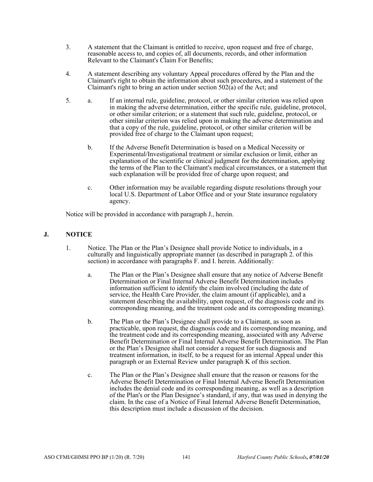- 3. A statement that the Claimant is entitled to receive, upon request and free of charge, reasonable access to, and copies of, all documents, records, and other information Relevant to the Claimant's Claim For Benefits;
- 4. A statement describing any voluntary Appeal procedures offered by the Plan and the Claimant's right to obtain the information about such procedures, and a statement of the Claimant's right to bring an action under section  $502(a)$  of the Act; and
- 5. a. If an internal rule, guideline, protocol, or other similar criterion was relied upon in making the adverse determination, either the specific rule, guideline, protocol, or other similar criterion; or a statement that such rule, guideline, protocol, or other similar criterion was relied upon in making the adverse determination and that a copy of the rule, guideline, protocol, or other similar criterion will be provided free of charge to the Claimant upon request;
	- b. If the Adverse Benefit Determination is based on a Medical Necessity or Experimental/Investigational treatment or similar exclusion or limit, either an explanation of the scientific or clinical judgment for the determination, applying the terms of the Plan to the Claimant's medical circumstances, or a statement that such explanation will be provided free of charge upon request; and
	- c. Other information may be available regarding dispute resolutions through your local U.S. Department of Labor Office and or your State insurance regulatory agency.

Notice will be provided in accordance with paragraph J., herein.

## **J. NOTICE**

- 1. Notice. The Plan or the Plan's Designee shall provide Notice to individuals, in a culturally and linguistically appropriate manner (as described in paragraph 2. of this section) in accordance with paragraphs F. and I. herein. Additionally:
	- a. The Plan or the Plan's Designee shall ensure that any notice of Adverse Benefit Determination or Final Internal Adverse Benefit Determination includes information sufficient to identify the claim involved (including the date of service, the Health Care Provider, the claim amount (if applicable), and a statement describing the availability, upon request, of the diagnosis code and its corresponding meaning, and the treatment code and its corresponding meaning).
	- b. The Plan or the Plan's Designee shall provide to a Claimant, as soon as practicable, upon request, the diagnosis code and its corresponding meaning, and the treatment code and its corresponding meaning, associated with any Adverse Benefit Determination or Final Internal Adverse Benefit Determination. The Plan or the Plan's Designee shall not consider a request for such diagnosis and treatment information, in itself, to be a request for an internal Appeal under this paragraph or an External Review under paragraph K of this section.
	- c. The Plan or the Plan's Designee shall ensure that the reason or reasons for the Adverse Benefit Determination or Final Internal Adverse Benefit Determination includes the denial code and its corresponding meaning, as well as a description of the Plan's or the Plan Designee's standard, if any, that was used in denying the claim. In the case of a Notice of Final Internal Adverse Benefit Determination, this description must include a discussion of the decision.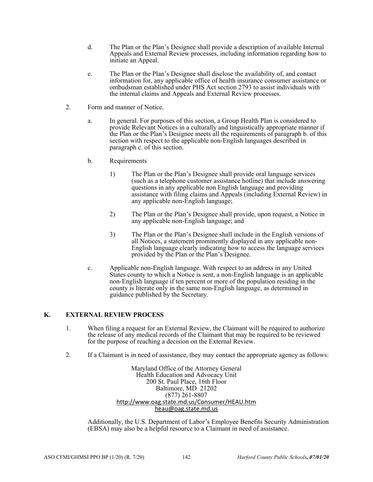- d. The Plan or the Plan's Designee shall provide a description of available Internal Appeals and External Review processes, including information regarding how to initiate an Appeal.
- e. The Plan or the Plan's Designee shall disclose the availability of, and contact information for, any applicable office of health insurance consumer assistance or ombudsman established under PHS Act section 2793 to assist individuals with the internal claims and Appeals and External Review processes.
- 2. Form and manner of Notice.
	- a. In general. For purposes of this section, a Group Health Plan is considered to provide Relevant Notices in a culturally and linguistically appropriate manner if the Plan or the Plan's Designee meets all the requirements of paragraph b. of this section with respect to the applicable non-English languages described in paragraph c. of this section.
	- b. Requirements
		- 1) The Plan or the Plan's Designee shall provide oral language services (such as a telephone customer assistance hotline) that include answering questions in any applicable non English language and providing assistance with filing claims and Appeals (including External Review) in any applicable non-English language;
		- 2) The Plan or the Plan's Designee shall provide, upon request, a Notice in any applicable non-English language; and
		- 3) The Plan or the Plan's Designee shall include in the English versions of all Notices, a statement prominently displayed in any applicable non-English language clearly indicating how to access the language services provided by the Plan or the Plan's Designee.
	- c. Applicable non-English language. With respect to an address in any United States county to which a Notice is sent, a non-English language is an applicable non-English language if ten percent or more of the population residing in the county is literate only in the same non-English language, as determined in guidance published by the Secretary.

## **K. EXTERNAL REVIEW PROCESS**

- 1. When filing a request for an External Review, the Claimant will be required to authorize the release of any medical records of the Claimant that may be required to be reviewed for the purpose of reaching a decision on the External Review.
- 2. If a Claimant is in need of assistance, they may contact the appropriate agency as follows:

Maryland Office of the Attorney General Health Education and Advocacy Unit 200 St. Paul Place, 16th Floor Baltimore, MD 21202 (877) 261-8807 http://www.oag.state.md.us/Consumer/HEAU.htm heau@oag.state.md.us

Additionally, the U.S. Department of Labor's Employee Benefits Security Administration (EBSA) may also be a helpful resource to a Claimant in need of assistance.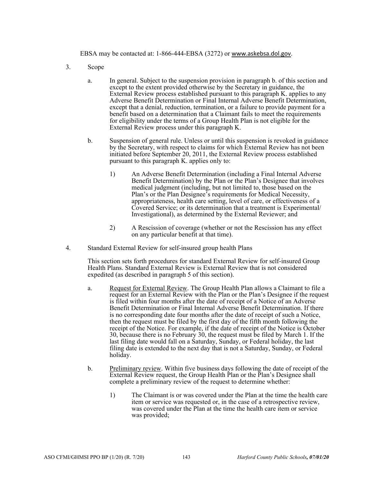EBSA may be contacted at: 1-866-444-EBSA (3272) or www.askebsa.dol.gov.

- 3. Scope
	- a. In general. Subject to the suspension provision in paragraph b. of this section and except to the extent provided otherwise by the Secretary in guidance, the External Review process established pursuant to this paragraph K. applies to any Adverse Benefit Determination or Final Internal Adverse Benefit Determination, except that a denial, reduction, termination, or a failure to provide payment for a benefit based on a determination that a Claimant fails to meet the requirements for eligibility under the terms of a Group Health Plan is not eligible for the External Review process under this paragraph K.
	- b. Suspension of general rule. Unless or until this suspension is revoked in guidance by the Secretary, with respect to claims for which External Review has not been initiated before September 20, 2011, the External Review process established pursuant to this paragraph K. applies only to:
		- 1) An Adverse Benefit Determination (including a Final Internal Adverse Benefit Determination) by the Plan or the Plan's Designee that involves medical judgment (including, but not limited to, those based on the Plan's or the Plan Designee's requirements for Medical Necessity, appropriateness, health care setting, level of care, or effectiveness of a Covered Service; or its determination that a treatment is Experimental/ Investigational), as determined by the External Reviewer; and
		- 2) A Rescission of coverage (whether or not the Rescission has any effect on any particular benefit at that time).
- 4. Standard External Review for self-insured group health Plans

This section sets forth procedures for standard External Review for self-insured Group Health Plans. Standard External Review is External Review that is not considered expedited (as described in paragraph 5 of this section).

- a. Request for External Review. The Group Health Plan allows a Claimant to file a request for an External Review with the Plan or the Plan's Designee if the request is filed within four months after the date of receipt of a Notice of an Adverse Benefit Determination or Final Internal Adverse Benefit Determination. If there is no corresponding date four months after the date of receipt of such a Notice, then the request must be filed by the first day of the fifth month following the receipt of the Notice. For example, if the date of receipt of the Notice is October 30, because there is no February 30, the request must be filed by March 1. If the last filing date would fall on a Saturday, Sunday, or Federal holiday, the last filing date is extended to the next day that is not a Saturday, Sunday, or Federal holiday.
- b. Preliminary review. Within five business days following the date of receipt of the External Review request, the Group Health Plan or the Plan's Designee shall complete a preliminary review of the request to determine whether:
	- 1) The Claimant is or was covered under the Plan at the time the health care item or service was requested or, in the case of a retrospective review, was covered under the Plan at the time the health care item or service was provided;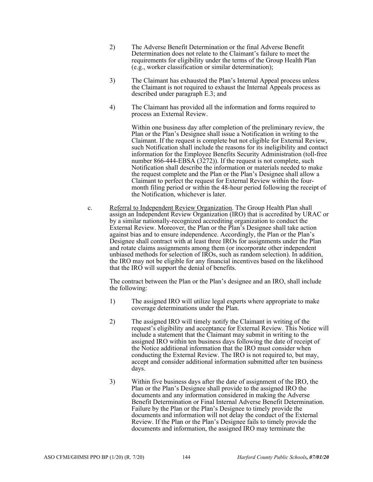- 2) The Adverse Benefit Determination or the final Adverse Benefit Determination does not relate to the Claimant's failure to meet the requirements for eligibility under the terms of the Group Health Plan (e.g., worker classification or similar determination);
- 3) The Claimant has exhausted the Plan's Internal Appeal process unless the Claimant is not required to exhaust the Internal Appeals process as described under paragraph E.3; and
- 4) The Claimant has provided all the information and forms required to process an External Review.

Within one business day after completion of the preliminary review, the Plan or the Plan's Designee shall issue a Notification in writing to the Claimant. If the request is complete but not eligible for External Review, such Notification shall include the reasons for its ineligibility and contact information for the Employee Benefits Security Administration (toll-free number 866-444-EBSA (3272)). If the request is not complete, such Notification shall describe the information or materials needed to make the request complete and the Plan or the Plan's Designee shall allow a Claimant to perfect the request for External Review within the fourmonth filing period or within the 48-hour period following the receipt of the Notification, whichever is later.

c. Referral to Independent Review Organization. The Group Health Plan shall assign an Independent Review Organization (IRO) that is accredited by URAC or by a similar nationally-recognized accrediting organization to conduct the External Review. Moreover, the Plan or the Plan's Designee shall take action against bias and to ensure independence. Accordingly, the Plan or the Plan's Designee shall contract with at least three IROs for assignments under the Plan and rotate claims assignments among them (or incorporate other independent unbiased methods for selection of IROs, such as random selection). In addition, the IRO may not be eligible for any financial incentives based on the likelihood that the IRO will support the denial of benefits.

The contract between the Plan or the Plan's designee and an IRO, shall include the following:

- 1) The assigned IRO will utilize legal experts where appropriate to make coverage determinations under the Plan.
- 2) The assigned IRO will timely notify the Claimant in writing of the request's eligibility and acceptance for External Review. This Notice will include a statement that the Claimant may submit in writing to the assigned IRO within ten business days following the date of receipt of the Notice additional information that the IRO must consider when conducting the External Review. The IRO is not required to, but may, accept and consider additional information submitted after ten business days.
- 3) Within five business days after the date of assignment of the IRO, the Plan or the Plan's Designee shall provide to the assigned IRO the documents and any information considered in making the Adverse Benefit Determination or Final Internal Adverse Benefit Determination. Failure by the Plan or the Plan's Designee to timely provide the documents and information will not delay the conduct of the External Review. If the Plan or the Plan's Designee fails to timely provide the documents and information, the assigned IRO may terminate the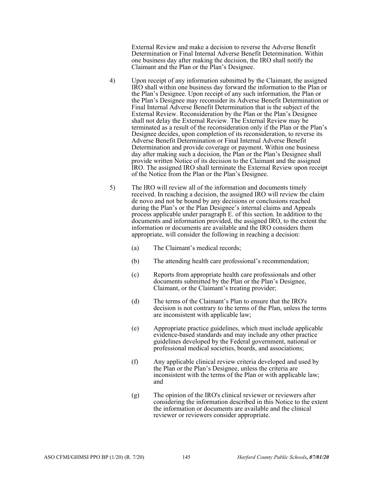External Review and make a decision to reverse the Adverse Benefit Determination or Final Internal Adverse Benefit Determination. Within one business day after making the decision, the IRO shall notify the Claimant and the Plan or the Plan's Designee.

- 4) Upon receipt of any information submitted by the Claimant, the assigned IRO shall within one business day forward the information to the Plan or the Plan's Designee. Upon receipt of any such information, the Plan or the Plan's Designee may reconsider its Adverse Benefit Determination or Final Internal Adverse Benefit Determination that is the subject of the External Review. Reconsideration by the Plan or the Plan's Designee shall not delay the External Review. The External Review may be terminated as a result of the reconsideration only if the Plan or the Plan's Designee decides, upon completion of its reconsideration, to reverse its Adverse Benefit Determination or Final Internal Adverse Benefit Determination and provide coverage or payment. Within one business day after making such a decision, the Plan or the Plan's Designee shall provide written Notice of its decision to the Claimant and the assigned IRO. The assigned IRO shall terminate the External Review upon receipt of the Notice from the Plan or the Plan's Designee.
- 5) The IRO will review all of the information and documents timely received. In reaching a decision, the assigned IRO will review the claim de novo and not be bound by any decisions or conclusions reached during the Plan's or the Plan Designee's internal claims and Appeals process applicable under paragraph E. of this section. In addition to the documents and information provided, the assigned IRO, to the extent the information or documents are available and the IRO considers them appropriate, will consider the following in reaching a decision:
	- (a) The Claimant's medical records;
	- (b) The attending health care professional's recommendation;
	- (c) Reports from appropriate health care professionals and other documents submitted by the Plan or the Plan's Designee, Claimant, or the Claimant's treating provider;
	- (d) The terms of the Claimant's Plan to ensure that the IRO's decision is not contrary to the terms of the Plan, unless the terms are inconsistent with applicable law;
	- (e) Appropriate practice guidelines, which must include applicable evidence-based standards and may include any other practice guidelines developed by the Federal government, national or professional medical societies, boards, and associations;
	- (f) Any applicable clinical review criteria developed and used by the Plan or the Plan's Designee, unless the criteria are inconsistent with the terms of the Plan or with applicable law; and
	- (g) The opinion of the IRO's clinical reviewer or reviewers after considering the information described in this Notice to the extent the information or documents are available and the clinical reviewer or reviewers consider appropriate.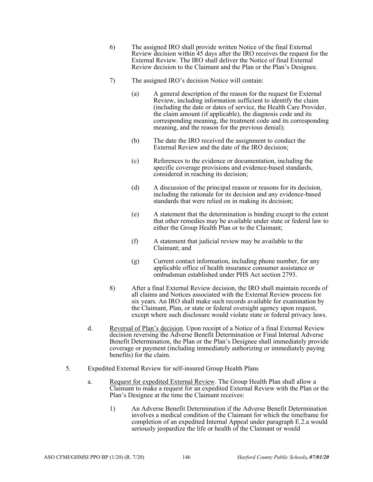- 6) The assigned IRO shall provide written Notice of the final External Review decision within 45 days after the IRO receives the request for the External Review. The IRO shall deliver the Notice of final External Review decision to the Claimant and the Plan or the Plan's Designee.
- 7) The assigned IRO's decision Notice will contain:
	- (a) A general description of the reason for the request for External Review, including information sufficient to identify the claim (including the date or dates of service, the Health Care Provider, the claim amount (if applicable), the diagnosis code and its corresponding meaning, the treatment code and its corresponding meaning, and the reason for the previous denial);
	- (b) The date the IRO received the assignment to conduct the External Review and the date of the IRO decision;
	- (c) References to the evidence or documentation, including the specific coverage provisions and evidence-based standards, considered in reaching its decision;
	- (d) A discussion of the principal reason or reasons for its decision, including the rationale for its decision and any evidence-based standards that were relied on in making its decision;
	- (e) A statement that the determination is binding except to the extent that other remedies may be available under state or federal law to either the Group Health Plan or to the Claimant;
	- (f) A statement that judicial review may be available to the Claimant; and
	- (g) Current contact information, including phone number, for any applicable office of health insurance consumer assistance or ombudsman established under PHS Act section 2793.
- 8) After a final External Review decision, the IRO shall maintain records of all claims and Notices associated with the External Review process for six years. An IRO shall make such records available for examination by the Claimant, Plan, or state or federal oversight agency upon request, except where such disclosure would violate state or federal privacy laws.
- d. Reversal of Plan's decision. Upon receipt of a Notice of a final External Review decision reversing the Adverse Benefit Determination or Final Internal Adverse Benefit Determination, the Plan or the Plan's Designee shall immediately provide coverage or payment (including immediately authorizing or immediately paying benefits) for the claim.
- 5. Expedited External Review for self-insured Group Health Plans
	- a. Request for expedited External Review. The Group Health Plan shall allow a Claimant to make a request for an expedited External Review with the Plan or the Plan's Designee at the time the Claimant receives:
		- 1) An Adverse Benefit Determination if the Adverse Benefit Determination involves a medical condition of the Claimant for which the timeframe for completion of an expedited Internal Appeal under paragraph E.2.a would seriously jeopardize the life or health of the Claimant or would